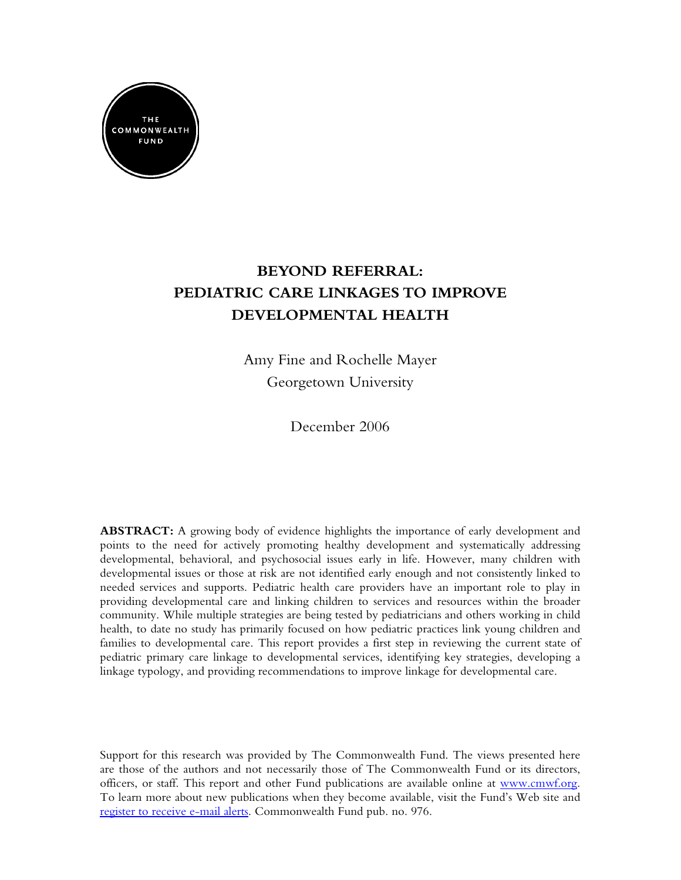

# **BEYOND REFERRAL: PEDIATRIC CARE LINKAGES TO IMPROVE DEVELOPMENTAL HEALTH**

Amy Fine and Rochelle Mayer Georgetown University

December 2006

**ABSTRACT:** A growing body of evidence highlights the importance of early development and points to the need for actively promoting healthy development and systematically addressing developmental, behavioral, and psychosocial issues early in life. However, many children with developmental issues or those at risk are not identified early enough and not consistently linked to needed services and supports. Pediatric health care providers have an important role to play in providing developmental care and linking children to services and resources within the broader community. While multiple strategies are being tested by pediatricians and others working in child health, to date no study has primarily focused on how pediatric practices link young children and families to developmental care. This report provides a first step in reviewing the current state of pediatric primary care linkage to developmental services, identifying key strategies, developing a linkage typology, and providing recommendations to improve linkage for developmental care.

Support for this research was provided by The Commonwealth Fund. The views presented here are those of the authors and not necessarily those of The Commonwealth Fund or its directors, officers, or staff. This report and other Fund publications are available online at [www.cmwf.org.](http://www.cmwf.org) To learn more about new publications when they become available, visit the Fund's Web site and [register to receive e-mail alerts.](http://www.cmwf.org/emailalert/emailalert.htm) Commonwealth Fund pub. no. 976.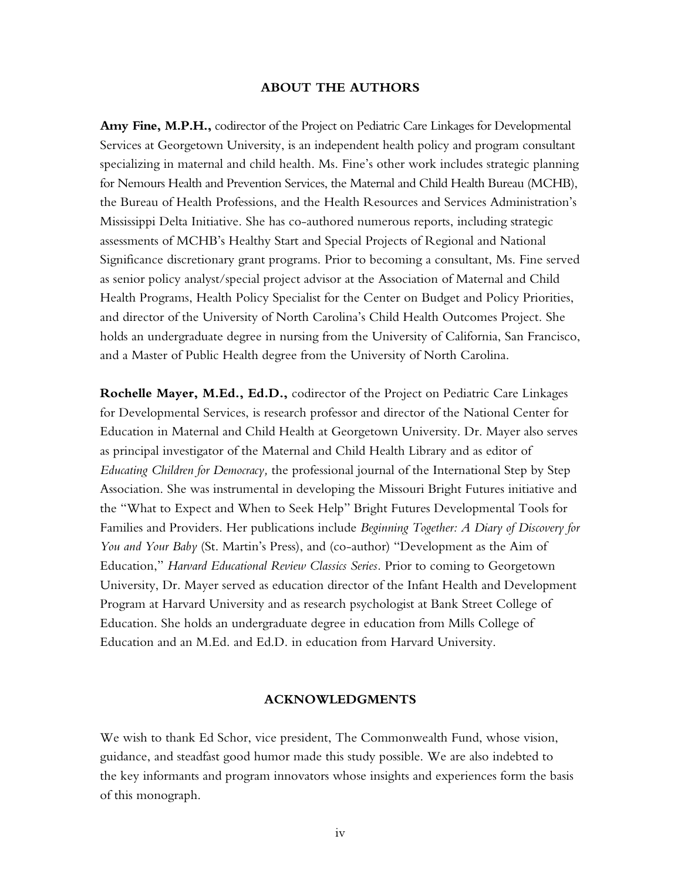#### **ABOUT THE AUTHORS**

**Amy Fine, M.P.H.,** codirector of the Project on Pediatric Care Linkages for Developmental Services at Georgetown University, is an independent health policy and program consultant specializing in maternal and child health. Ms. Fine's other work includes strategic planning for Nemours Health and Prevention Services, the Maternal and Child Health Bureau (MCHB), the Bureau of Health Professions, and the Health Resources and Services Administration's Mississippi Delta Initiative. She has co-authored numerous reports, including strategic assessments of MCHB's Healthy Start and Special Projects of Regional and National Significance discretionary grant programs. Prior to becoming a consultant, Ms. Fine served as senior policy analyst/special project advisor at the Association of Maternal and Child Health Programs, Health Policy Specialist for the Center on Budget and Policy Priorities, and director of the University of North Carolina's Child Health Outcomes Project. She holds an undergraduate degree in nursing from the University of California, San Francisco, and a Master of Public Health degree from the University of North Carolina.

**Rochelle Mayer, M.Ed., Ed.D.,** codirector of the Project on Pediatric Care Linkages for Developmental Services, is research professor and director of the National Center for Education in Maternal and Child Health at Georgetown University. Dr. Mayer also serves as principal investigator of the Maternal and Child Health Library and as editor of *Educating Children for Democracy,* the professional journal of the International Step by Step Association. She was instrumental in developing the Missouri Bright Futures initiative and the "What to Expect and When to Seek Help" Bright Futures Developmental Tools for Families and Providers. Her publications include *Beginning Together: A Diary of Discovery for You and Your Baby* (St. Martin's Press), and (co-author) "Development as the Aim of Education," *Harvard Educational Review Classics Series.* Prior to coming to Georgetown University, Dr. Mayer served as education director of the Infant Health and Development Program at Harvard University and as research psychologist at Bank Street College of Education. She holds an undergraduate degree in education from Mills College of Education and an M.Ed. and Ed.D. in education from Harvard University.

#### **ACKNOWLEDGMENTS**

We wish to thank Ed Schor, vice president, The Commonwealth Fund, whose vision, guidance, and steadfast good humor made this study possible. We are also indebted to the key informants and program innovators whose insights and experiences form the basis of this monograph.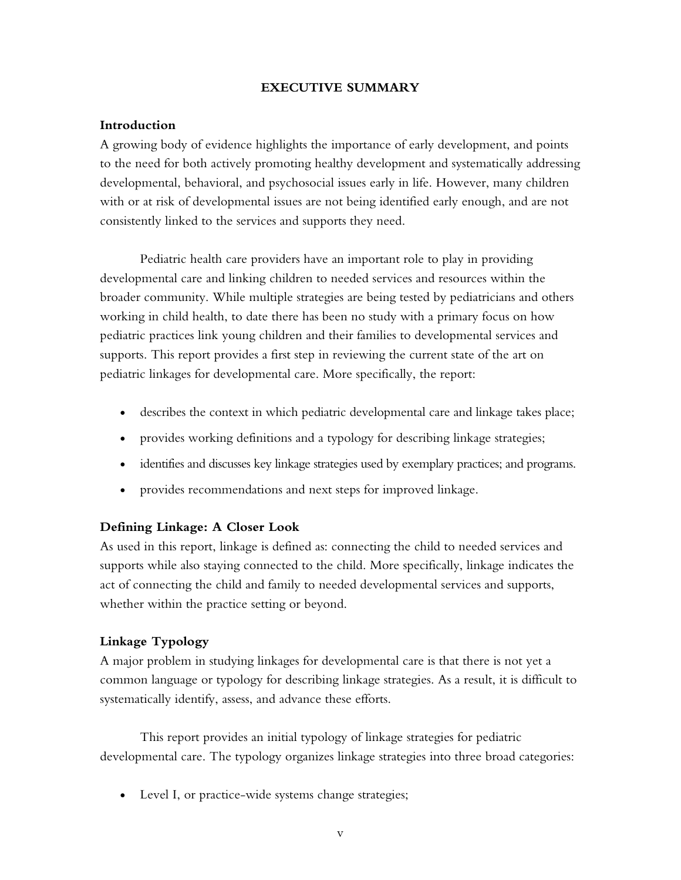### **EXECUTIVE SUMMARY**

### **Introduction**

A growing body of evidence highlights the importance of early development, and points to the need for both actively promoting healthy development and systematically addressing developmental, behavioral, and psychosocial issues early in life. However, many children with or at risk of developmental issues are not being identified early enough, and are not consistently linked to the services and supports they need.

Pediatric health care providers have an important role to play in providing developmental care and linking children to needed services and resources within the broader community. While multiple strategies are being tested by pediatricians and others working in child health, to date there has been no study with a primary focus on how pediatric practices link young children and their families to developmental services and supports. This report provides a first step in reviewing the current state of the art on pediatric linkages for developmental care. More specifically, the report:

- describes the context in which pediatric developmental care and linkage takes place;
- provides working definitions and a typology for describing linkage strategies;
- identifies and discusses key linkage strategies used by exemplary practices; and programs.
- provides recommendations and next steps for improved linkage.

### **Defining Linkage: A Closer Look**

As used in this report, linkage is defined as: connecting the child to needed services and supports while also staying connected to the child. More specifically, linkage indicates the act of connecting the child and family to needed developmental services and supports, whether within the practice setting or beyond.

# **Linkage Typology**

A major problem in studying linkages for developmental care is that there is not yet a common language or typology for describing linkage strategies. As a result, it is difficult to systematically identify, assess, and advance these efforts.

This report provides an initial typology of linkage strategies for pediatric developmental care. The typology organizes linkage strategies into three broad categories:

• Level I, or practice-wide systems change strategies;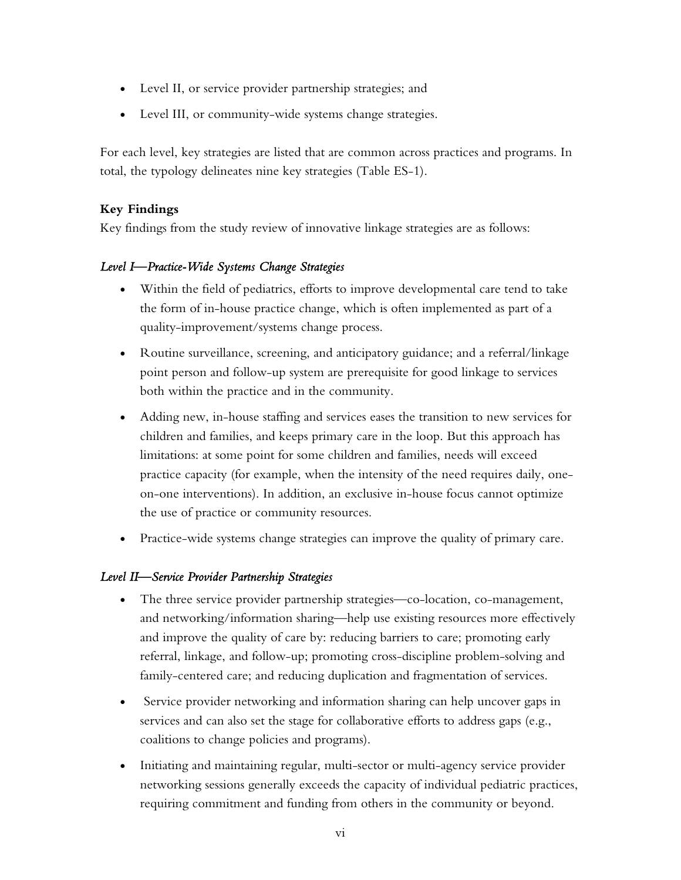- Level II, or service provider partnership strategies; and
- Level III, or community-wide systems change strategies.

For each level, key strategies are listed that are common across practices and programs. In total, the typology delineates nine key strategies (Table ES-1).

# **Key Findings**

Key findings from the study review of innovative linkage strategies are as follows:

# *Level I—Practice-Wide Systems Change Strategies*

- Within the field of pediatrics, efforts to improve developmental care tend to take the form of in-house practice change, which is often implemented as part of a quality-improvement/systems change process.
- Routine surveillance, screening, and anticipatory guidance; and a referral/linkage point person and follow-up system are prerequisite for good linkage to services both within the practice and in the community.
- Adding new, in-house staffing and services eases the transition to new services for children and families, and keeps primary care in the loop. But this approach has limitations: at some point for some children and families, needs will exceed practice capacity (for example, when the intensity of the need requires daily, oneon-one interventions). In addition, an exclusive in-house focus cannot optimize the use of practice or community resources.
- Practice-wide systems change strategies can improve the quality of primary care.

# *Level II—Service Provider Partnership Strategies*

- The three service provider partnership strategies—co-location, co-management, and networking/information sharing—help use existing resources more effectively and improve the quality of care by: reducing barriers to care; promoting early referral, linkage, and follow-up; promoting cross-discipline problem-solving and family-centered care; and reducing duplication and fragmentation of services.
- Service provider networking and information sharing can help uncover gaps in services and can also set the stage for collaborative efforts to address gaps (e.g., coalitions to change policies and programs).
- Initiating and maintaining regular, multi-sector or multi-agency service provider networking sessions generally exceeds the capacity of individual pediatric practices, requiring commitment and funding from others in the community or beyond.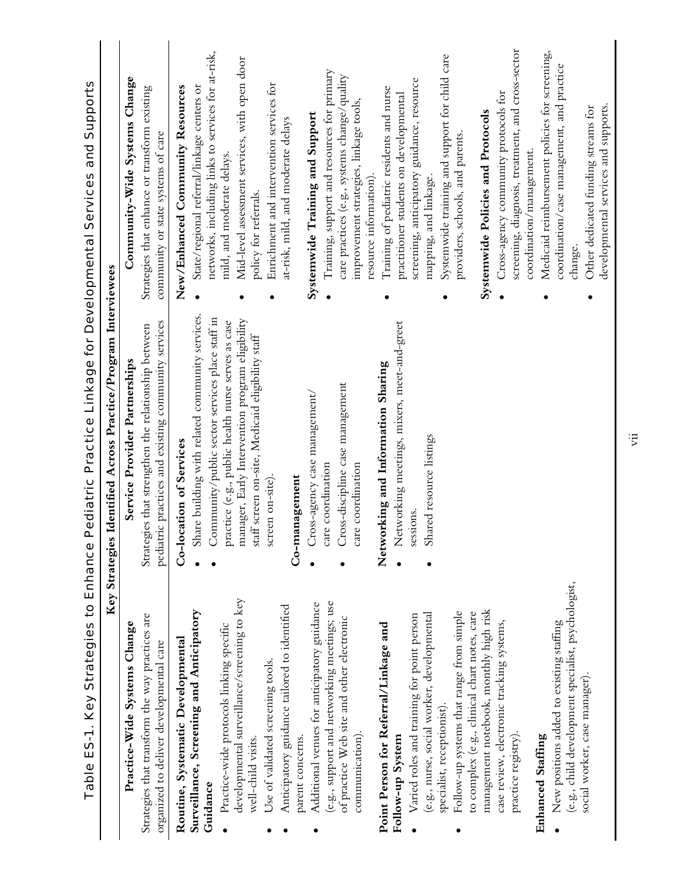|                                                                                            | Table ES-1. Key Strategies to Enhance Pediatric Practice Linkage for Developmental Services and Supports       |                                                                                     |
|--------------------------------------------------------------------------------------------|----------------------------------------------------------------------------------------------------------------|-------------------------------------------------------------------------------------|
|                                                                                            | Identified Across Practice/Program Interviewees<br>Key Strategies                                              |                                                                                     |
| Practice-Wide Systems Change                                                               | Service Provider Partnerships                                                                                  | Community-Wide Systems Change                                                       |
| Strategies that transform the way practices are<br>organized to deliver developmental care | pediatric practices and existing community services<br>es that strengthen the relationship between<br>Strategi | Strategies that enhance or transform existing<br>community or state systems of care |
| Routine, Systematic Developmental                                                          | Co-location of Services                                                                                        | New/Enhanced Community Resources                                                    |
| Surveillance, Screening and Anticipatory                                                   | Share building with related community services.                                                                | State/regional referral/linkage centers or                                          |
| Guidance                                                                                   | Community/public sector services place staff in                                                                | networks, including links to services for at-risk,                                  |
| Practice-wide protocols linking specific                                                   | practice (e.g., public health nurse serves as case                                                             | mild, and moderate delays.                                                          |
| developmental surveillance/screening to key<br>well-child visits.                          | manager, Early Intervention program eligibility                                                                | Mid-level assessment services, with open door                                       |
| Use of validated screening tools.                                                          | staff screen on-site, Medicaid eligibility staff<br>screen on-site)                                            | policy for referrals.                                                               |
|                                                                                            |                                                                                                                | Enrichment and intervention services for                                            |
| Anticipatory guidance tailored to identified<br>parent concerns.                           | Co-management                                                                                                  | at-risk, mild, and moderate delays                                                  |
| Additional venues for anticipatory guidance                                                | Cross-agency case management/                                                                                  | Systemwide Training and Support                                                     |
| (e.g., support and networking meetings; use                                                | care coordination                                                                                              | Training, support and resources for primary                                         |
| of practice Web site and other electronic                                                  | Cross-discipline case management                                                                               | care practices (e.g., systems change/quality                                        |
| communication).                                                                            | care coordination                                                                                              | improvement strategies, linkage tools,                                              |
|                                                                                            |                                                                                                                | resource information).                                                              |
| Point Person for Referral/Linkage and                                                      | Networking and Information Sharing                                                                             | Training of pediatric residents and nurse                                           |
| Follow-up System                                                                           | Networking meetings, mixers, meet-and-greet                                                                    | practitioner students on developmental                                              |
| Varied roles and training for point person                                                 | sessions.                                                                                                      | screening, anticipatory guidance, resource                                          |
| (e.g., nurse, social worker, developmental                                                 | Shared resource listings                                                                                       | mapping, and linkage.                                                               |
| specialist, receptionist).                                                                 |                                                                                                                | Systemwide training and support for child care                                      |
| Follow-up systems that range from simple                                                   |                                                                                                                | providers, schools, and parents.                                                    |
| to complex (e.g., clinical chart notes, care                                               |                                                                                                                | Systemwide Policies and Protocols                                                   |
| management notebook, monthly high risk                                                     |                                                                                                                |                                                                                     |
| case review, electronic tracking systems,                                                  |                                                                                                                | Cross-agency community protocols for                                                |
| practice registry).                                                                        |                                                                                                                | screening, diagnosis, treatment, and cross-sector                                   |
|                                                                                            |                                                                                                                | coordination/management.                                                            |
| Enhanced Staffing                                                                          |                                                                                                                | Medicaid reimbursement policies for screening,                                      |
| New positions added to existing staffing                                                   |                                                                                                                | coordination/case management, and practice                                          |
| (e.g., child development specialist, psychologist,                                         |                                                                                                                | change.                                                                             |
| social worker, case manager).                                                              |                                                                                                                | Other dedicated funding streams for                                                 |
|                                                                                            |                                                                                                                | developmental services and supports.                                                |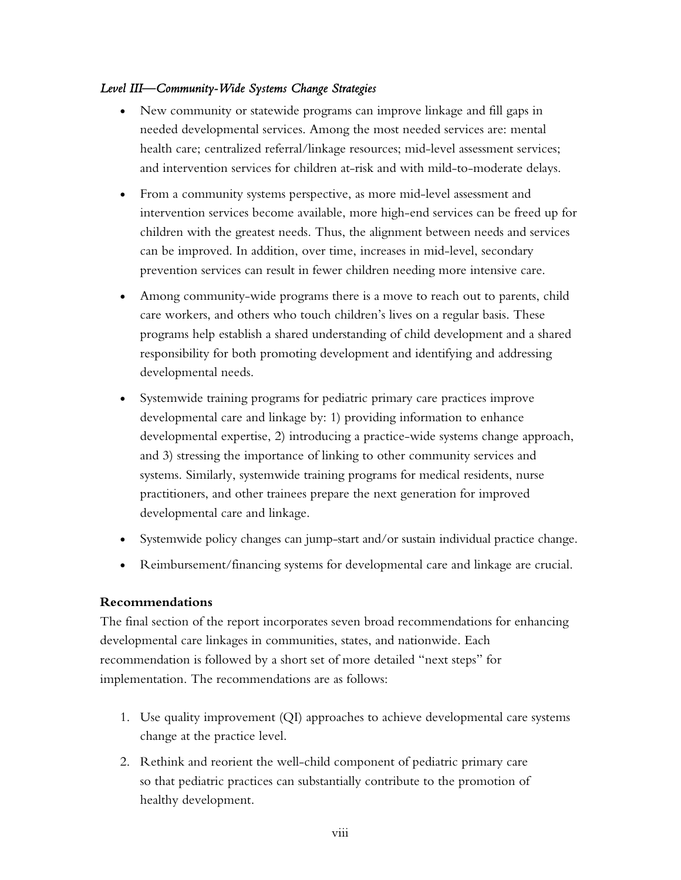### *Level III—Community-Wide Systems Change Strategies*

- New community or statewide programs can improve linkage and fill gaps in needed developmental services. Among the most needed services are: mental health care; centralized referral/linkage resources; mid-level assessment services; and intervention services for children at-risk and with mild-to-moderate delays.
- From a community systems perspective, as more mid-level assessment and intervention services become available, more high-end services can be freed up for children with the greatest needs. Thus, the alignment between needs and services can be improved. In addition, over time, increases in mid-level, secondary prevention services can result in fewer children needing more intensive care.
- Among community-wide programs there is a move to reach out to parents, child care workers, and others who touch children's lives on a regular basis. These programs help establish a shared understanding of child development and a shared responsibility for both promoting development and identifying and addressing developmental needs.
- Systemwide training programs for pediatric primary care practices improve developmental care and linkage by: 1) providing information to enhance developmental expertise, 2) introducing a practice-wide systems change approach, and 3) stressing the importance of linking to other community services and systems. Similarly, systemwide training programs for medical residents, nurse practitioners, and other trainees prepare the next generation for improved developmental care and linkage.
- Systemwide policy changes can jump-start and/or sustain individual practice change.
- Reimbursement/financing systems for developmental care and linkage are crucial.

# **Recommendations**

The final section of the report incorporates seven broad recommendations for enhancing developmental care linkages in communities, states, and nationwide. Each recommendation is followed by a short set of more detailed "next steps" for implementation. The recommendations are as follows:

- 1. Use quality improvement (QI) approaches to achieve developmental care systems change at the practice level.
- 2. Rethink and reorient the well-child component of pediatric primary care so that pediatric practices can substantially contribute to the promotion of healthy development.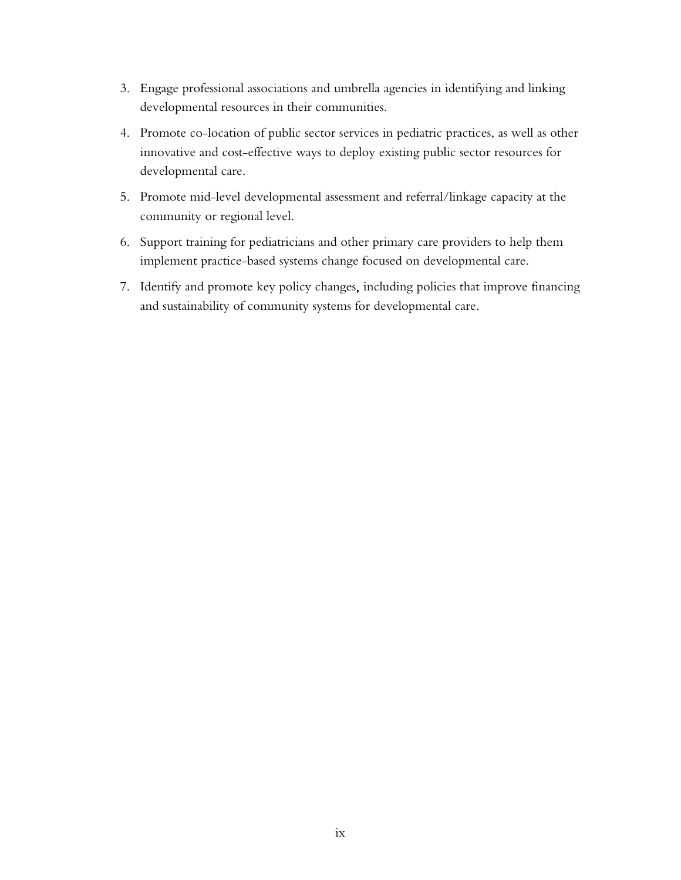- 3. Engage professional associations and umbrella agencies in identifying and linking developmental resources in their communities.
- 4. Promote co-location of public sector services in pediatric practices, as well as other innovative and cost-effective ways to deploy existing public sector resources for developmental care.
- 5. Promote mid-level developmental assessment and referral/linkage capacity at the community or regional level.
- 6. Support training for pediatricians and other primary care providers to help them implement practice-based systems change focused on developmental care.
- 7. Identify and promote key policy changes, including policies that improve financing and sustainability of community systems for developmental care.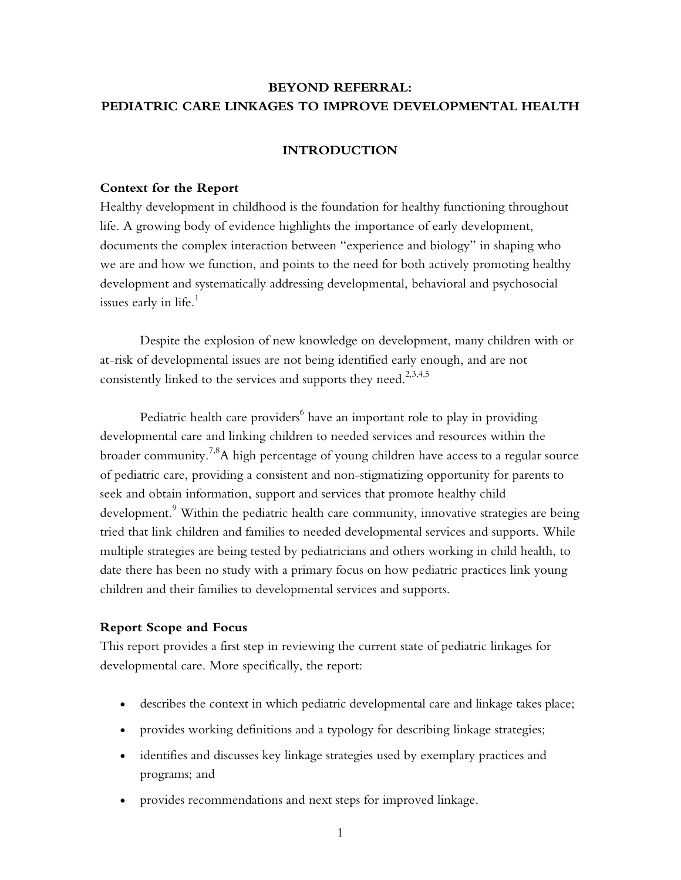# **BEYOND REFERRAL: PEDIATRIC CARE LINKAGES TO IMPROVE DEVELOPMENTAL HEALTH**

### **INTRODUCTION**

#### **Context for the Report**

Healthy development in childhood is the foundation for healthy functioning throughout life. A growing body of evidence highlights the importance of early development, documents the complex interaction between "experience and biology" in shaping who we are and how we function, and points to the need for both actively promoting healthy development and systematically addressing developmental, behavioral and psychosocial issues early in life.<sup>1</sup>

Despite the explosion of new knowledge on development, many children with or at-risk of developmental issues are not being identified early enough, and are not consistently linked to the services and supports they need.<sup>2,3,4,5</sup>

Pediatric health care providers $^6$  have an important role to play in providing developmental care and linking children to needed services and resources within the broader community.<sup>7,8</sup>A high percentage of young children have access to a regular source of pediatric care, providing a consistent and non-stigmatizing opportunity for parents to seek and obtain information, support and services that promote healthy child development. $^9$  Within the pediatric health care community, innovative strategies are being tried that link children and families to needed developmental services and supports. While multiple strategies are being tested by pediatricians and others working in child health, to date there has been no study with a primary focus on how pediatric practices link young children and their families to developmental services and supports.

### **Report Scope and Focus**

This report provides a first step in reviewing the current state of pediatric linkages for developmental care. More specifically, the report:

- describes the context in which pediatric developmental care and linkage takes place;
- provides working definitions and a typology for describing linkage strategies;
- identifies and discusses key linkage strategies used by exemplary practices and programs; and
- provides recommendations and next steps for improved linkage.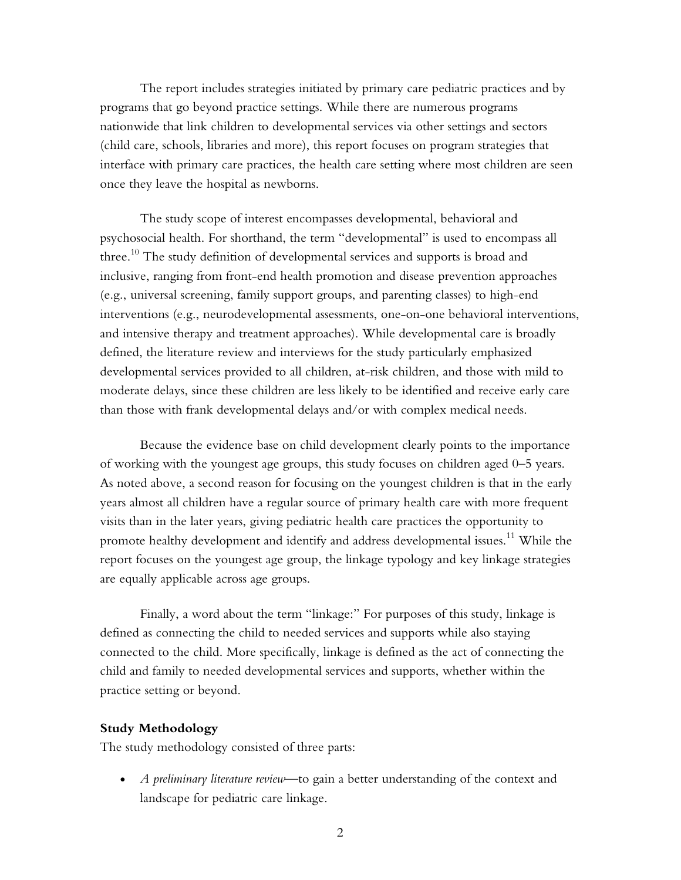The report includes strategies initiated by primary care pediatric practices and by programs that go beyond practice settings. While there are numerous programs nationwide that link children to developmental services via other settings and sectors (child care, schools, libraries and more), this report focuses on program strategies that interface with primary care practices, the health care setting where most children are seen once they leave the hospital as newborns.

The study scope of interest encompasses developmental, behavioral and psychosocial health. For shorthand, the term "developmental" is used to encompass all three.<sup>10</sup> The study definition of developmental services and supports is broad and inclusive, ranging from front-end health promotion and disease prevention approaches (e.g., universal screening, family support groups, and parenting classes) to high-end interventions (e.g., neurodevelopmental assessments, one-on-one behavioral interventions, and intensive therapy and treatment approaches). While developmental care is broadly defined, the literature review and interviews for the study particularly emphasized developmental services provided to all children, at-risk children, and those with mild to moderate delays, since these children are less likely to be identified and receive early care than those with frank developmental delays and/or with complex medical needs.

Because the evidence base on child development clearly points to the importance of working with the youngest age groups, this study focuses on children aged 0–5 years. As noted above, a second reason for focusing on the youngest children is that in the early years almost all children have a regular source of primary health care with more frequent visits than in the later years, giving pediatric health care practices the opportunity to promote healthy development and identify and address developmental issues.<sup>11</sup> While the report focuses on the youngest age group, the linkage typology and key linkage strategies are equally applicable across age groups.

Finally, a word about the term "linkage:" For purposes of this study, linkage is defined as connecting the child to needed services and supports while also staying connected to the child. More specifically, linkage is defined as the act of connecting the child and family to needed developmental services and supports, whether within the practice setting or beyond.

#### **Study Methodology**

The study methodology consisted of three parts:

• *A preliminary literature review*—to gain a better understanding of the context and landscape for pediatric care linkage.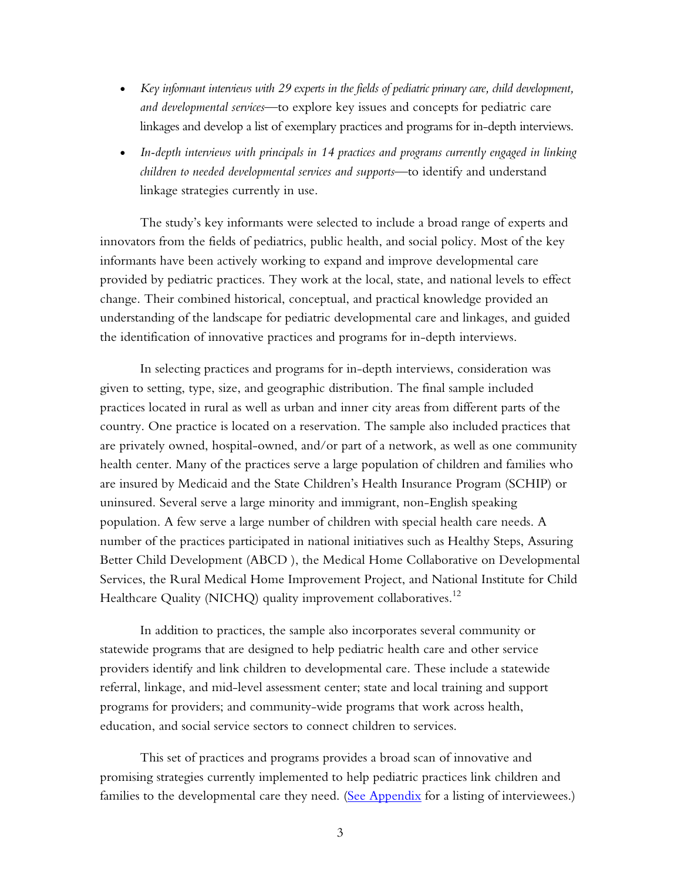- *Key informant interviews with 29 experts in the fields of pediatric primary care, child development, and developmental services*—to explore key issues and concepts for pediatric care linkages and develop a list of exemplary practices and programs for in-depth interviews.
- *In-depth interviews with principals in 14 practices and programs currently engaged in linking children to needed developmental services and supports*—to identify and understand linkage strategies currently in use.

The study's key informants were selected to include a broad range of experts and innovators from the fields of pediatrics, public health, and social policy. Most of the key informants have been actively working to expand and improve developmental care provided by pediatric practices. They work at the local, state, and national levels to effect change. Their combined historical, conceptual, and practical knowledge provided an understanding of the landscape for pediatric developmental care and linkages, and guided the identification of innovative practices and programs for in-depth interviews.

In selecting practices and programs for in-depth interviews, consideration was given to setting, type, size, and geographic distribution. The final sample included practices located in rural as well as urban and inner city areas from different parts of the country. One practice is located on a reservation. The sample also included practices that are privately owned, hospital-owned, and/or part of a network, as well as one community health center. Many of the practices serve a large population of children and families who are insured by Medicaid and the State Children's Health Insurance Program (SCHIP) or uninsured. Several serve a large minority and immigrant, non-English speaking population. A few serve a large number of children with special health care needs. A number of the practices participated in national initiatives such as Healthy Steps, Assuring Better Child Development (ABCD ), the Medical Home Collaborative on Developmental Services, the Rural Medical Home Improvement Project, and National Institute for Child Healthcare Quality (NICHQ) quality improvement collaboratives.<sup>12</sup>

In addition to practices, the sample also incorporates several community or statewide programs that are designed to help pediatric health care and other service providers identify and link children to developmental care. These include a statewide referral, linkage, and mid-level assessment center; state and local training and support programs for providers; and community-wide programs that work across health, education, and social service sectors to connect children to services.

This set of practices and programs provides a broad scan of innovative and promising strategies currently implemented to help pediatric practices link children and families to the developmental care they need. [\(See Appendix](#page-62-0) for a listing of interviewees.)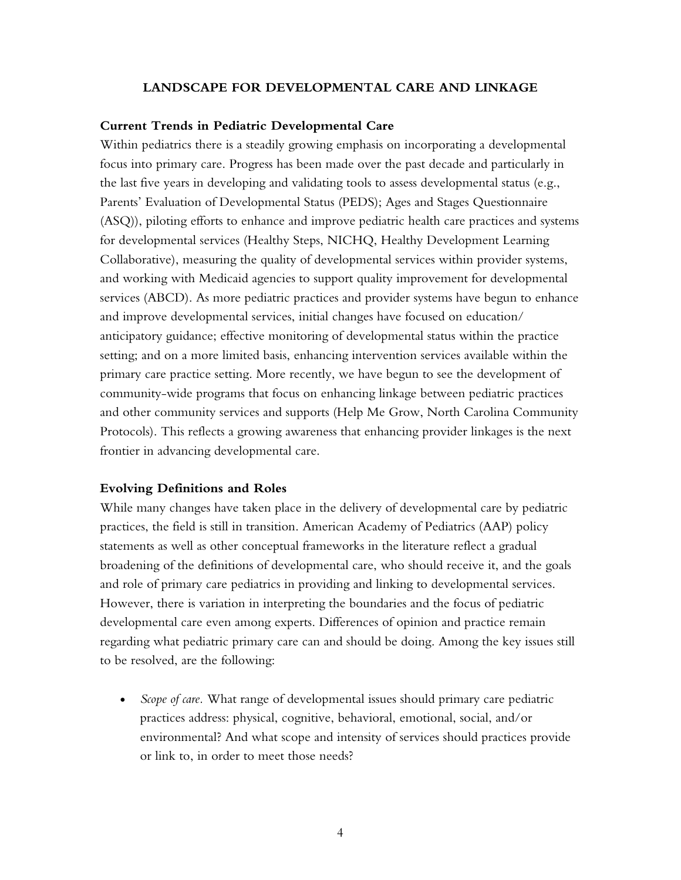#### **LANDSCAPE FOR DEVELOPMENTAL CARE AND LINKAGE**

#### **Current Trends in Pediatric Developmental Care**

Within pediatrics there is a steadily growing emphasis on incorporating a developmental focus into primary care. Progress has been made over the past decade and particularly in the last five years in developing and validating tools to assess developmental status (e.g., Parents' Evaluation of Developmental Status (PEDS); Ages and Stages Questionnaire (ASQ)), piloting efforts to enhance and improve pediatric health care practices and systems for developmental services (Healthy Steps, NICHQ, Healthy Development Learning Collaborative), measuring the quality of developmental services within provider systems, and working with Medicaid agencies to support quality improvement for developmental services (ABCD). As more pediatric practices and provider systems have begun to enhance and improve developmental services, initial changes have focused on education/ anticipatory guidance; effective monitoring of developmental status within the practice setting; and on a more limited basis, enhancing intervention services available within the primary care practice setting. More recently, we have begun to see the development of community-wide programs that focus on enhancing linkage between pediatric practices and other community services and supports (Help Me Grow, North Carolina Community Protocols). This reflects a growing awareness that enhancing provider linkages is the next frontier in advancing developmental care.

### **Evolving Definitions and Roles**

While many changes have taken place in the delivery of developmental care by pediatric practices, the field is still in transition. American Academy of Pediatrics (AAP) policy statements as well as other conceptual frameworks in the literature reflect a gradual broadening of the definitions of developmental care, who should receive it, and the goals and role of primary care pediatrics in providing and linking to developmental services. However, there is variation in interpreting the boundaries and the focus of pediatric developmental care even among experts. Differences of opinion and practice remain regarding what pediatric primary care can and should be doing. Among the key issues still to be resolved, are the following:

• *Scope of care.* What range of developmental issues should primary care pediatric practices address: physical, cognitive, behavioral, emotional, social, and/or environmental? And what scope and intensity of services should practices provide or link to, in order to meet those needs?

4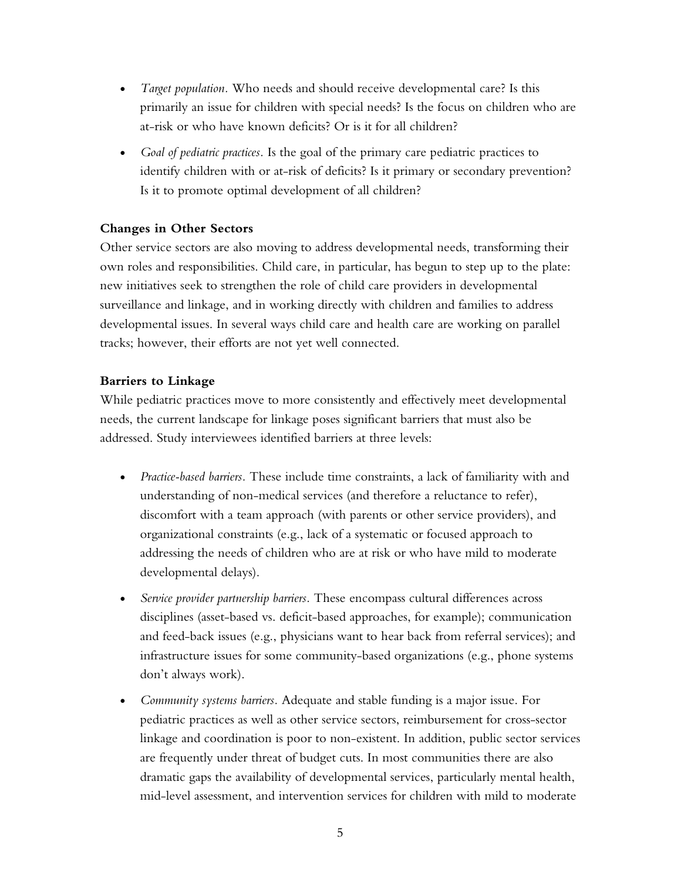- *Target population.* Who needs and should receive developmental care? Is this primarily an issue for children with special needs? Is the focus on children who are at-risk or who have known deficits? Or is it for all children?
- *Goal of pediatric practices.* Is the goal of the primary care pediatric practices to identify children with or at-risk of deficits? Is it primary or secondary prevention? Is it to promote optimal development of all children?

### **Changes in Other Sectors**

Other service sectors are also moving to address developmental needs, transforming their own roles and responsibilities. Child care, in particular, has begun to step up to the plate: new initiatives seek to strengthen the role of child care providers in developmental surveillance and linkage, and in working directly with children and families to address developmental issues. In several ways child care and health care are working on parallel tracks; however, their efforts are not yet well connected.

### **Barriers to Linkage**

While pediatric practices move to more consistently and effectively meet developmental needs, the current landscape for linkage poses significant barriers that must also be addressed. Study interviewees identified barriers at three levels:

- *Practice-based barriers.* These include time constraints, a lack of familiarity with and understanding of non-medical services (and therefore a reluctance to refer), discomfort with a team approach (with parents or other service providers), and organizational constraints (e.g., lack of a systematic or focused approach to addressing the needs of children who are at risk or who have mild to moderate developmental delays).
- *Service provider partnership barriers.* These encompass cultural differences across disciplines (asset-based vs. deficit-based approaches, for example); communication and feed-back issues (e.g., physicians want to hear back from referral services); and infrastructure issues for some community-based organizations (e.g., phone systems don't always work).
- *Community systems barriers.* Adequate and stable funding is a major issue. For pediatric practices as well as other service sectors, reimbursement for cross-sector linkage and coordination is poor to non-existent. In addition, public sector services are frequently under threat of budget cuts. In most communities there are also dramatic gaps the availability of developmental services, particularly mental health, mid-level assessment, and intervention services for children with mild to moderate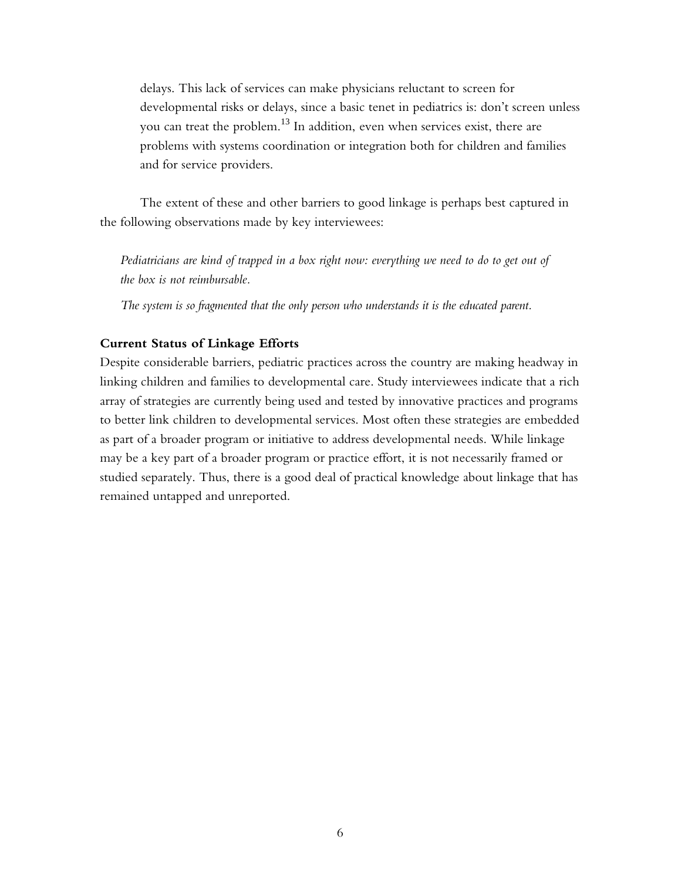delays. This lack of services can make physicians reluctant to screen for developmental risks or delays, since a basic tenet in pediatrics is: don't screen unless you can treat the problem.<sup>13</sup> In addition, even when services exist, there are problems with systems coordination or integration both for children and families and for service providers.

The extent of these and other barriers to good linkage is perhaps best captured in the following observations made by key interviewees:

*Pediatricians are kind of trapped in a box right now: everything we need to do to get out of the box is not reimbursable.* 

*The system is so fragmented that the only person who understands it is the educated parent.* 

### **Current Status of Linkage Efforts**

Despite considerable barriers, pediatric practices across the country are making headway in linking children and families to developmental care. Study interviewees indicate that a rich array of strategies are currently being used and tested by innovative practices and programs to better link children to developmental services. Most often these strategies are embedded as part of a broader program or initiative to address developmental needs. While linkage may be a key part of a broader program or practice effort, it is not necessarily framed or studied separately. Thus, there is a good deal of practical knowledge about linkage that has remained untapped and unreported.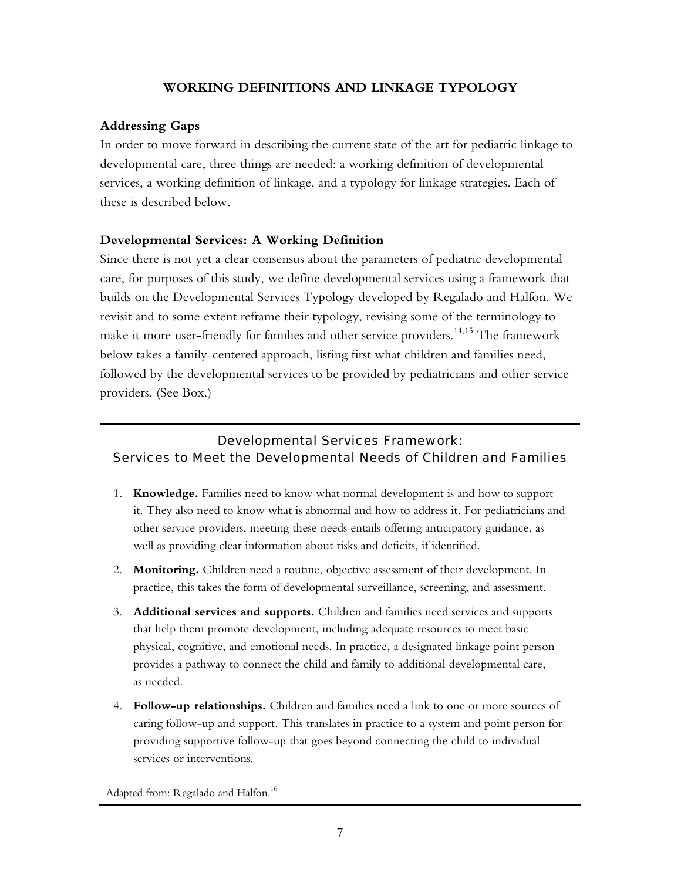### **WORKING DEFINITIONS AND LINKAGE TYPOLOGY**

### **Addressing Gaps**

In order to move forward in describing the current state of the art for pediatric linkage to developmental care, three things are needed: a working definition of developmental services, a working definition of linkage, and a typology for linkage strategies. Each of these is described below.

### **Developmental Services: A Working Definition**

Since there is not yet a clear consensus about the parameters of pediatric developmental care, for purposes of this study, we define developmental services using a framework that builds on the Developmental Services Typology developed by Regalado and Halfon. We revisit and to some extent reframe their typology, revising some of the terminology to make it more user-friendly for families and other service providers.<sup>14,15</sup> The framework below takes a family-centered approach, listing first what children and families need, followed by the developmental services to be provided by pediatricians and other service providers. (See Box.)

# Developmental Services Framework: Services to Meet the Developmental Needs of Children and Families

- 1. **Knowledge.** Families need to know what normal development is and how to support it. They also need to know what is abnormal and how to address it. For pediatricians and other service providers, meeting these needs entails offering anticipatory guidance, as well as providing clear information about risks and deficits, if identified.
- 2. **Monitoring.** Children need a routine, objective assessment of their development. In practice, this takes the form of developmental surveillance, screening, and assessment.
- 3. **Additional services and supports.** Children and families need services and supports that help them promote development, including adequate resources to meet basic physical, cognitive, and emotional needs. In practice, a designated linkage point person provides a pathway to connect the child and family to additional developmental care, as needed.
- 4. **Follow-up relationships.** Children and families need a link to one or more sources of caring follow-up and support. This translates in practice to a system and point person for providing supportive follow-up that goes beyond connecting the child to individual services or interventions.

Adapted from: Regalado and Halfon.<sup>16</sup>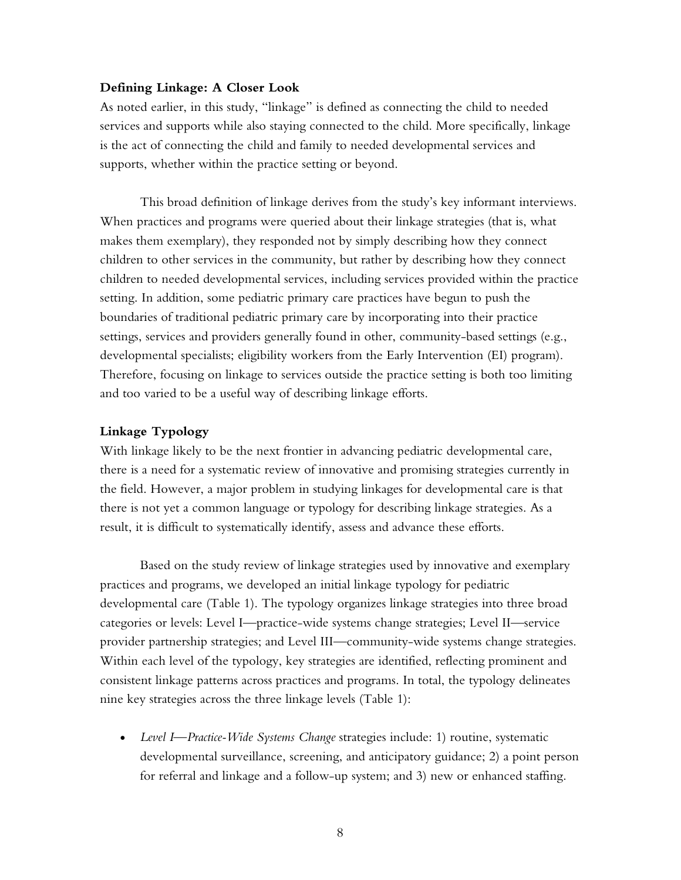#### **Defining Linkage: A Closer Look**

As noted earlier, in this study, "linkage" is defined as connecting the child to needed services and supports while also staying connected to the child. More specifically, linkage is the act of connecting the child and family to needed developmental services and supports, whether within the practice setting or beyond.

This broad definition of linkage derives from the study's key informant interviews. When practices and programs were queried about their linkage strategies (that is, what makes them exemplary), they responded not by simply describing how they connect children to other services in the community, but rather by describing how they connect children to needed developmental services, including services provided within the practice setting. In addition, some pediatric primary care practices have begun to push the boundaries of traditional pediatric primary care by incorporating into their practice settings, services and providers generally found in other, community-based settings (e.g., developmental specialists; eligibility workers from the Early Intervention (EI) program). Therefore, focusing on linkage to services outside the practice setting is both too limiting and too varied to be a useful way of describing linkage efforts.

### **Linkage Typology**

With linkage likely to be the next frontier in advancing pediatric developmental care, there is a need for a systematic review of innovative and promising strategies currently in the field. However, a major problem in studying linkages for developmental care is that there is not yet a common language or typology for describing linkage strategies. As a result, it is difficult to systematically identify, assess and advance these efforts.

Based on the study review of linkage strategies used by innovative and exemplary practices and programs, we developed an initial linkage typology for pediatric developmental care (Table 1). The typology organizes linkage strategies into three broad categories or levels: Level I—practice-wide systems change strategies; Level II—service provider partnership strategies; and Level III—community-wide systems change strategies. Within each level of the typology, key strategies are identified, reflecting prominent and consistent linkage patterns across practices and programs. In total, the typology delineates nine key strategies across the three linkage levels (Table 1):

• *Level I—Practice-Wide Systems Change* strategies include: 1) routine, systematic developmental surveillance, screening, and anticipatory guidance; 2) a point person for referral and linkage and a follow-up system; and 3) new or enhanced staffing.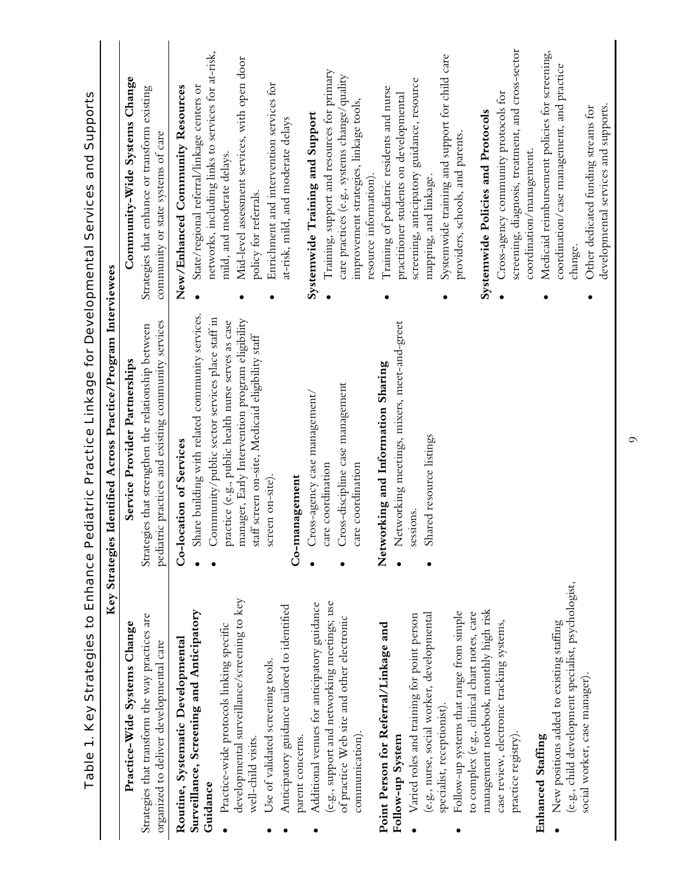|                                                                                                | Table 1. Key Strategies to Enhance Pediatric Practice Linkage for Developmental Services and Supports      |                                                                                     |
|------------------------------------------------------------------------------------------------|------------------------------------------------------------------------------------------------------------|-------------------------------------------------------------------------------------|
|                                                                                                | dentified Across Practice/Program Interviewees<br>Key Strategies                                           |                                                                                     |
| Practice-Wide Systems Change                                                                   | Service Provider Partnerships                                                                              | Community-Wide Systems Change                                                       |
| Strategies that transform the way practices are<br>organized to deliver developmental care     | pediatric practices and existing community services<br>Strategies that strengthen the relationship between | Strategies that enhance or transform existing<br>community or state systems of care |
| Routine, Systematic Developmental                                                              | Co-location of Services                                                                                    | New/Enhanced Community Resources                                                    |
| Surveillance, Screening and Anticipatory                                                       | Share building with related community services.                                                            | State/regional referral/linkage centers or<br>$\bullet$                             |
| Guidance                                                                                       | Community/public sector services place staff in                                                            | networks, including links to services for at-risk,                                  |
| Practice-wide protocols linking specific                                                       | practice (e.g., public health nurse serves as case                                                         | mild, and moderate delays.                                                          |
| developmental surveillance/screening to key<br>well-child visits.                              | manager, Early Intervention program eligibility<br>staff screen on-site, Medicaid eligibility staff        | Mid-level assessment services, with open door<br>policy for referrals.<br>$\bullet$ |
| Use of validated screening tools.                                                              | en on-site)<br>scre                                                                                        | Enrichment and intervention services for                                            |
| Anticipatory guidance tailored to identified                                                   |                                                                                                            | at-risk, mild, and moderate delays                                                  |
| parent concerns.                                                                               | Co-management                                                                                              |                                                                                     |
| Additional venues for anticipatory guidance                                                    | Cross-agency case management/                                                                              | Systemwide Training and Support                                                     |
| (e.g., support and networking meetings; use                                                    | care coordination                                                                                          | Training, support and resources for primary                                         |
| of practice Web site and other electronic                                                      | Cross-discipline case management                                                                           | care practices (e.g., systems change/quality                                        |
| communication)                                                                                 | care coordination                                                                                          | improvement strategies, linkage tools,                                              |
|                                                                                                |                                                                                                            | resource information).                                                              |
| Point Person for Referral/Linkage and                                                          | Networking and Information Sharing                                                                         | Training of pediatric residents and nurse<br>٠                                      |
| Follow-up System                                                                               | Networking meetings, mixers, meet-and-greet<br>$\bullet$                                                   | practitioner students on developmental                                              |
| Varied roles and training for point person                                                     | sessions.                                                                                                  | screening, anticipatory guidance, resource                                          |
| (e.g., nurse, social worker, developmental                                                     | Shared resource listings                                                                                   | mapping, and linkage.                                                               |
| specialist, receptionist).                                                                     |                                                                                                            | Systemwide training and support for child care<br>$\bullet$                         |
| Follow-up systems that range from simple                                                       |                                                                                                            | providers, schools, and parents.                                                    |
| management notebook, monthly high risk<br>to complex (e.g., clinical chart notes, care         |                                                                                                            | Systemwide Policies and Protocols                                                   |
| case review, electronic tracking systems,                                                      |                                                                                                            | Cross-agency community protocols for                                                |
| practice registry).                                                                            |                                                                                                            | screening, diagnosis, treatment, and cross-sector                                   |
|                                                                                                |                                                                                                            | coordination/management.                                                            |
| Enhanced Staffing                                                                              |                                                                                                            | Medicaid reimbursement policies for screening,                                      |
| (e.g., child development specialist, psychologist,<br>New positions added to existing staffing |                                                                                                            | coordination/case management, and practice<br>change.                               |
| social worker, case manager)                                                                   |                                                                                                            |                                                                                     |
|                                                                                                |                                                                                                            | developmental services and supports.<br>Other dedicated funding streams for         |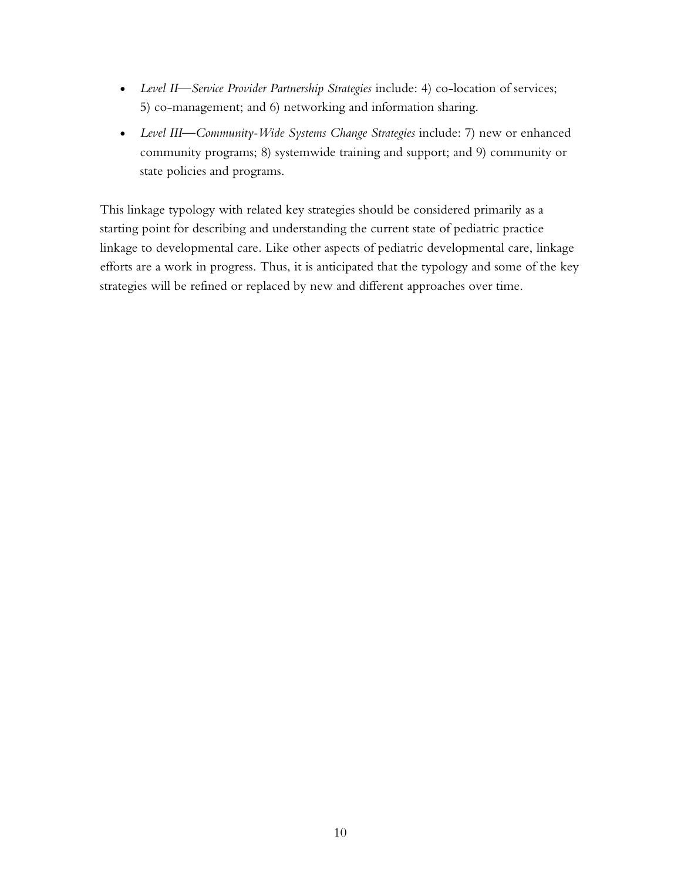- *Level II—Service Provider Partnership Strategies* include: 4) co-location of services; 5) co-management; and 6) networking and information sharing.
- *Level III—Community-Wide Systems Change Strategies* include: 7) new or enhanced community programs; 8) systemwide training and support; and 9) community or state policies and programs.

This linkage typology with related key strategies should be considered primarily as a starting point for describing and understanding the current state of pediatric practice linkage to developmental care. Like other aspects of pediatric developmental care, linkage efforts are a work in progress. Thus, it is anticipated that the typology and some of the key strategies will be refined or replaced by new and different approaches over time.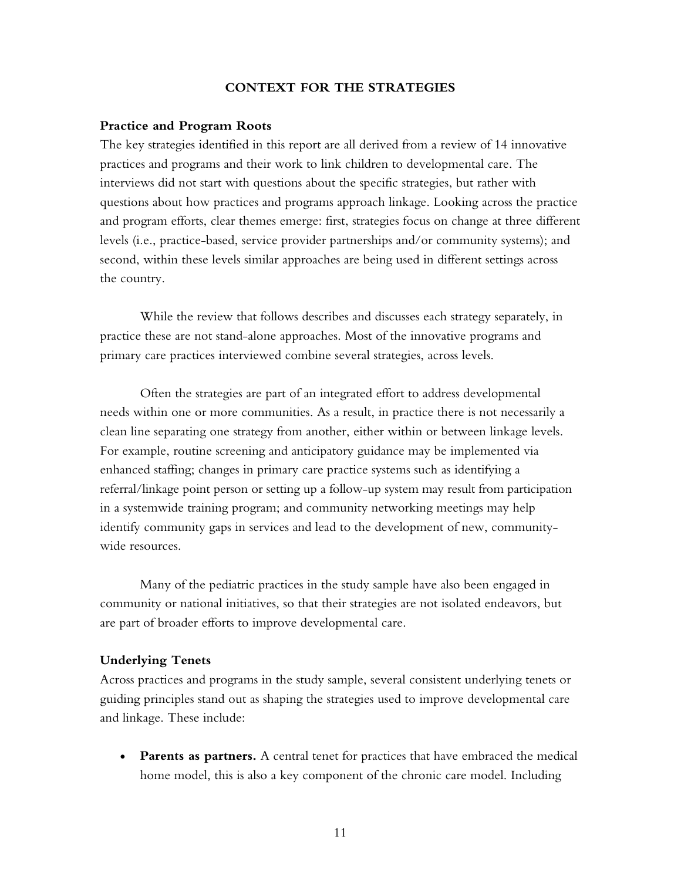#### **CONTEXT FOR THE STRATEGIES**

#### **Practice and Program Roots**

The key strategies identified in this report are all derived from a review of 14 innovative practices and programs and their work to link children to developmental care. The interviews did not start with questions about the specific strategies, but rather with questions about how practices and programs approach linkage. Looking across the practice and program efforts, clear themes emerge: first, strategies focus on change at three different levels (i.e., practice-based, service provider partnerships and/or community systems); and second, within these levels similar approaches are being used in different settings across the country.

While the review that follows describes and discusses each strategy separately, in practice these are not stand-alone approaches. Most of the innovative programs and primary care practices interviewed combine several strategies, across levels.

Often the strategies are part of an integrated effort to address developmental needs within one or more communities. As a result, in practice there is not necessarily a clean line separating one strategy from another, either within or between linkage levels. For example, routine screening and anticipatory guidance may be implemented via enhanced staffing; changes in primary care practice systems such as identifying a referral/linkage point person or setting up a follow-up system may result from participation in a systemwide training program; and community networking meetings may help identify community gaps in services and lead to the development of new, communitywide resources.

Many of the pediatric practices in the study sample have also been engaged in community or national initiatives, so that their strategies are not isolated endeavors, but are part of broader efforts to improve developmental care.

#### **Underlying Tenets**

Across practices and programs in the study sample, several consistent underlying tenets or guiding principles stand out as shaping the strategies used to improve developmental care and linkage. These include:

• **Parents as partners.** A central tenet for practices that have embraced the medical home model, this is also a key component of the chronic care model. Including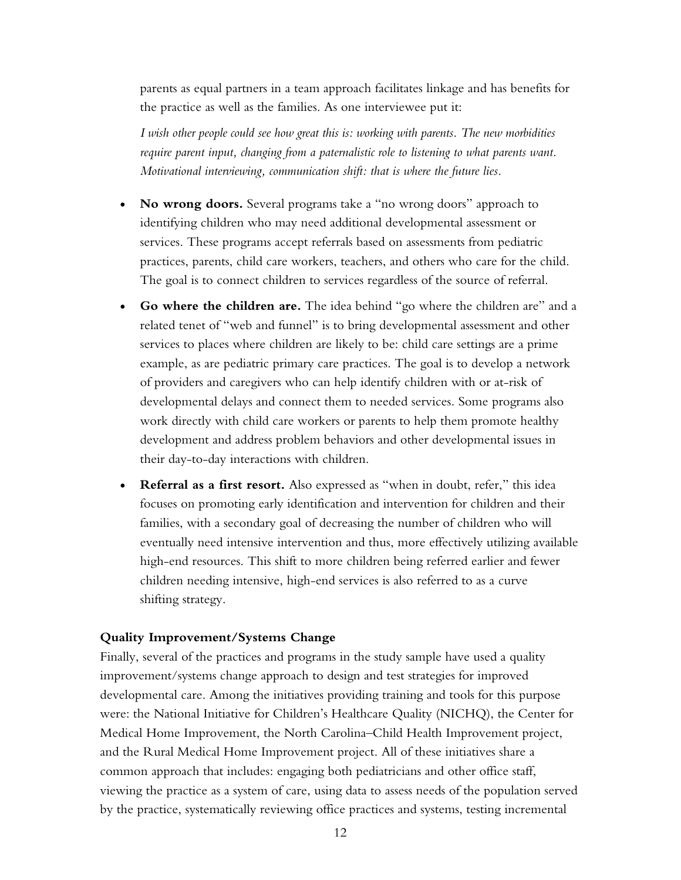parents as equal partners in a team approach facilitates linkage and has benefits for the practice as well as the families. As one interviewee put it:

*I wish other people could see how great this is: working with parents. The new morbidities*  require parent input, changing from a paternalistic role to listening to what parents want. *Motivational interviewing, communication shift: that is where the future lies.* 

- **No wrong doors.** Several programs take a "no wrong doors" approach to identifying children who may need additional developmental assessment or services. These programs accept referrals based on assessments from pediatric practices, parents, child care workers, teachers, and others who care for the child. The goal is to connect children to services regardless of the source of referral.
- **Go where the children are.** The idea behind "go where the children are" and a related tenet of "web and funnel" is to bring developmental assessment and other services to places where children are likely to be: child care settings are a prime example, as are pediatric primary care practices. The goal is to develop a network of providers and caregivers who can help identify children with or at-risk of developmental delays and connect them to needed services. Some programs also work directly with child care workers or parents to help them promote healthy development and address problem behaviors and other developmental issues in their day-to-day interactions with children.
- **Referral as a first resort.** Also expressed as "when in doubt, refer," this idea focuses on promoting early identification and intervention for children and their families, with a secondary goal of decreasing the number of children who will eventually need intensive intervention and thus, more effectively utilizing available high-end resources. This shift to more children being referred earlier and fewer children needing intensive, high-end services is also referred to as a curve shifting strategy.

#### **Quality Improvement/Systems Change**

Finally, several of the practices and programs in the study sample have used a quality improvement/systems change approach to design and test strategies for improved developmental care. Among the initiatives providing training and tools for this purpose were: the National Initiative for Children's Healthcare Quality (NICHQ), the Center for Medical Home Improvement, the North Carolina–Child Health Improvement project, and the Rural Medical Home Improvement project. All of these initiatives share a common approach that includes: engaging both pediatricians and other office staff, viewing the practice as a system of care, using data to assess needs of the population served by the practice, systematically reviewing office practices and systems, testing incremental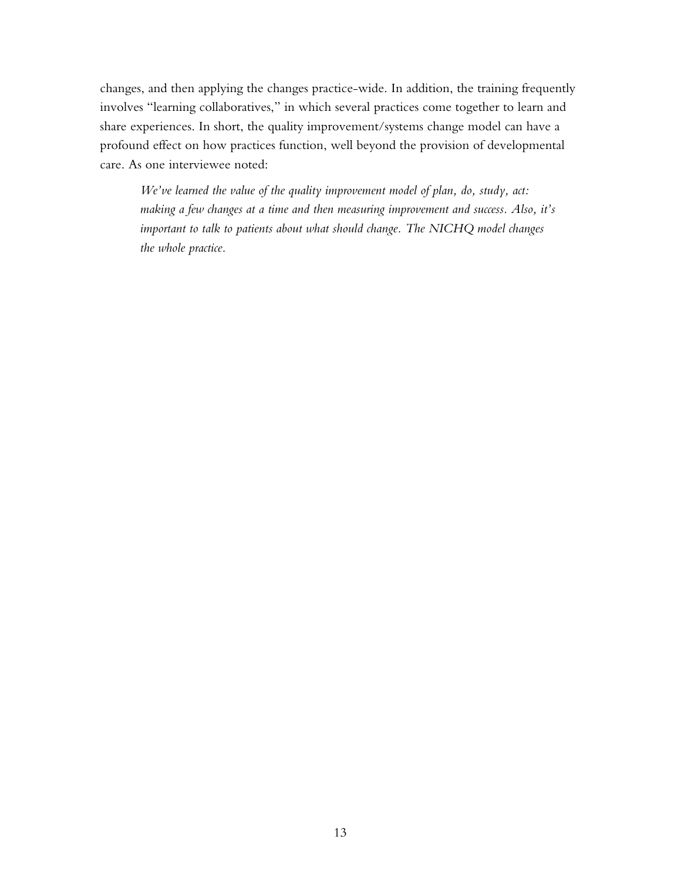changes, and then applying the changes practice-wide. In addition, the training frequently involves "learning collaboratives," in which several practices come together to learn and share experiences. In short, the quality improvement/systems change model can have a profound effect on how practices function, well beyond the provision of developmental care. As one interviewee noted:

*We've learned the value of the quality improvement model of plan, do, study, act: making a few changes at a time and then measuring improvement and success. Also, it's important to talk to patients about what should change. The NICHQ model changes the whole practice.*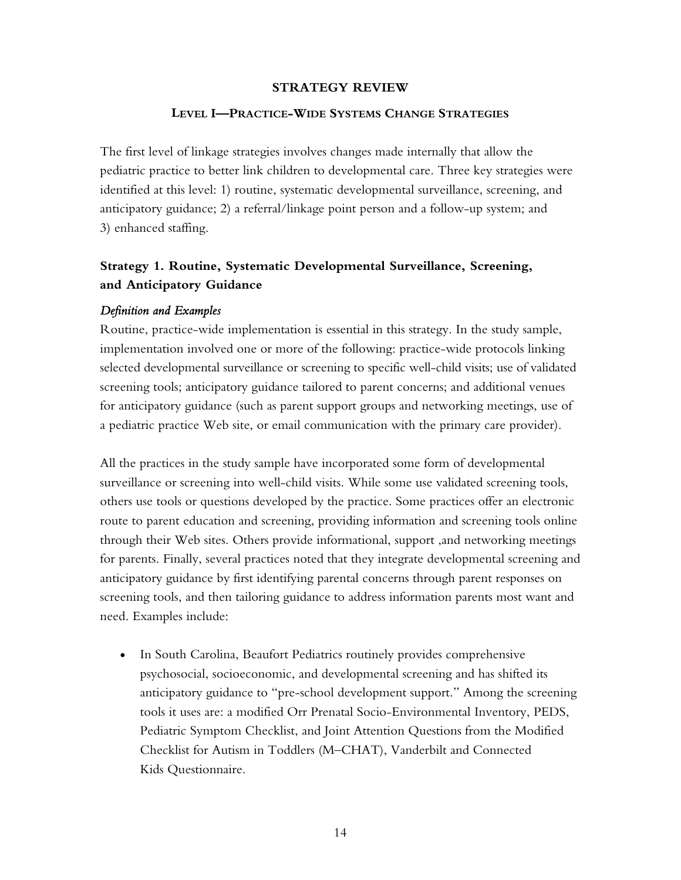#### **STRATEGY REVIEW**

#### **LEVEL I—PRACTICE-WIDE SYSTEMS CHANGE STRATEGIES**

The first level of linkage strategies involves changes made internally that allow the pediatric practice to better link children to developmental care. Three key strategies were identified at this level: 1) routine, systematic developmental surveillance, screening, and anticipatory guidance; 2) a referral/linkage point person and a follow-up system; and 3) enhanced staffing.

# **Strategy 1. Routine, Systematic Developmental Surveillance, Screening, and Anticipatory Guidance**

#### *Definition and Examples*

Routine, practice-wide implementation is essential in this strategy. In the study sample, implementation involved one or more of the following: practice-wide protocols linking selected developmental surveillance or screening to specific well-child visits; use of validated screening tools; anticipatory guidance tailored to parent concerns; and additional venues for anticipatory guidance (such as parent support groups and networking meetings, use of a pediatric practice Web site, or email communication with the primary care provider).

All the practices in the study sample have incorporated some form of developmental surveillance or screening into well-child visits. While some use validated screening tools, others use tools or questions developed by the practice. Some practices offer an electronic route to parent education and screening, providing information and screening tools online through their Web sites. Others provide informational, support ,and networking meetings for parents. Finally, several practices noted that they integrate developmental screening and anticipatory guidance by first identifying parental concerns through parent responses on screening tools, and then tailoring guidance to address information parents most want and need. Examples include:

• In South Carolina, Beaufort Pediatrics routinely provides comprehensive psychosocial, socioeconomic, and developmental screening and has shifted its anticipatory guidance to "pre-school development support." Among the screening tools it uses are: a modified Orr Prenatal Socio-Environmental Inventory, PEDS, Pediatric Symptom Checklist, and Joint Attention Questions from the Modified Checklist for Autism in Toddlers (M–CHAT), Vanderbilt and Connected Kids Questionnaire.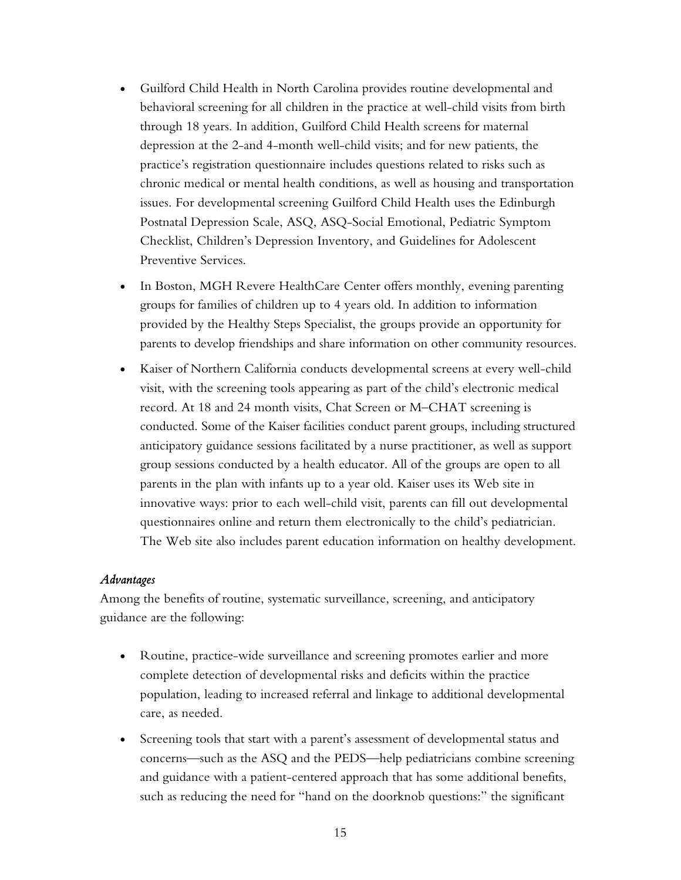- Guilford Child Health in North Carolina provides routine developmental and behavioral screening for all children in the practice at well-child visits from birth through 18 years. In addition, Guilford Child Health screens for maternal depression at the 2-and 4-month well-child visits; and for new patients, the practice's registration questionnaire includes questions related to risks such as chronic medical or mental health conditions, as well as housing and transportation issues. For developmental screening Guilford Child Health uses the Edinburgh Postnatal Depression Scale, ASQ, ASQ-Social Emotional, Pediatric Symptom Checklist, Children's Depression Inventory, and Guidelines for Adolescent Preventive Services.
- In Boston, MGH Revere HealthCare Center offers monthly, evening parenting groups for families of children up to 4 years old. In addition to information provided by the Healthy Steps Specialist, the groups provide an opportunity for parents to develop friendships and share information on other community resources.
- Kaiser of Northern California conducts developmental screens at every well-child visit, with the screening tools appearing as part of the child's electronic medical record. At 18 and 24 month visits, Chat Screen or M–CHAT screening is conducted. Some of the Kaiser facilities conduct parent groups, including structured anticipatory guidance sessions facilitated by a nurse practitioner, as well as support group sessions conducted by a health educator. All of the groups are open to all parents in the plan with infants up to a year old. Kaiser uses its Web site in innovative ways: prior to each well-child visit, parents can fill out developmental questionnaires online and return them electronically to the child's pediatrician. The Web site also includes parent education information on healthy development.

### *Advantages*

Among the benefits of routine, systematic surveillance, screening, and anticipatory guidance are the following:

- Routine, practice-wide surveillance and screening promotes earlier and more complete detection of developmental risks and deficits within the practice population, leading to increased referral and linkage to additional developmental care, as needed.
- Screening tools that start with a parent's assessment of developmental status and concerns—such as the ASQ and the PEDS—help pediatricians combine screening and guidance with a patient-centered approach that has some additional benefits, such as reducing the need for "hand on the doorknob questions:" the significant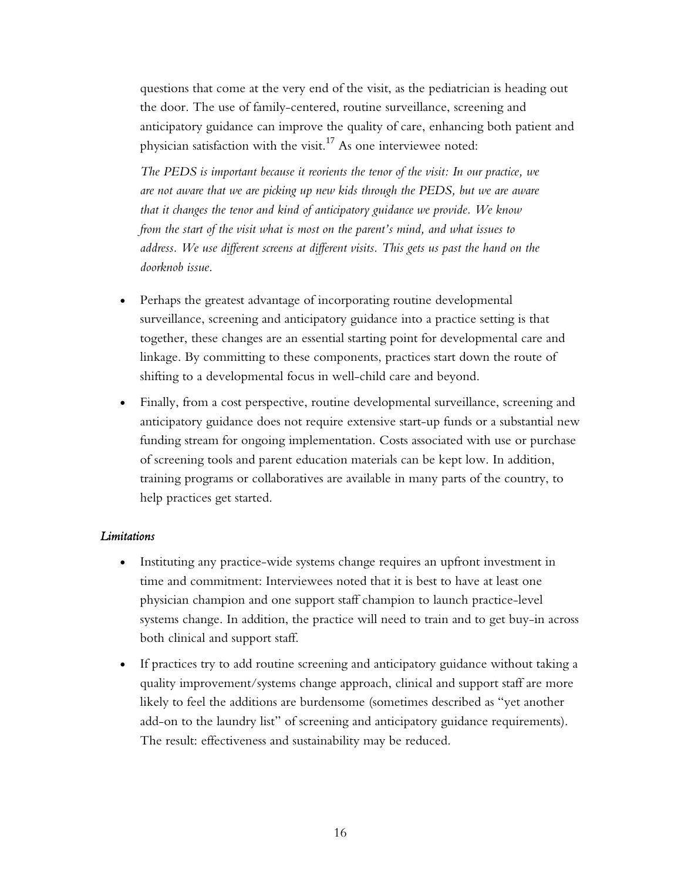questions that come at the very end of the visit, as the pediatrician is heading out the door. The use of family-centered, routine surveillance, screening and anticipatory guidance can improve the quality of care, enhancing both patient and physician satisfaction with the visit.<sup>17</sup> As one interviewee noted:

*The PEDS is important because it reorients the tenor of the visit: In our practice, we are not aware that we are picking up new kids through the PEDS, but we are aware that it changes the tenor and kind of anticipatory guidance we provide. We know from the start of the visit what is most on the parent's mind, and what issues to address. We use different screens at different visits. This gets us past the hand on the doorknob issue.* 

- Perhaps the greatest advantage of incorporating routine developmental surveillance, screening and anticipatory guidance into a practice setting is that together, these changes are an essential starting point for developmental care and linkage. By committing to these components, practices start down the route of shifting to a developmental focus in well-child care and beyond.
- Finally, from a cost perspective, routine developmental surveillance, screening and anticipatory guidance does not require extensive start-up funds or a substantial new funding stream for ongoing implementation. Costs associated with use or purchase of screening tools and parent education materials can be kept low. In addition, training programs or collaboratives are available in many parts of the country, to help practices get started.

### *Limitations*

- Instituting any practice-wide systems change requires an upfront investment in time and commitment: Interviewees noted that it is best to have at least one physician champion and one support staff champion to launch practice-level systems change. In addition, the practice will need to train and to get buy-in across both clinical and support staff.
- If practices try to add routine screening and anticipatory guidance without taking a quality improvement/systems change approach, clinical and support staff are more likely to feel the additions are burdensome (sometimes described as "yet another add-on to the laundry list" of screening and anticipatory guidance requirements). The result: effectiveness and sustainability may be reduced.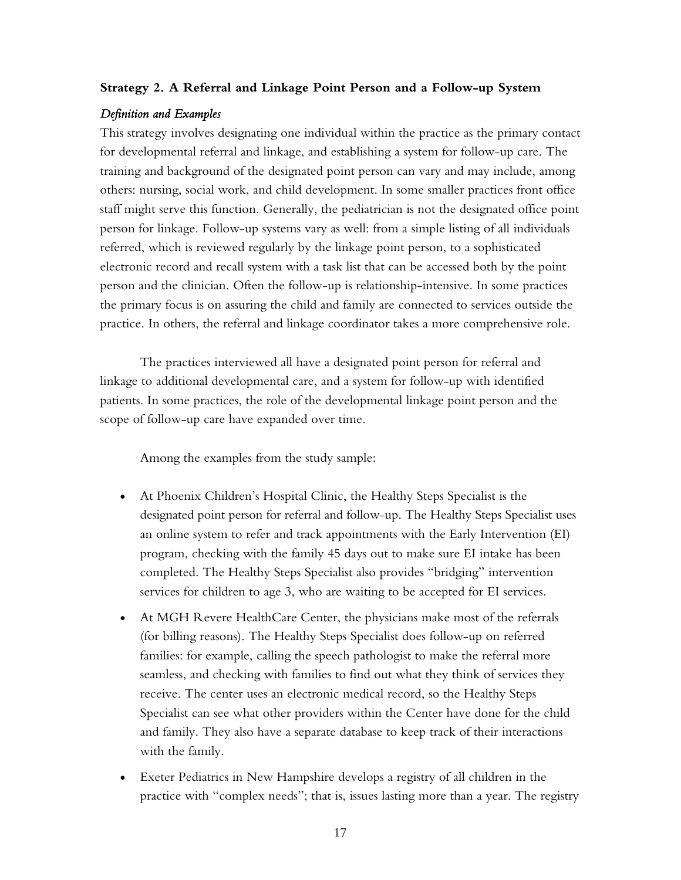### **Strategy 2. A Referral and Linkage Point Person and a Follow-up System**

### *Definition and Examples*

This strategy involves designating one individual within the practice as the primary contact for developmental referral and linkage, and establishing a system for follow-up care. The training and background of the designated point person can vary and may include, among others: nursing, social work, and child development. In some smaller practices front office staff might serve this function. Generally, the pediatrician is not the designated office point person for linkage. Follow-up systems vary as well: from a simple listing of all individuals referred, which is reviewed regularly by the linkage point person, to a sophisticated electronic record and recall system with a task list that can be accessed both by the point person and the clinician. Often the follow-up is relationship-intensive. In some practices the primary focus is on assuring the child and family are connected to services outside the practice. In others, the referral and linkage coordinator takes a more comprehensive role.

The practices interviewed all have a designated point person for referral and linkage to additional developmental care, and a system for follow-up with identified patients. In some practices, the role of the developmental linkage point person and the scope of follow-up care have expanded over time.

Among the examples from the study sample:

- At Phoenix Children's Hospital Clinic, the Healthy Steps Specialist is the designated point person for referral and follow-up. The Healthy Steps Specialist uses an online system to refer and track appointments with the Early Intervention (EI) program, checking with the family 45 days out to make sure EI intake has been completed. The Healthy Steps Specialist also provides "bridging" intervention services for children to age 3, who are waiting to be accepted for EI services.
- At MGH Revere HealthCare Center, the physicians make most of the referrals (for billing reasons). The Healthy Steps Specialist does follow-up on referred families: for example, calling the speech pathologist to make the referral more seamless, and checking with families to find out what they think of services they receive. The center uses an electronic medical record, so the Healthy Steps Specialist can see what other providers within the Center have done for the child and family. They also have a separate database to keep track of their interactions with the family.
- Exeter Pediatrics in New Hampshire develops a registry of all children in the practice with "complex needs"; that is, issues lasting more than a year. The registry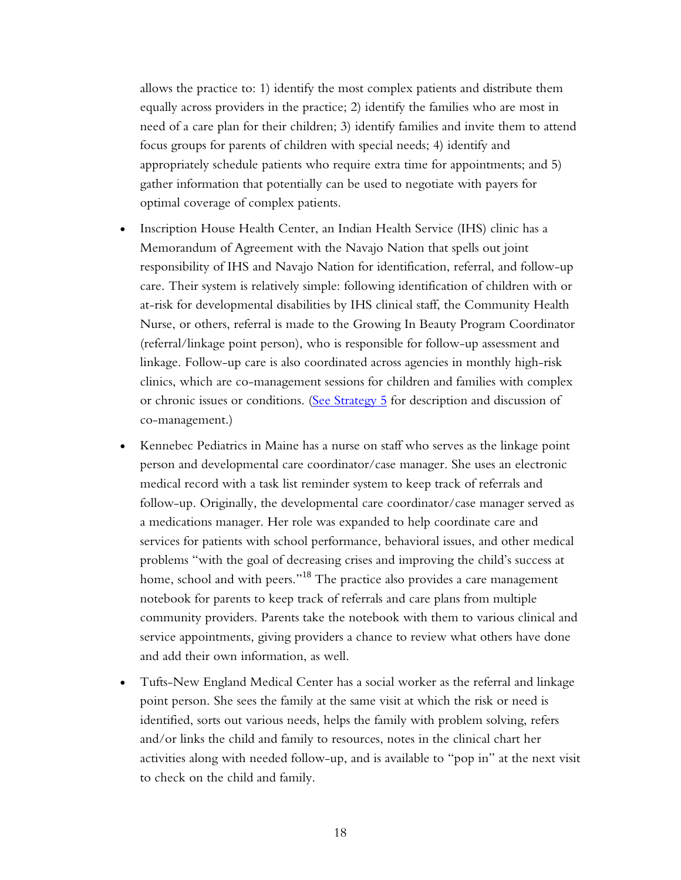allows the practice to: 1) identify the most complex patients and distribute them equally across providers in the practice; 2) identify the families who are most in need of a care plan for their children; 3) identify families and invite them to attend focus groups for parents of children with special needs; 4) identify and appropriately schedule patients who require extra time for appointments; and 5) gather information that potentially can be used to negotiate with payers for optimal coverage of complex patients.

- Inscription House Health Center, an Indian Health Service (IHS) clinic has a Memorandum of Agreement with the Navajo Nation that spells out joint responsibility of IHS and Navajo Nation for identification, referral, and follow-up care. Their system is relatively simple: following identification of children with or at-risk for developmental disabilities by IHS clinical staff, the Community Health Nurse, or others, referral is made to the Growing In Beauty Program Coordinator (referral/linkage point person), who is responsible for follow-up assessment and linkage. Follow-up care is also coordinated across agencies in monthly high-risk clinics, which are co-management sessions for children and families with complex or chronic issues or conditions. [\(See Strategy 5](#page-35-0) for description and discussion of co-management.)
- Kennebec Pediatrics in Maine has a nurse on staff who serves as the linkage point person and developmental care coordinator/case manager. She uses an electronic medical record with a task list reminder system to keep track of referrals and follow-up. Originally, the developmental care coordinator/case manager served as a medications manager. Her role was expanded to help coordinate care and services for patients with school performance, behavioral issues, and other medical problems "with the goal of decreasing crises and improving the child's success at home, school and with peers."<sup>18</sup> The practice also provides a care management notebook for parents to keep track of referrals and care plans from multiple community providers. Parents take the notebook with them to various clinical and service appointments, giving providers a chance to review what others have done and add their own information, as well.
- Tufts-New England Medical Center has a social worker as the referral and linkage point person. She sees the family at the same visit at which the risk or need is identified, sorts out various needs, helps the family with problem solving, refers and/or links the child and family to resources, notes in the clinical chart her activities along with needed follow-up, and is available to "pop in" at the next visit to check on the child and family.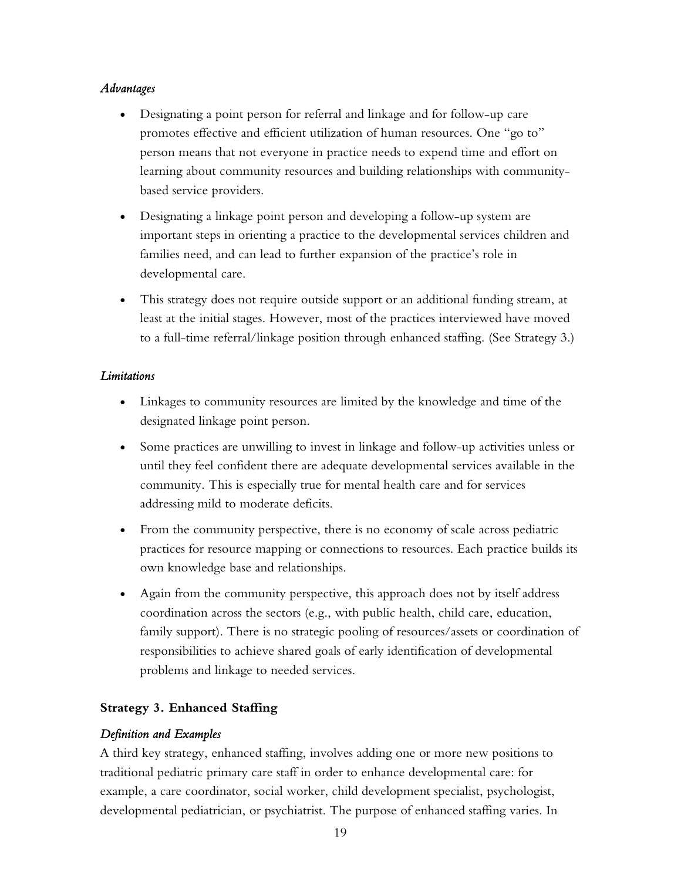### *Advantages*

- Designating a point person for referral and linkage and for follow-up care promotes effective and efficient utilization of human resources. One "go to" person means that not everyone in practice needs to expend time and effort on learning about community resources and building relationships with communitybased service providers.
- Designating a linkage point person and developing a follow-up system are important steps in orienting a practice to the developmental services children and families need, and can lead to further expansion of the practice's role in developmental care.
- This strategy does not require outside support or an additional funding stream, at least at the initial stages. However, most of the practices interviewed have moved to a full-time referral/linkage position through enhanced staffing. (See Strategy 3.)

### *Limitations*

- Linkages to community resources are limited by the knowledge and time of the designated linkage point person.
- Some practices are unwilling to invest in linkage and follow-up activities unless or until they feel confident there are adequate developmental services available in the community. This is especially true for mental health care and for services addressing mild to moderate deficits.
- From the community perspective, there is no economy of scale across pediatric practices for resource mapping or connections to resources. Each practice builds its own knowledge base and relationships.
- Again from the community perspective, this approach does not by itself address coordination across the sectors (e.g., with public health, child care, education, family support). There is no strategic pooling of resources/assets or coordination of responsibilities to achieve shared goals of early identification of developmental problems and linkage to needed services.

# **Strategy 3. Enhanced Staffing**

# *Definition and Examples*

A third key strategy, enhanced staffing, involves adding one or more new positions to traditional pediatric primary care staff in order to enhance developmental care: for example, a care coordinator, social worker, child development specialist, psychologist, developmental pediatrician, or psychiatrist. The purpose of enhanced staffing varies. In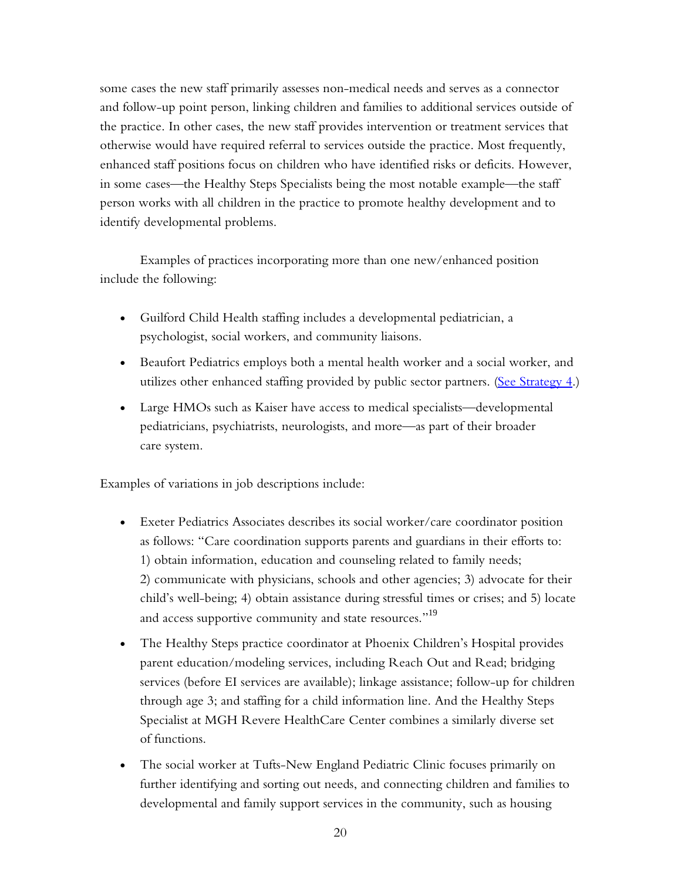some cases the new staff primarily assesses non-medical needs and serves as a connector and follow-up point person, linking children and families to additional services outside of the practice. In other cases, the new staff provides intervention or treatment services that otherwise would have required referral to services outside the practice. Most frequently, enhanced staff positions focus on children who have identified risks or deficits. However, in some cases—the Healthy Steps Specialists being the most notable example—the staff person works with all children in the practice to promote healthy development and to identify developmental problems.

Examples of practices incorporating more than one new/enhanced position include the following:

- Guilford Child Health staffing includes a developmental pediatrician, a psychologist, social workers, and community liaisons.
- Beaufort Pediatrics employs both a mental health worker and a social worker, and utilizes other enhanced staffing provided by public sector partners. (See Strategy  $4$ .)
- Large HMOs such as Kaiser have access to medical specialists—developmental pediatricians, psychiatrists, neurologists, and more—as part of their broader care system.

Examples of variations in job descriptions include:

- Exeter Pediatrics Associates describes its social worker/care coordinator position as follows: "Care coordination supports parents and guardians in their efforts to: 1) obtain information, education and counseling related to family needs; 2) communicate with physicians, schools and other agencies; 3) advocate for their child's well-being; 4) obtain assistance during stressful times or crises; and 5) locate and access supportive community and state resources."<sup>19</sup>
- The Healthy Steps practice coordinator at Phoenix Children's Hospital provides parent education/modeling services, including Reach Out and Read; bridging services (before EI services are available); linkage assistance; follow-up for children through age 3; and staffing for a child information line. And the Healthy Steps Specialist at MGH Revere HealthCare Center combines a similarly diverse set of functions.
- The social worker at Tufts-New England Pediatric Clinic focuses primarily on further identifying and sorting out needs, and connecting children and families to developmental and family support services in the community, such as housing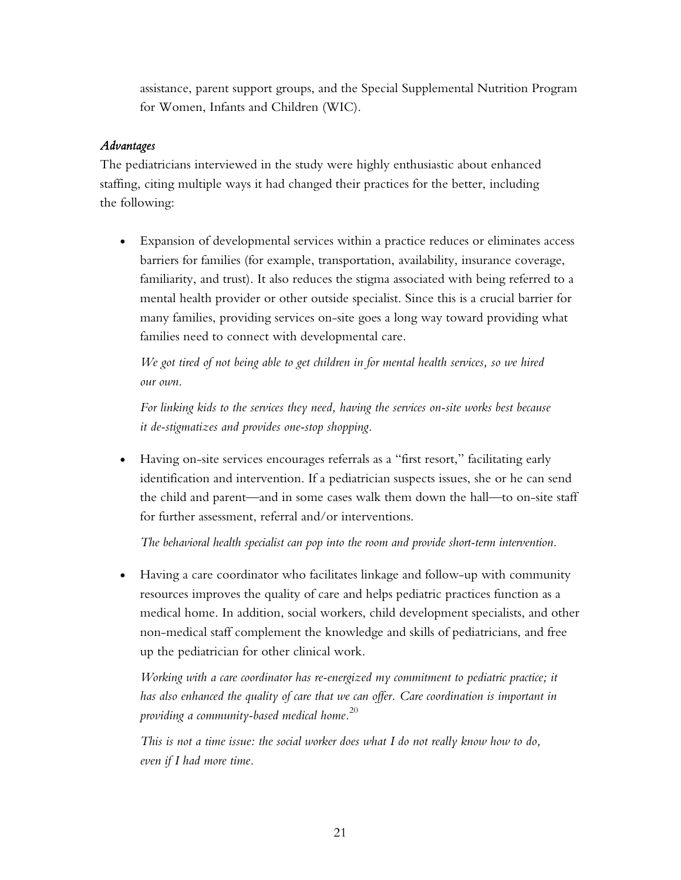assistance, parent support groups, and the Special Supplemental Nutrition Program for Women, Infants and Children (WIC).

## *Advantages*

The pediatricians interviewed in the study were highly enthusiastic about enhanced staffing, citing multiple ways it had changed their practices for the better, including the following:

• Expansion of developmental services within a practice reduces or eliminates access barriers for families (for example, transportation, availability, insurance coverage, familiarity, and trust). It also reduces the stigma associated with being referred to a mental health provider or other outside specialist. Since this is a crucial barrier for many families, providing services on-site goes a long way toward providing what families need to connect with developmental care.

*We got tired of not being able to get children in for mental health services, so we hired our own.* 

*For linking kids to the services they need, having the services on-site works best because it de-stigmatizes and provides one-stop shopping.* 

• Having on-site services encourages referrals as a "first resort," facilitating early identification and intervention. If a pediatrician suspects issues, she or he can send the child and parent—and in some cases walk them down the hall—to on-site staff for further assessment, referral and/or interventions.

*The behavioral health specialist can pop into the room and provide short-term intervention.* 

• Having a care coordinator who facilitates linkage and follow-up with community resources improves the quality of care and helps pediatric practices function as a medical home. In addition, social workers, child development specialists, and other non-medical staff complement the knowledge and skills of pediatricians, and free up the pediatrician for other clinical work.

*Working with a care coordinator has re-energized my commitment to pediatric practice; it has also enhanced the quality of care that we can offer. Care coordination is important in providing a community-based medical home.*<sup>20</sup>

*This is not a time issue: the social worker does what I do not really know how to do, even if I had more time.*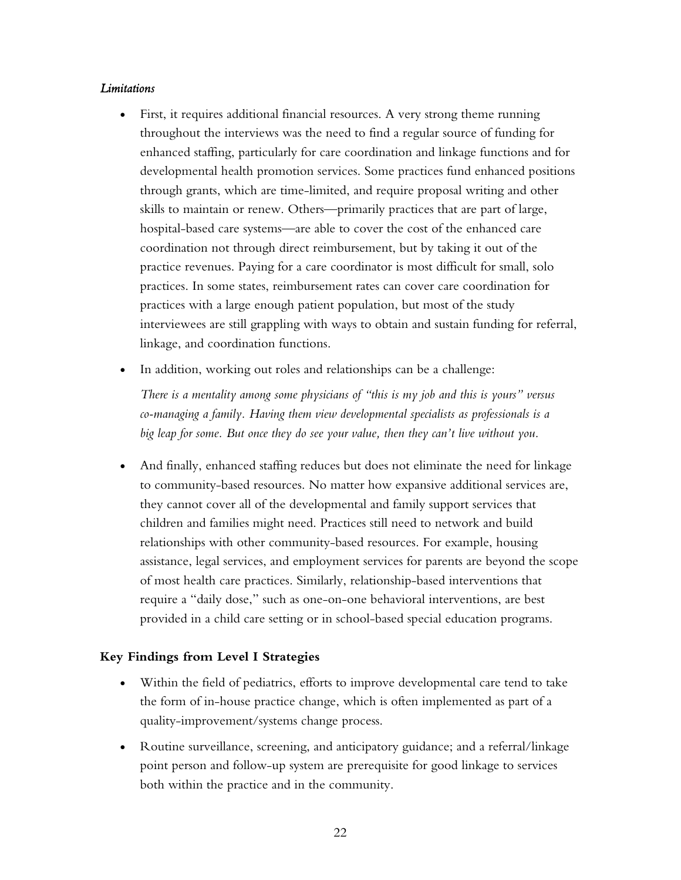#### *Limitations*

- First, it requires additional financial resources. A very strong theme running throughout the interviews was the need to find a regular source of funding for enhanced staffing, particularly for care coordination and linkage functions and for developmental health promotion services. Some practices fund enhanced positions through grants, which are time-limited, and require proposal writing and other skills to maintain or renew. Others—primarily practices that are part of large, hospital-based care systems—are able to cover the cost of the enhanced care coordination not through direct reimbursement, but by taking it out of the practice revenues. Paying for a care coordinator is most difficult for small, solo practices. In some states, reimbursement rates can cover care coordination for practices with a large enough patient population, but most of the study interviewees are still grappling with ways to obtain and sustain funding for referral, linkage, and coordination functions.
- In addition, working out roles and relationships can be a challenge:

*There is a mentality among some physicians of "this is my job and this is yours" versus co-managing a family. Having them view developmental specialists as professionals is a big leap for some. But once they do see your value, then they can't live without you.* 

• And finally, enhanced staffing reduces but does not eliminate the need for linkage to community-based resources. No matter how expansive additional services are, they cannot cover all of the developmental and family support services that children and families might need. Practices still need to network and build relationships with other community-based resources. For example, housing assistance, legal services, and employment services for parents are beyond the scope of most health care practices. Similarly, relationship-based interventions that require a "daily dose," such as one-on-one behavioral interventions, are best provided in a child care setting or in school-based special education programs.

### **Key Findings from Level I Strategies**

- Within the field of pediatrics, efforts to improve developmental care tend to take the form of in-house practice change, which is often implemented as part of a quality-improvement/systems change process.
- Routine surveillance, screening, and anticipatory guidance; and a referral/linkage point person and follow-up system are prerequisite for good linkage to services both within the practice and in the community.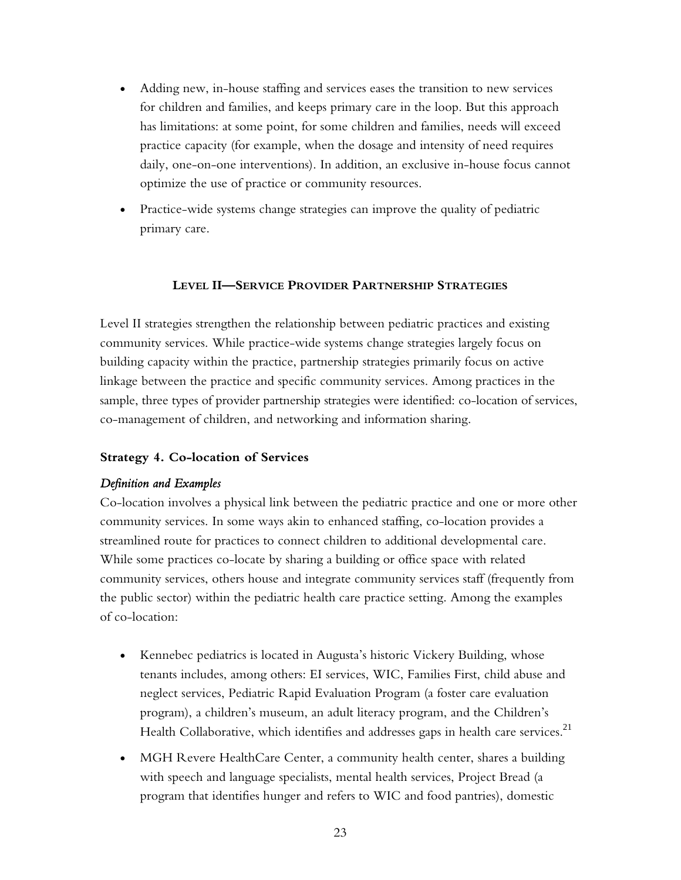- <span id="page-32-0"></span>• Adding new, in-house staffing and services eases the transition to new services for children and families, and keeps primary care in the loop. But this approach has limitations: at some point, for some children and families, needs will exceed practice capacity (for example, when the dosage and intensity of need requires daily, one-on-one interventions). In addition, an exclusive in-house focus cannot optimize the use of practice or community resources.
- Practice-wide systems change strategies can improve the quality of pediatric primary care.

### **LEVEL II—SERVICE PROVIDER PARTNERSHIP STRATEGIES**

Level II strategies strengthen the relationship between pediatric practices and existing community services. While practice-wide systems change strategies largely focus on building capacity within the practice, partnership strategies primarily focus on active linkage between the practice and specific community services. Among practices in the sample, three types of provider partnership strategies were identified: co-location of services, co-management of children, and networking and information sharing.

### **Strategy 4. Co-location of Services**

### *Definition and Examples*

Co-location involves a physical link between the pediatric practice and one or more other community services. In some ways akin to enhanced staffing, co-location provides a streamlined route for practices to connect children to additional developmental care. While some practices co-locate by sharing a building or office space with related community services, others house and integrate community services staff (frequently from the public sector) within the pediatric health care practice setting. Among the examples of co-location:

- Kennebec pediatrics is located in Augusta's historic Vickery Building, whose tenants includes, among others: EI services, WIC, Families First, child abuse and neglect services, Pediatric Rapid Evaluation Program (a foster care evaluation program), a children's museum, an adult literacy program, and the Children's Health Collaborative, which identifies and addresses gaps in health care services.<sup>21</sup>
- MGH Revere HealthCare Center, a community health center, shares a building with speech and language specialists, mental health services, Project Bread (a program that identifies hunger and refers to WIC and food pantries), domestic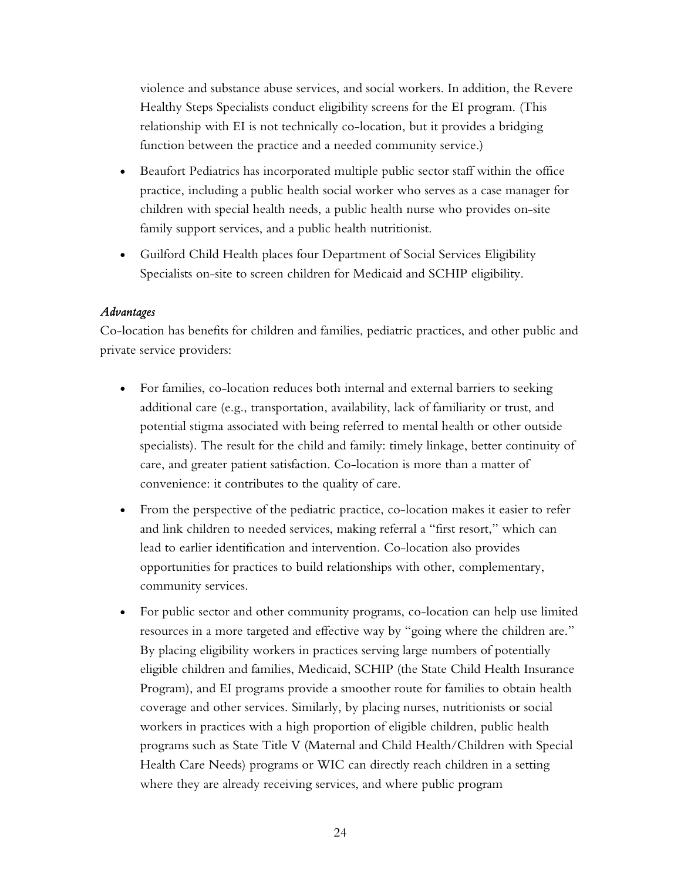violence and substance abuse services, and social workers. In addition, the Revere Healthy Steps Specialists conduct eligibility screens for the EI program. (This relationship with EI is not technically co-location, but it provides a bridging function between the practice and a needed community service.)

- Beaufort Pediatrics has incorporated multiple public sector staff within the office practice, including a public health social worker who serves as a case manager for children with special health needs, a public health nurse who provides on-site family support services, and a public health nutritionist.
- Guilford Child Health places four Department of Social Services Eligibility Specialists on-site to screen children for Medicaid and SCHIP eligibility.

# *Advantages*

Co-location has benefits for children and families, pediatric practices, and other public and private service providers:

- For families, co-location reduces both internal and external barriers to seeking additional care (e.g., transportation, availability, lack of familiarity or trust, and potential stigma associated with being referred to mental health or other outside specialists). The result for the child and family: timely linkage, better continuity of care, and greater patient satisfaction. Co-location is more than a matter of convenience: it contributes to the quality of care.
- From the perspective of the pediatric practice, co-location makes it easier to refer and link children to needed services, making referral a "first resort," which can lead to earlier identification and intervention. Co-location also provides opportunities for practices to build relationships with other, complementary, community services.
- For public sector and other community programs, co-location can help use limited resources in a more targeted and effective way by "going where the children are." By placing eligibility workers in practices serving large numbers of potentially eligible children and families, Medicaid, SCHIP (the State Child Health Insurance Program), and EI programs provide a smoother route for families to obtain health coverage and other services. Similarly, by placing nurses, nutritionists or social workers in practices with a high proportion of eligible children, public health programs such as State Title V (Maternal and Child Health/Children with Special Health Care Needs) programs or WIC can directly reach children in a setting where they are already receiving services, and where public program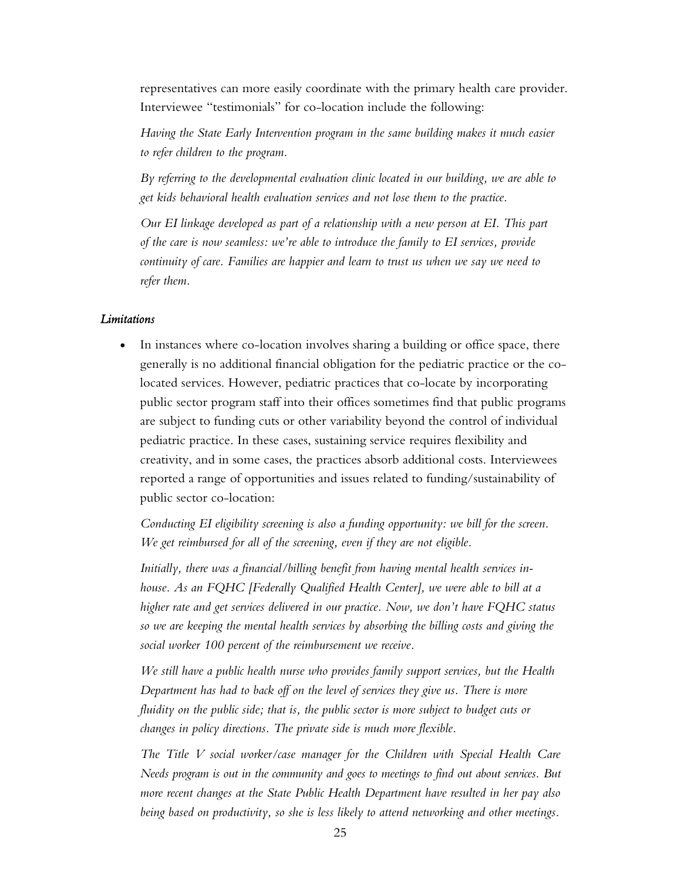representatives can more easily coordinate with the primary health care provider. Interviewee "testimonials" for co-location include the following:

*Having the State Early Intervention program in the same building makes it much easier to refer children to the program.* 

*By referring to the developmental evaluation clinic located in our building, we are able to get kids behavioral health evaluation services and not lose them to the practice.* 

*Our EI linkage developed as part of a relationship with a new person at EI. This part of the care is now seamless: we're able to introduce the family to EI services, provide continuity of care. Families are happier and learn to trust us when we say we need to refer them.* 

### *Limitations*

• In instances where co-location involves sharing a building or office space, there generally is no additional financial obligation for the pediatric practice or the colocated services. However, pediatric practices that co-locate by incorporating public sector program staff into their offices sometimes find that public programs are subject to funding cuts or other variability beyond the control of individual pediatric practice. In these cases, sustaining service requires flexibility and creativity, and in some cases, the practices absorb additional costs. Interviewees reported a range of opportunities and issues related to funding/sustainability of public sector co-location:

*Conducting EI eligibility screening is also a funding opportunity: we bill for the screen. We get reimbursed for all of the screening, even if they are not eligible.* 

*Initially, there was a financial/billing benefit from having mental health services inhouse. As an FQHC [Federally Qualified Health Center], we were able to bill at a higher rate and get services delivered in our practice. Now, we don't have FQHC status so we are keeping the mental health services by absorbing the billing costs and giving the social worker 100 percent of the reimbursement we receive.* 

*We still have a public health nurse who provides family support services, but the Health*  Department has had to back off on the level of services they give us. There is more *fluidity on the public side; that is, the public sector is more subject to budget cuts or changes in policy directions. The private side is much more flexible.* 

*The Title V social worker/case manager for the Children with Special Health Care Needs program is out in the community and goes to meetings to find out about services. But more recent changes at the State Public Health Department have resulted in her pay also being based on productivity, so she is less likely to attend networking and other meetings.*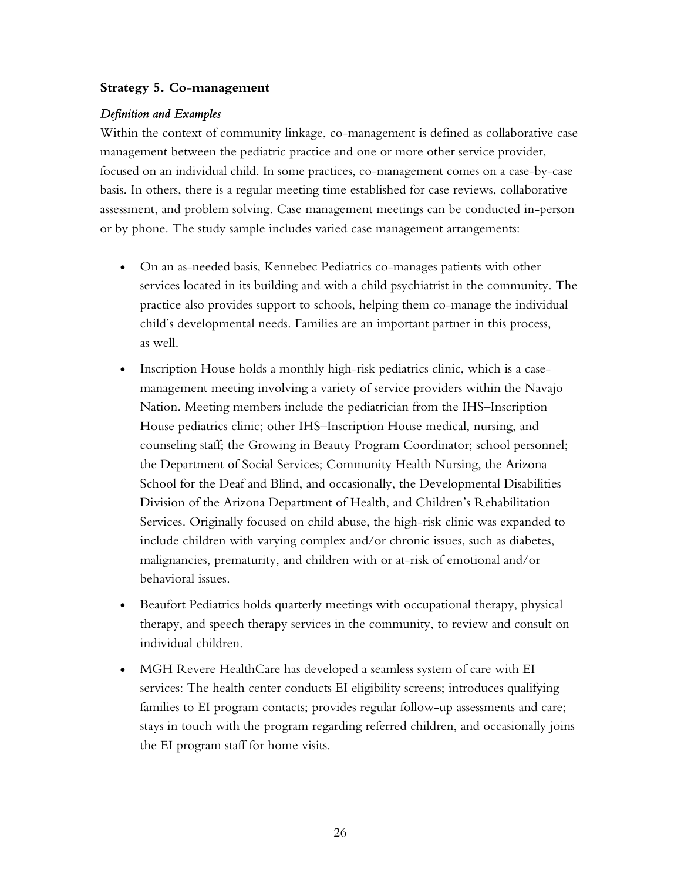### <span id="page-35-0"></span>**Strategy 5. Co-management**

### *Definition and Examples*

Within the context of community linkage, co-management is defined as collaborative case management between the pediatric practice and one or more other service provider, focused on an individual child. In some practices, co-management comes on a case-by-case basis. In others, there is a regular meeting time established for case reviews, collaborative assessment, and problem solving. Case management meetings can be conducted in-person or by phone. The study sample includes varied case management arrangements:

- On an as-needed basis, Kennebec Pediatrics co-manages patients with other services located in its building and with a child psychiatrist in the community. The practice also provides support to schools, helping them co-manage the individual child's developmental needs. Families are an important partner in this process, as well.
- Inscription House holds a monthly high-risk pediatrics clinic, which is a casemanagement meeting involving a variety of service providers within the Navajo Nation. Meeting members include the pediatrician from the IHS–Inscription House pediatrics clinic; other IHS–Inscription House medical, nursing, and counseling staff; the Growing in Beauty Program Coordinator; school personnel; the Department of Social Services; Community Health Nursing, the Arizona School for the Deaf and Blind, and occasionally, the Developmental Disabilities Division of the Arizona Department of Health, and Children's Rehabilitation Services. Originally focused on child abuse, the high-risk clinic was expanded to include children with varying complex and/or chronic issues, such as diabetes, malignancies, prematurity, and children with or at-risk of emotional and/or behavioral issues.
- Beaufort Pediatrics holds quarterly meetings with occupational therapy, physical therapy, and speech therapy services in the community, to review and consult on individual children.
- MGH Revere HealthCare has developed a seamless system of care with EI services: The health center conducts EI eligibility screens; introduces qualifying families to EI program contacts; provides regular follow-up assessments and care; stays in touch with the program regarding referred children, and occasionally joins the EI program staff for home visits.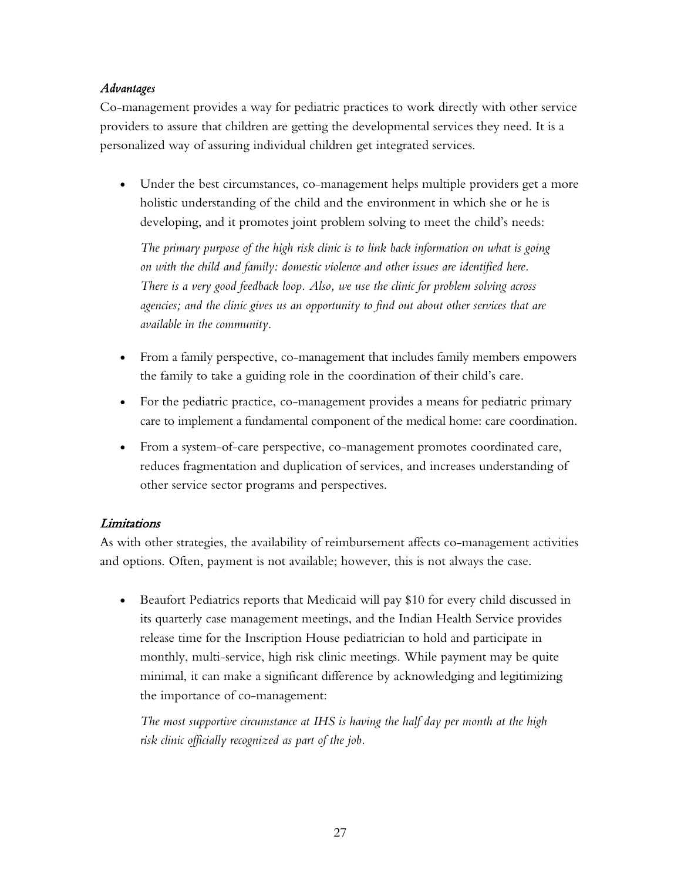## *Advantages*

Co-management provides a way for pediatric practices to work directly with other service providers to assure that children are getting the developmental services they need. It is a personalized way of assuring individual children get integrated services.

• Under the best circumstances, co-management helps multiple providers get a more holistic understanding of the child and the environment in which she or he is developing, and it promotes joint problem solving to meet the child's needs:

*The primary purpose of the high risk clinic is to link back information on what is going on with the child and family: domestic violence and other issues are identified here. There is a very good feedback loop. Also, we use the clinic for problem solving across agencies; and the clinic gives us an opportunity to find out about other services that are available in the community.* 

- From a family perspective, co-management that includes family members empowers the family to take a guiding role in the coordination of their child's care.
- For the pediatric practice, co-management provides a means for pediatric primary care to implement a fundamental component of the medical home: care coordination.
- From a system-of-care perspective, co-management promotes coordinated care, reduces fragmentation and duplication of services, and increases understanding of other service sector programs and perspectives.

# Limitations

As with other strategies, the availability of reimbursement affects co-management activities and options. Often, payment is not available; however, this is not always the case.

• Beaufort Pediatrics reports that Medicaid will pay \$10 for every child discussed in its quarterly case management meetings, and the Indian Health Service provides release time for the Inscription House pediatrician to hold and participate in monthly, multi-service, high risk clinic meetings. While payment may be quite minimal, it can make a significant difference by acknowledging and legitimizing the importance of co-management:

*The most supportive circumstance at IHS is having the half day per month at the high risk clinic officially recognized as part of the job.*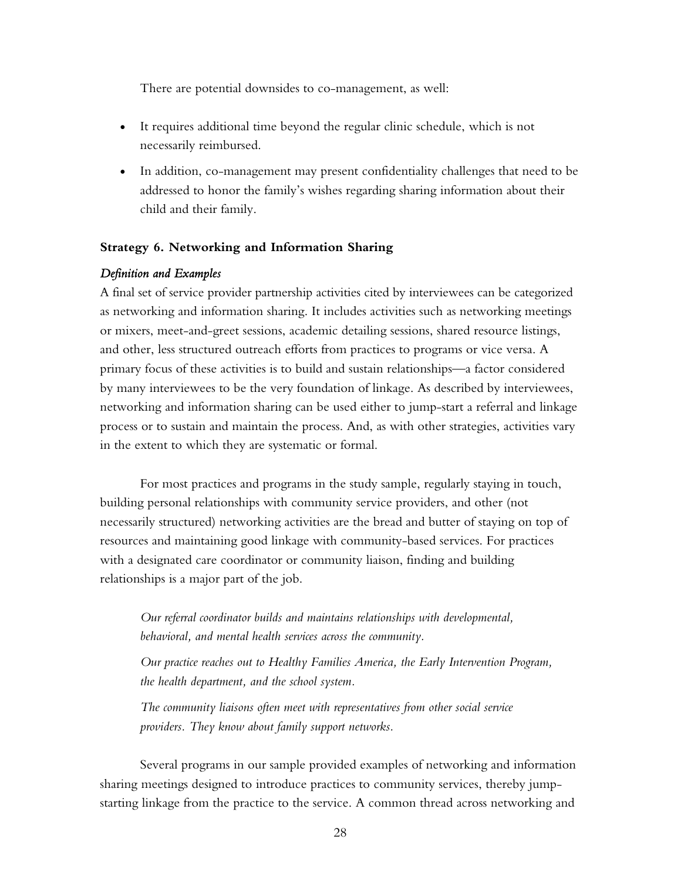There are potential downsides to co-management, as well:

- It requires additional time beyond the regular clinic schedule, which is not necessarily reimbursed.
- In addition, co-management may present confidentiality challenges that need to be addressed to honor the family's wishes regarding sharing information about their child and their family.

### **Strategy 6. Networking and Information Sharing**

### *Definition and Examples*

A final set of service provider partnership activities cited by interviewees can be categorized as networking and information sharing. It includes activities such as networking meetings or mixers, meet-and-greet sessions, academic detailing sessions, shared resource listings, and other, less structured outreach efforts from practices to programs or vice versa. A primary focus of these activities is to build and sustain relationships—a factor considered by many interviewees to be the very foundation of linkage. As described by interviewees, networking and information sharing can be used either to jump-start a referral and linkage process or to sustain and maintain the process. And, as with other strategies, activities vary in the extent to which they are systematic or formal.

For most practices and programs in the study sample, regularly staying in touch, building personal relationships with community service providers, and other (not necessarily structured) networking activities are the bread and butter of staying on top of resources and maintaining good linkage with community-based services. For practices with a designated care coordinator or community liaison, finding and building relationships is a major part of the job.

*Our referral coordinator builds and maintains relationships with developmental, behavioral, and mental health services across the community.* 

*Our practice reaches out to Healthy Families America, the Early Intervention Program, the health department, and the school system.* 

*The community liaisons often meet with representatives from other social service providers. They know about family support networks.* 

Several programs in our sample provided examples of networking and information sharing meetings designed to introduce practices to community services, thereby jumpstarting linkage from the practice to the service. A common thread across networking and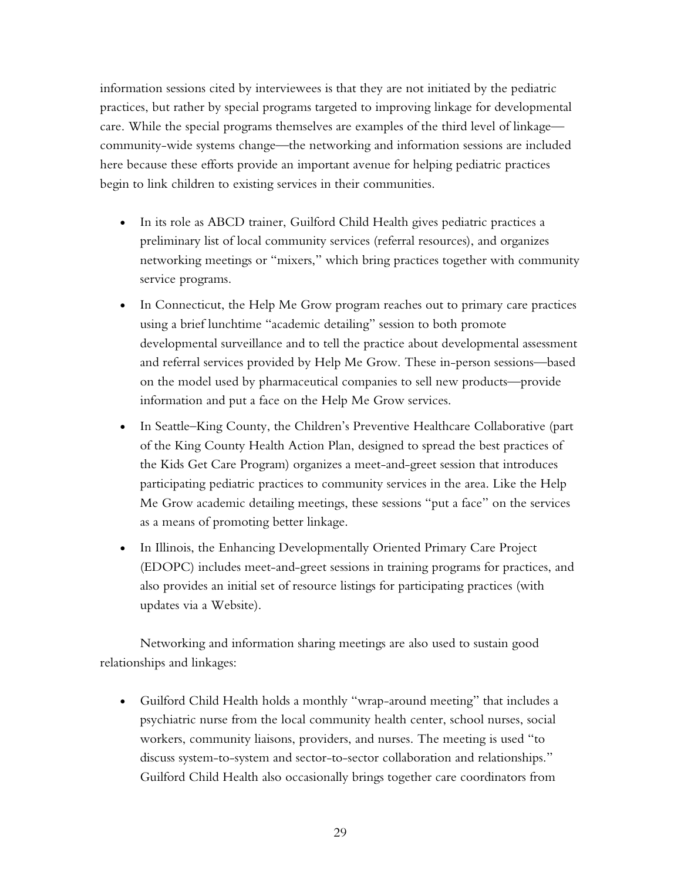information sessions cited by interviewees is that they are not initiated by the pediatric practices, but rather by special programs targeted to improving linkage for developmental care. While the special programs themselves are examples of the third level of linkage community-wide systems change—the networking and information sessions are included here because these efforts provide an important avenue for helping pediatric practices begin to link children to existing services in their communities.

- In its role as ABCD trainer, Guilford Child Health gives pediatric practices a preliminary list of local community services (referral resources), and organizes networking meetings or "mixers," which bring practices together with community service programs.
- In Connecticut, the Help Me Grow program reaches out to primary care practices using a brief lunchtime "academic detailing" session to both promote developmental surveillance and to tell the practice about developmental assessment and referral services provided by Help Me Grow. These in-person sessions—based on the model used by pharmaceutical companies to sell new products—provide information and put a face on the Help Me Grow services.
- In Seattle–King County, the Children's Preventive Healthcare Collaborative (part of the King County Health Action Plan, designed to spread the best practices of the Kids Get Care Program) organizes a meet-and-greet session that introduces participating pediatric practices to community services in the area. Like the Help Me Grow academic detailing meetings, these sessions "put a face" on the services as a means of promoting better linkage.
- In Illinois, the Enhancing Developmentally Oriented Primary Care Project (EDOPC) includes meet-and-greet sessions in training programs for practices, and also provides an initial set of resource listings for participating practices (with updates via a Website).

Networking and information sharing meetings are also used to sustain good relationships and linkages:

• Guilford Child Health holds a monthly "wrap-around meeting" that includes a psychiatric nurse from the local community health center, school nurses, social workers, community liaisons, providers, and nurses. The meeting is used "to discuss system-to-system and sector-to-sector collaboration and relationships." Guilford Child Health also occasionally brings together care coordinators from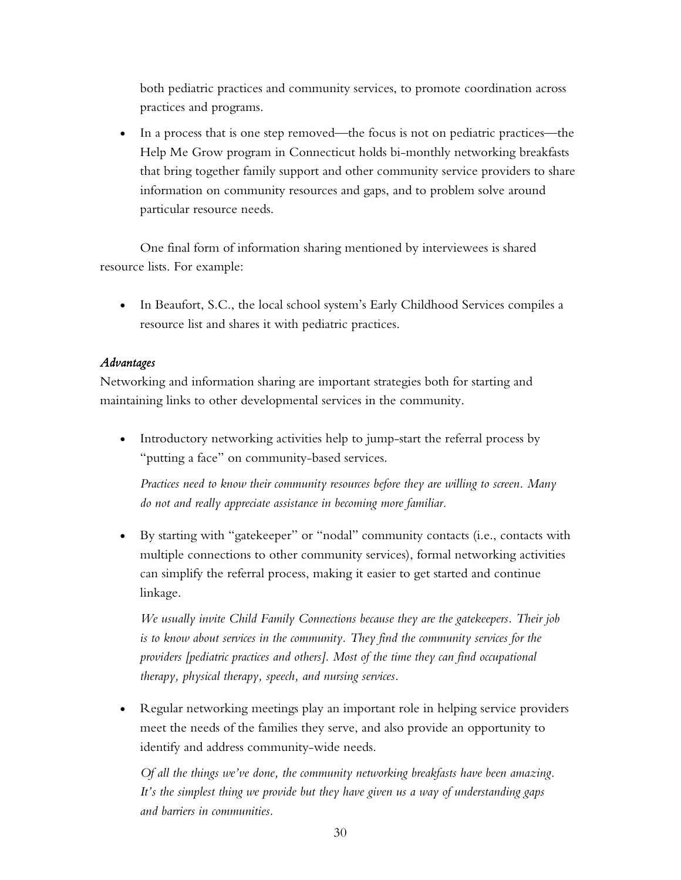both pediatric practices and community services, to promote coordination across practices and programs.

• In a process that is one step removed—the focus is not on pediatric practices—the Help Me Grow program in Connecticut holds bi-monthly networking breakfasts that bring together family support and other community service providers to share information on community resources and gaps, and to problem solve around particular resource needs.

One final form of information sharing mentioned by interviewees is shared resource lists. For example:

• In Beaufort, S.C., the local school system's Early Childhood Services compiles a resource list and shares it with pediatric practices.

# *Advantages*

Networking and information sharing are important strategies both for starting and maintaining links to other developmental services in the community.

• Introductory networking activities help to jump-start the referral process by "putting a face" on community-based services.

*Practices need to know their community resources before they are willing to screen. Many do not and really appreciate assistance in becoming more familiar.* 

• By starting with "gatekeeper" or "nodal" community contacts (i.e., contacts with multiple connections to other community services), formal networking activities can simplify the referral process, making it easier to get started and continue linkage.

*We usually invite Child Family Connections because they are the gatekeepers. Their job is to know about services in the community. They find the community services for the providers [pediatric practices and others]. Most of the time they can find occupational therapy, physical therapy, speech, and nursing services.* 

• Regular networking meetings play an important role in helping service providers meet the needs of the families they serve, and also provide an opportunity to identify and address community-wide needs.

*Of all the things we've done, the community networking breakfasts have been amazing. It's the simplest thing we provide but they have given us a way of understanding gaps and barriers in communities.*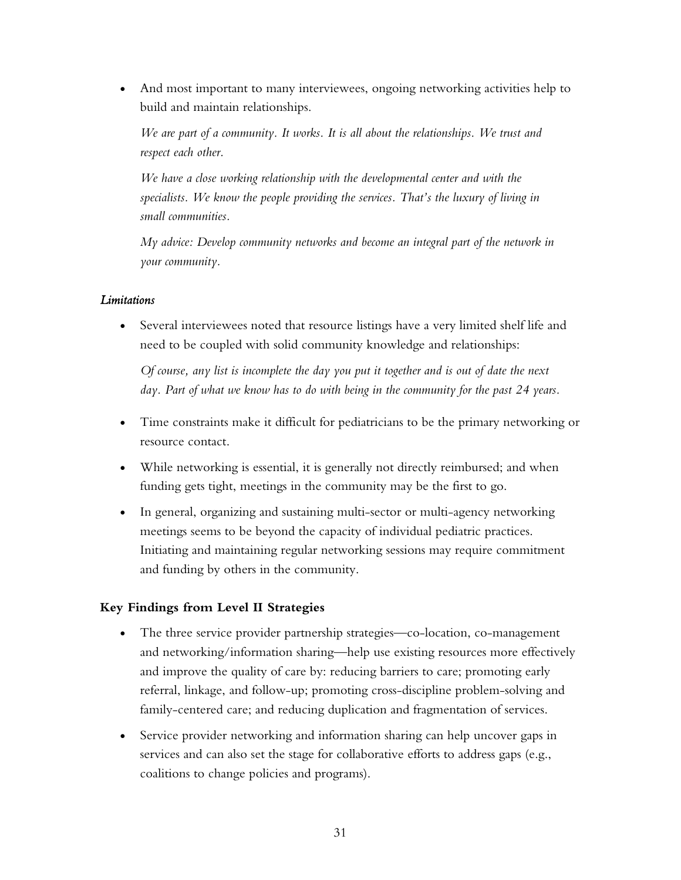• And most important to many interviewees, ongoing networking activities help to build and maintain relationships.

*We are part of a community. It works. It is all about the relationships. We trust and respect each other.* 

*We have a close working relationship with the developmental center and with the specialists. We know the people providing the services. That's the luxury of living in small communities.* 

*My advice: Develop community networks and become an integral part of the network in your community.* 

### *Limitations*

• Several interviewees noted that resource listings have a very limited shelf life and need to be coupled with solid community knowledge and relationships:

*Of course, any list is incomplete the day you put it together and is out of date the next*  day. Part of what we know has to do with being in the community for the past 24 years.

- Time constraints make it difficult for pediatricians to be the primary networking or resource contact.
- While networking is essential, it is generally not directly reimbursed; and when funding gets tight, meetings in the community may be the first to go.
- In general, organizing and sustaining multi-sector or multi-agency networking meetings seems to be beyond the capacity of individual pediatric practices. Initiating and maintaining regular networking sessions may require commitment and funding by others in the community.

# **Key Findings from Level II Strategies**

- The three service provider partnership strategies—co-location, co-management and networking/information sharing—help use existing resources more effectively and improve the quality of care by: reducing barriers to care; promoting early referral, linkage, and follow-up; promoting cross-discipline problem-solving and family-centered care; and reducing duplication and fragmentation of services.
- Service provider networking and information sharing can help uncover gaps in services and can also set the stage for collaborative efforts to address gaps (e.g., coalitions to change policies and programs).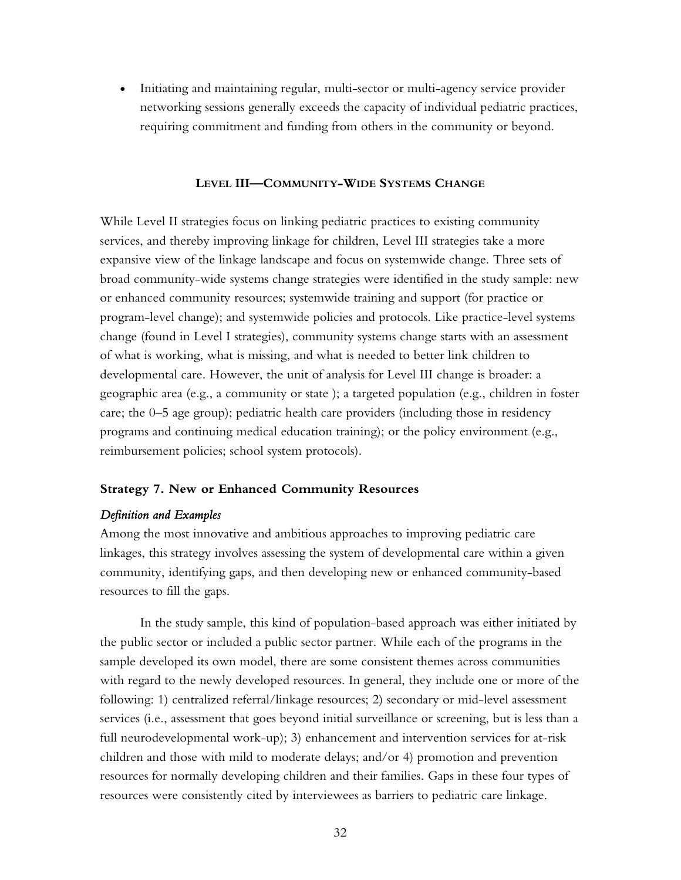• Initiating and maintaining regular, multi-sector or multi-agency service provider networking sessions generally exceeds the capacity of individual pediatric practices, requiring commitment and funding from others in the community or beyond.

#### **LEVEL III—COMMUNITY-WIDE SYSTEMS CHANGE**

While Level II strategies focus on linking pediatric practices to existing community services, and thereby improving linkage for children, Level III strategies take a more expansive view of the linkage landscape and focus on systemwide change. Three sets of broad community-wide systems change strategies were identified in the study sample: new or enhanced community resources; systemwide training and support (for practice or program-level change); and systemwide policies and protocols. Like practice-level systems change (found in Level I strategies), community systems change starts with an assessment of what is working, what is missing, and what is needed to better link children to developmental care. However, the unit of analysis for Level III change is broader: a geographic area (e.g., a community or state ); a targeted population (e.g., children in foster care; the 0–5 age group); pediatric health care providers (including those in residency programs and continuing medical education training); or the policy environment (e.g., reimbursement policies; school system protocols).

#### **Strategy 7. New or Enhanced Community Resources**

#### *Definition and Examples*

Among the most innovative and ambitious approaches to improving pediatric care linkages, this strategy involves assessing the system of developmental care within a given community, identifying gaps, and then developing new or enhanced community-based resources to fill the gaps.

In the study sample, this kind of population-based approach was either initiated by the public sector or included a public sector partner. While each of the programs in the sample developed its own model, there are some consistent themes across communities with regard to the newly developed resources. In general, they include one or more of the following: 1) centralized referral/linkage resources; 2) secondary or mid-level assessment services (i.e., assessment that goes beyond initial surveillance or screening, but is less than a full neurodevelopmental work-up); 3) enhancement and intervention services for at-risk children and those with mild to moderate delays; and/or 4) promotion and prevention resources for normally developing children and their families. Gaps in these four types of resources were consistently cited by interviewees as barriers to pediatric care linkage.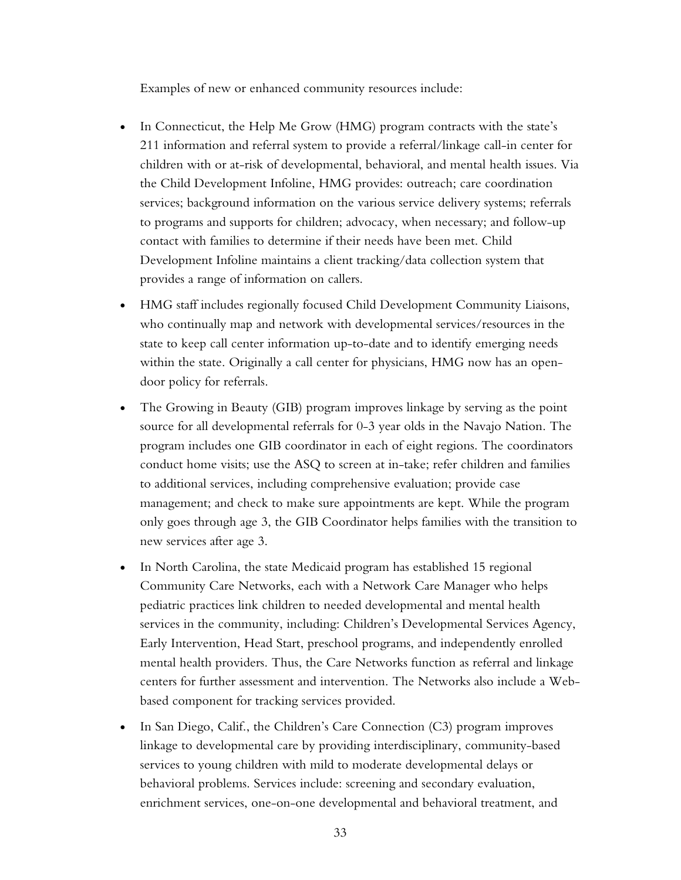Examples of new or enhanced community resources include:

- In Connecticut, the Help Me Grow (HMG) program contracts with the state's 211 information and referral system to provide a referral/linkage call-in center for children with or at-risk of developmental, behavioral, and mental health issues. Via the Child Development Infoline, HMG provides: outreach; care coordination services; background information on the various service delivery systems; referrals to programs and supports for children; advocacy, when necessary; and follow-up contact with families to determine if their needs have been met. Child Development Infoline maintains a client tracking/data collection system that provides a range of information on callers.
- HMG staff includes regionally focused Child Development Community Liaisons, who continually map and network with developmental services/resources in the state to keep call center information up-to-date and to identify emerging needs within the state. Originally a call center for physicians, HMG now has an opendoor policy for referrals.
- The Growing in Beauty (GIB) program improves linkage by serving as the point source for all developmental referrals for 0-3 year olds in the Navajo Nation. The program includes one GIB coordinator in each of eight regions. The coordinators conduct home visits; use the ASQ to screen at in-take; refer children and families to additional services, including comprehensive evaluation; provide case management; and check to make sure appointments are kept. While the program only goes through age 3, the GIB Coordinator helps families with the transition to new services after age 3.
- In North Carolina, the state Medicaid program has established 15 regional Community Care Networks, each with a Network Care Manager who helps pediatric practices link children to needed developmental and mental health services in the community, including: Children's Developmental Services Agency, Early Intervention, Head Start, preschool programs, and independently enrolled mental health providers. Thus, the Care Networks function as referral and linkage centers for further assessment and intervention. The Networks also include a Webbased component for tracking services provided.
- In San Diego, Calif., the Children's Care Connection (C3) program improves linkage to developmental care by providing interdisciplinary, community-based services to young children with mild to moderate developmental delays or behavioral problems. Services include: screening and secondary evaluation, enrichment services, one-on-one developmental and behavioral treatment, and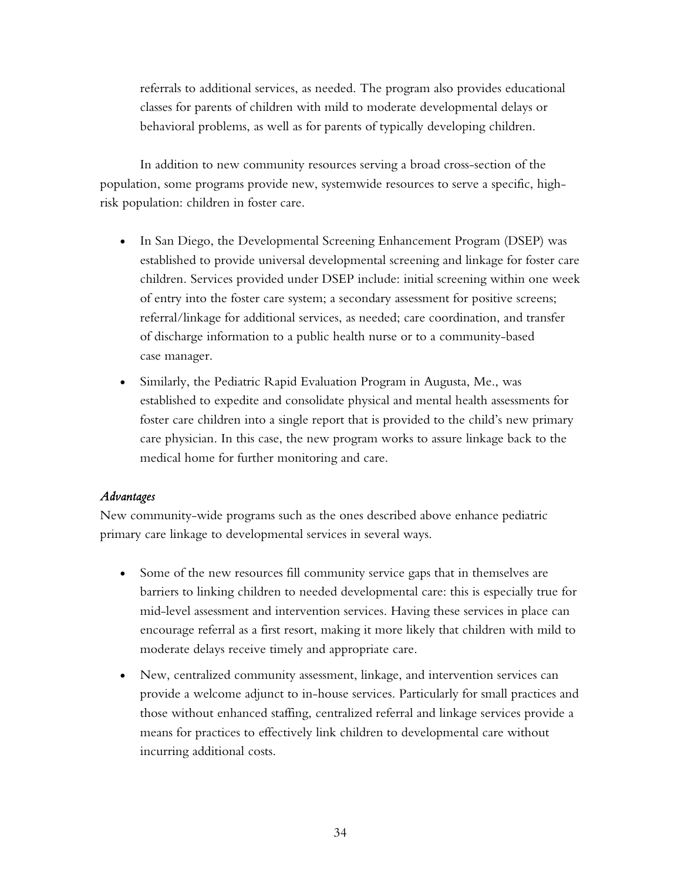referrals to additional services, as needed. The program also provides educational classes for parents of children with mild to moderate developmental delays or behavioral problems, as well as for parents of typically developing children.

In addition to new community resources serving a broad cross-section of the population, some programs provide new, systemwide resources to serve a specific, highrisk population: children in foster care.

- In San Diego, the Developmental Screening Enhancement Program (DSEP) was established to provide universal developmental screening and linkage for foster care children. Services provided under DSEP include: initial screening within one week of entry into the foster care system; a secondary assessment for positive screens; referral/linkage for additional services, as needed; care coordination, and transfer of discharge information to a public health nurse or to a community-based case manager.
- Similarly, the Pediatric Rapid Evaluation Program in Augusta, Me., was established to expedite and consolidate physical and mental health assessments for foster care children into a single report that is provided to the child's new primary care physician. In this case, the new program works to assure linkage back to the medical home for further monitoring and care.

### *Advantages*

New community-wide programs such as the ones described above enhance pediatric primary care linkage to developmental services in several ways.

- Some of the new resources fill community service gaps that in themselves are barriers to linking children to needed developmental care: this is especially true for mid-level assessment and intervention services. Having these services in place can encourage referral as a first resort, making it more likely that children with mild to moderate delays receive timely and appropriate care.
- New, centralized community assessment, linkage, and intervention services can provide a welcome adjunct to in-house services. Particularly for small practices and those without enhanced staffing, centralized referral and linkage services provide a means for practices to effectively link children to developmental care without incurring additional costs.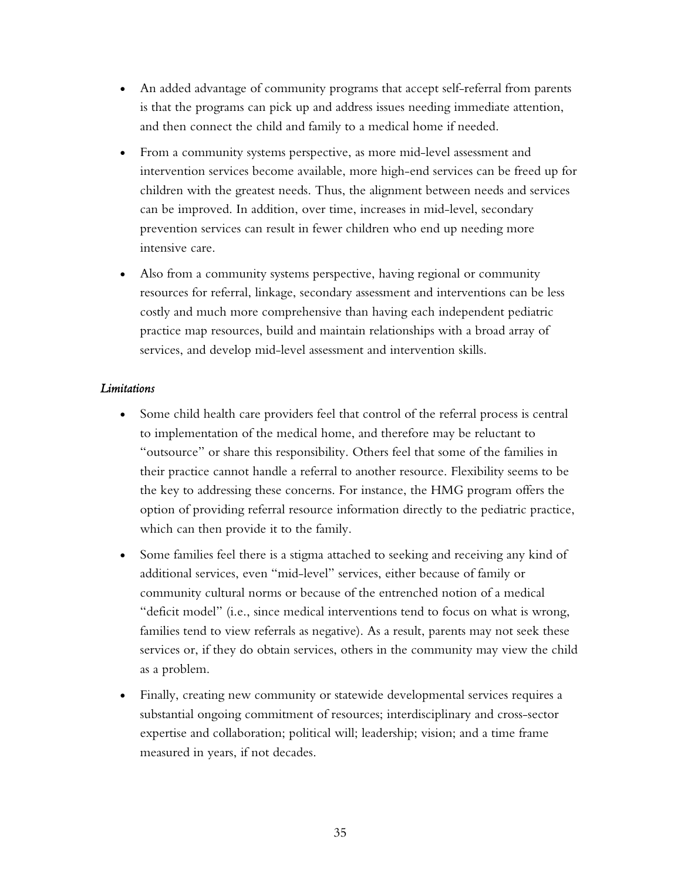- An added advantage of community programs that accept self-referral from parents is that the programs can pick up and address issues needing immediate attention, and then connect the child and family to a medical home if needed.
- From a community systems perspective, as more mid-level assessment and intervention services become available, more high-end services can be freed up for children with the greatest needs. Thus, the alignment between needs and services can be improved. In addition, over time, increases in mid-level, secondary prevention services can result in fewer children who end up needing more intensive care.
- Also from a community systems perspective, having regional or community resources for referral, linkage, secondary assessment and interventions can be less costly and much more comprehensive than having each independent pediatric practice map resources, build and maintain relationships with a broad array of services, and develop mid-level assessment and intervention skills.

### *Limitations*

- Some child health care providers feel that control of the referral process is central to implementation of the medical home, and therefore may be reluctant to "outsource" or share this responsibility. Others feel that some of the families in their practice cannot handle a referral to another resource. Flexibility seems to be the key to addressing these concerns. For instance, the HMG program offers the option of providing referral resource information directly to the pediatric practice, which can then provide it to the family.
- Some families feel there is a stigma attached to seeking and receiving any kind of additional services, even "mid-level" services, either because of family or community cultural norms or because of the entrenched notion of a medical "deficit model" (i.e., since medical interventions tend to focus on what is wrong, families tend to view referrals as negative). As a result, parents may not seek these services or, if they do obtain services, others in the community may view the child as a problem.
- Finally, creating new community or statewide developmental services requires a substantial ongoing commitment of resources; interdisciplinary and cross-sector expertise and collaboration; political will; leadership; vision; and a time frame measured in years, if not decades.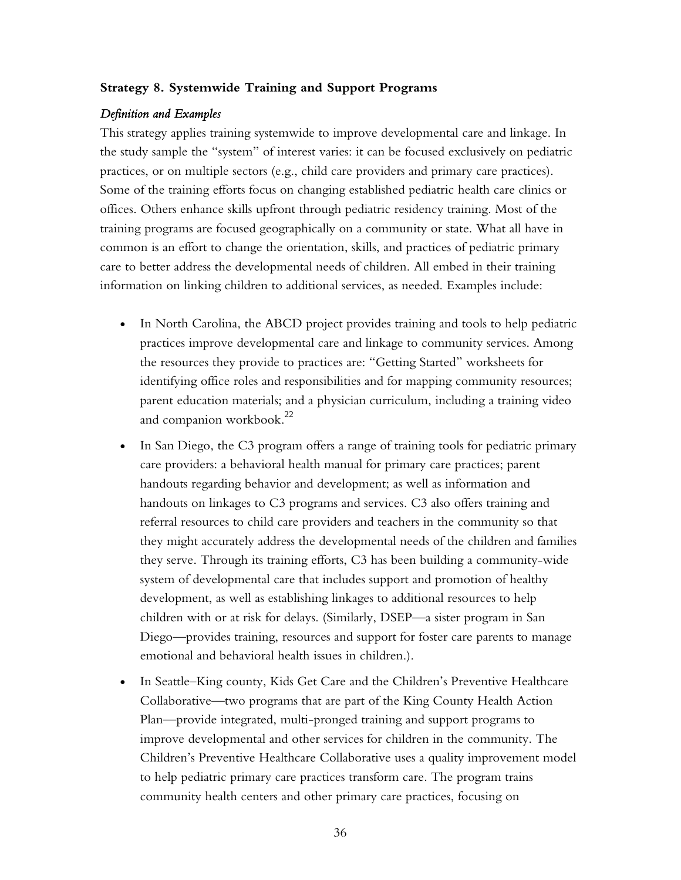### **Strategy 8. Systemwide Training and Support Programs**

### *Definition and Examples*

This strategy applies training systemwide to improve developmental care and linkage. In the study sample the "system" of interest varies: it can be focused exclusively on pediatric practices, or on multiple sectors (e.g., child care providers and primary care practices). Some of the training efforts focus on changing established pediatric health care clinics or offices. Others enhance skills upfront through pediatric residency training. Most of the training programs are focused geographically on a community or state. What all have in common is an effort to change the orientation, skills, and practices of pediatric primary care to better address the developmental needs of children. All embed in their training information on linking children to additional services, as needed. Examples include:

- In North Carolina, the ABCD project provides training and tools to help pediatric practices improve developmental care and linkage to community services. Among the resources they provide to practices are: "Getting Started" worksheets for identifying office roles and responsibilities and for mapping community resources; parent education materials; and a physician curriculum, including a training video and companion workbook.<sup>22</sup>
- In San Diego, the C3 program offers a range of training tools for pediatric primary care providers: a behavioral health manual for primary care practices; parent handouts regarding behavior and development; as well as information and handouts on linkages to C3 programs and services. C3 also offers training and referral resources to child care providers and teachers in the community so that they might accurately address the developmental needs of the children and families they serve. Through its training efforts, C3 has been building a community-wide system of developmental care that includes support and promotion of healthy development, as well as establishing linkages to additional resources to help children with or at risk for delays. (Similarly, DSEP—a sister program in San Diego—provides training, resources and support for foster care parents to manage emotional and behavioral health issues in children.).
- In Seattle–King county, Kids Get Care and the Children's Preventive Healthcare Collaborative—two programs that are part of the King County Health Action Plan—provide integrated, multi-pronged training and support programs to improve developmental and other services for children in the community. The Children's Preventive Healthcare Collaborative uses a quality improvement model to help pediatric primary care practices transform care. The program trains community health centers and other primary care practices, focusing on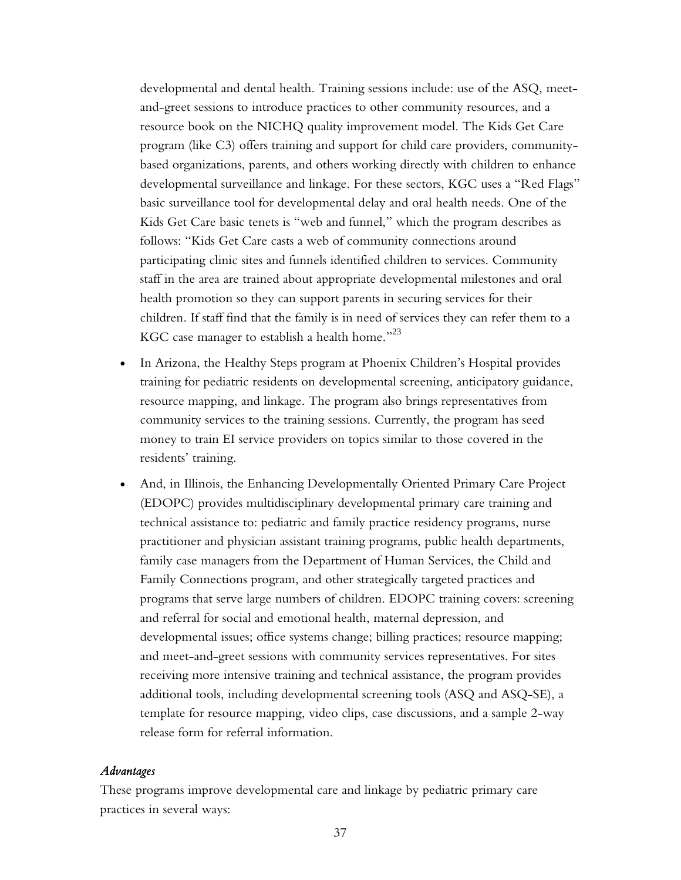developmental and dental health. Training sessions include: use of the ASQ, meetand-greet sessions to introduce practices to other community resources, and a resource book on the NICHQ quality improvement model. The Kids Get Care program (like C3) offers training and support for child care providers, communitybased organizations, parents, and others working directly with children to enhance developmental surveillance and linkage. For these sectors, KGC uses a "Red Flags" basic surveillance tool for developmental delay and oral health needs. One of the Kids Get Care basic tenets is "web and funnel," which the program describes as follows: "Kids Get Care casts a web of community connections around participating clinic sites and funnels identified children to services. Community staff in the area are trained about appropriate developmental milestones and oral health promotion so they can support parents in securing services for their children. If staff find that the family is in need of services they can refer them to a KGC case manager to establish a health home."<sup>23</sup>

- In Arizona, the Healthy Steps program at Phoenix Children's Hospital provides training for pediatric residents on developmental screening, anticipatory guidance, resource mapping, and linkage. The program also brings representatives from community services to the training sessions. Currently, the program has seed money to train EI service providers on topics similar to those covered in the residents' training.
- And, in Illinois, the Enhancing Developmentally Oriented Primary Care Project (EDOPC) provides multidisciplinary developmental primary care training and technical assistance to: pediatric and family practice residency programs, nurse practitioner and physician assistant training programs, public health departments, family case managers from the Department of Human Services, the Child and Family Connections program, and other strategically targeted practices and programs that serve large numbers of children. EDOPC training covers: screening and referral for social and emotional health, maternal depression, and developmental issues; office systems change; billing practices; resource mapping; and meet-and-greet sessions with community services representatives. For sites receiving more intensive training and technical assistance, the program provides additional tools, including developmental screening tools (ASQ and ASQ-SE), a template for resource mapping, video clips, case discussions, and a sample 2-way release form for referral information.

#### *Advantages*

These programs improve developmental care and linkage by pediatric primary care practices in several ways:

37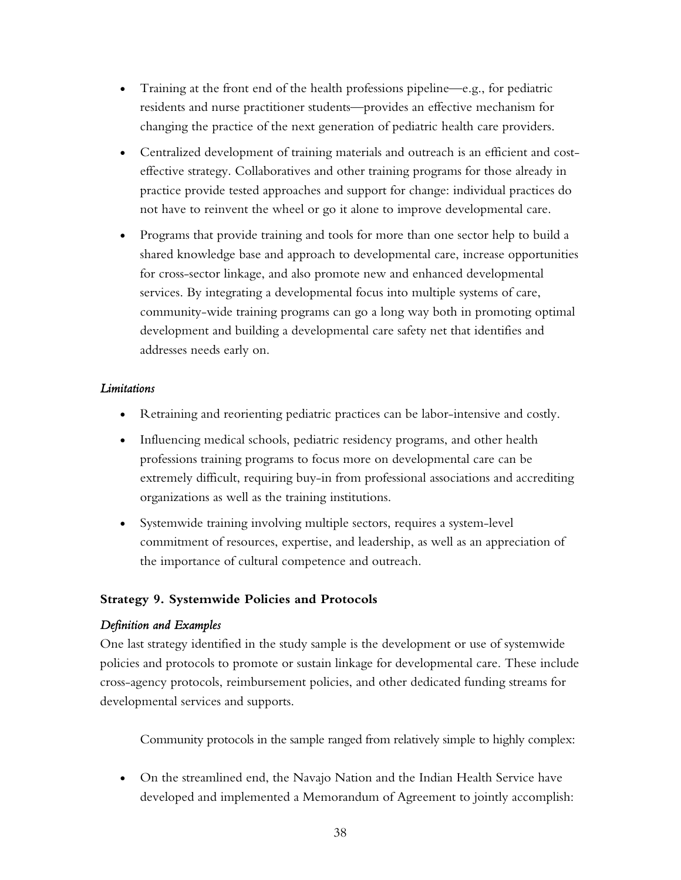- Training at the front end of the health professions pipeline—e.g., for pediatric residents and nurse practitioner students—provides an effective mechanism for changing the practice of the next generation of pediatric health care providers.
- Centralized development of training materials and outreach is an efficient and costeffective strategy. Collaboratives and other training programs for those already in practice provide tested approaches and support for change: individual practices do not have to reinvent the wheel or go it alone to improve developmental care.
- Programs that provide training and tools for more than one sector help to build a shared knowledge base and approach to developmental care, increase opportunities for cross-sector linkage, and also promote new and enhanced developmental services. By integrating a developmental focus into multiple systems of care, community-wide training programs can go a long way both in promoting optimal development and building a developmental care safety net that identifies and addresses needs early on.

### *Limitations*

- Retraining and reorienting pediatric practices can be labor-intensive and costly.
- Influencing medical schools, pediatric residency programs, and other health professions training programs to focus more on developmental care can be extremely difficult, requiring buy-in from professional associations and accrediting organizations as well as the training institutions.
- Systemwide training involving multiple sectors, requires a system-level commitment of resources, expertise, and leadership, as well as an appreciation of the importance of cultural competence and outreach.

### **Strategy 9. Systemwide Policies and Protocols**

### *Definition and Examples*

One last strategy identified in the study sample is the development or use of systemwide policies and protocols to promote or sustain linkage for developmental care. These include cross-agency protocols, reimbursement policies, and other dedicated funding streams for developmental services and supports.

Community protocols in the sample ranged from relatively simple to highly complex:

• On the streamlined end, the Navajo Nation and the Indian Health Service have developed and implemented a Memorandum of Agreement to jointly accomplish: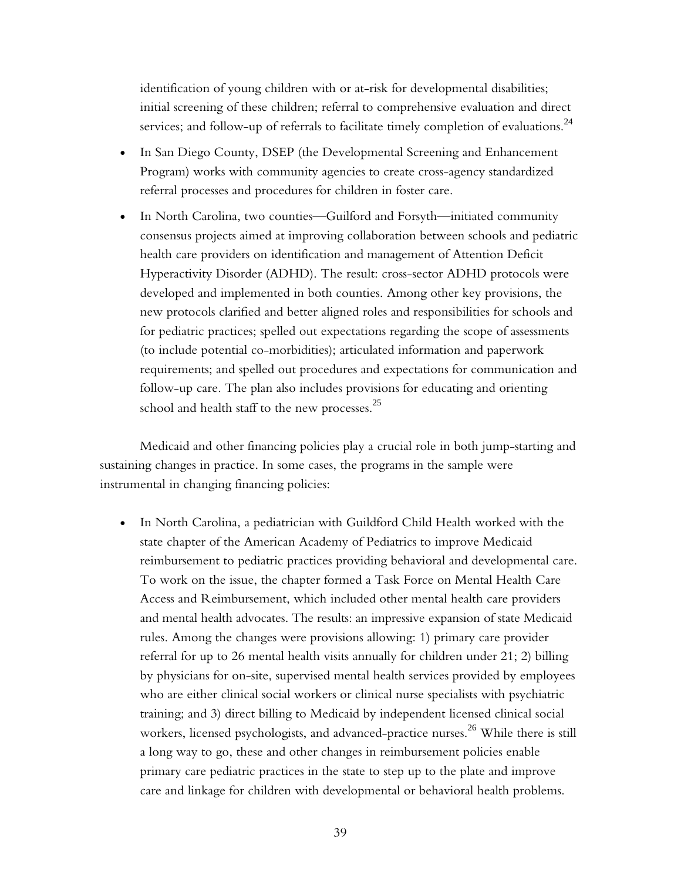identification of young children with or at-risk for developmental disabilities; initial screening of these children; referral to comprehensive evaluation and direct services; and follow-up of referrals to facilitate timely completion of evaluations.<sup>24</sup>

- In San Diego County, DSEP (the Developmental Screening and Enhancement Program) works with community agencies to create cross-agency standardized referral processes and procedures for children in foster care.
- In North Carolina, two counties—Guilford and Forsyth—initiated community consensus projects aimed at improving collaboration between schools and pediatric health care providers on identification and management of Attention Deficit Hyperactivity Disorder (ADHD). The result: cross-sector ADHD protocols were developed and implemented in both counties. Among other key provisions, the new protocols clarified and better aligned roles and responsibilities for schools and for pediatric practices; spelled out expectations regarding the scope of assessments (to include potential co-morbidities); articulated information and paperwork requirements; and spelled out procedures and expectations for communication and follow-up care. The plan also includes provisions for educating and orienting school and health staff to the new processes. $25$

Medicaid and other financing policies play a crucial role in both jump-starting and sustaining changes in practice. In some cases, the programs in the sample were instrumental in changing financing policies:

• In North Carolina, a pediatrician with Guildford Child Health worked with the state chapter of the American Academy of Pediatrics to improve Medicaid reimbursement to pediatric practices providing behavioral and developmental care. To work on the issue, the chapter formed a Task Force on Mental Health Care Access and Reimbursement, which included other mental health care providers and mental health advocates. The results: an impressive expansion of state Medicaid rules. Among the changes were provisions allowing: 1) primary care provider referral for up to 26 mental health visits annually for children under 21; 2) billing by physicians for on-site, supervised mental health services provided by employees who are either clinical social workers or clinical nurse specialists with psychiatric training; and 3) direct billing to Medicaid by independent licensed clinical social workers, licensed psychologists, and advanced-practice nurses.<sup>26</sup> While there is still a long way to go, these and other changes in reimbursement policies enable primary care pediatric practices in the state to step up to the plate and improve care and linkage for children with developmental or behavioral health problems.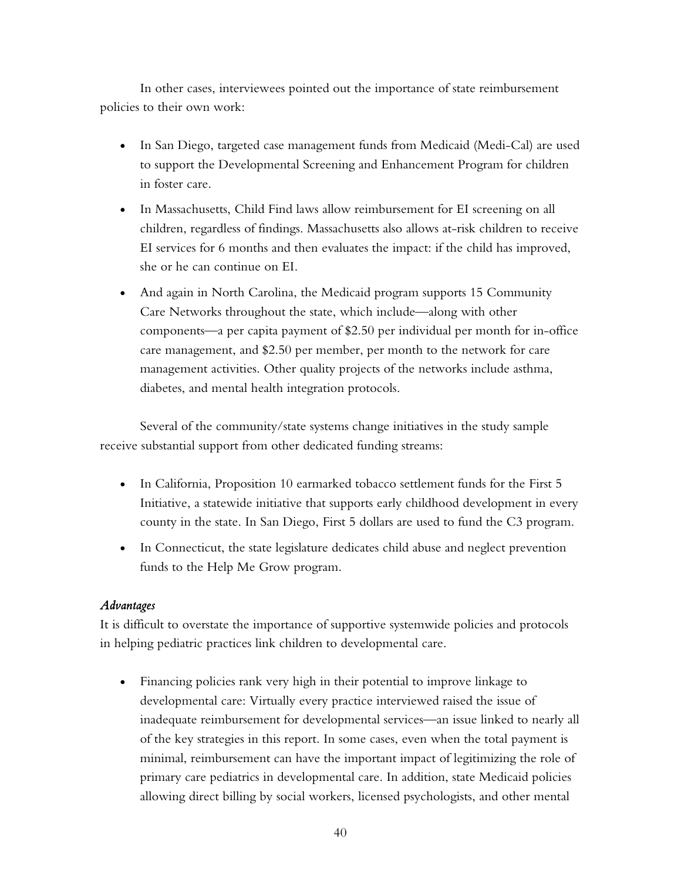In other cases, interviewees pointed out the importance of state reimbursement policies to their own work:

- In San Diego, targeted case management funds from Medicaid (Medi-Cal) are used to support the Developmental Screening and Enhancement Program for children in foster care.
- In Massachusetts, Child Find laws allow reimbursement for EI screening on all children, regardless of findings. Massachusetts also allows at-risk children to receive EI services for 6 months and then evaluates the impact: if the child has improved, she or he can continue on EI.
- And again in North Carolina, the Medicaid program supports 15 Community Care Networks throughout the state, which include—along with other components—a per capita payment of \$2.50 per individual per month for in-office care management, and \$2.50 per member, per month to the network for care management activities. Other quality projects of the networks include asthma, diabetes, and mental health integration protocols.

Several of the community/state systems change initiatives in the study sample receive substantial support from other dedicated funding streams:

- In California, Proposition 10 earmarked tobacco settlement funds for the First 5 Initiative, a statewide initiative that supports early childhood development in every county in the state. In San Diego, First 5 dollars are used to fund the C3 program.
- In Connecticut, the state legislature dedicates child abuse and neglect prevention funds to the Help Me Grow program.

### *Advantages*

It is difficult to overstate the importance of supportive systemwide policies and protocols in helping pediatric practices link children to developmental care.

• Financing policies rank very high in their potential to improve linkage to developmental care: Virtually every practice interviewed raised the issue of inadequate reimbursement for developmental services—an issue linked to nearly all of the key strategies in this report. In some cases, even when the total payment is minimal, reimbursement can have the important impact of legitimizing the role of primary care pediatrics in developmental care. In addition, state Medicaid policies allowing direct billing by social workers, licensed psychologists, and other mental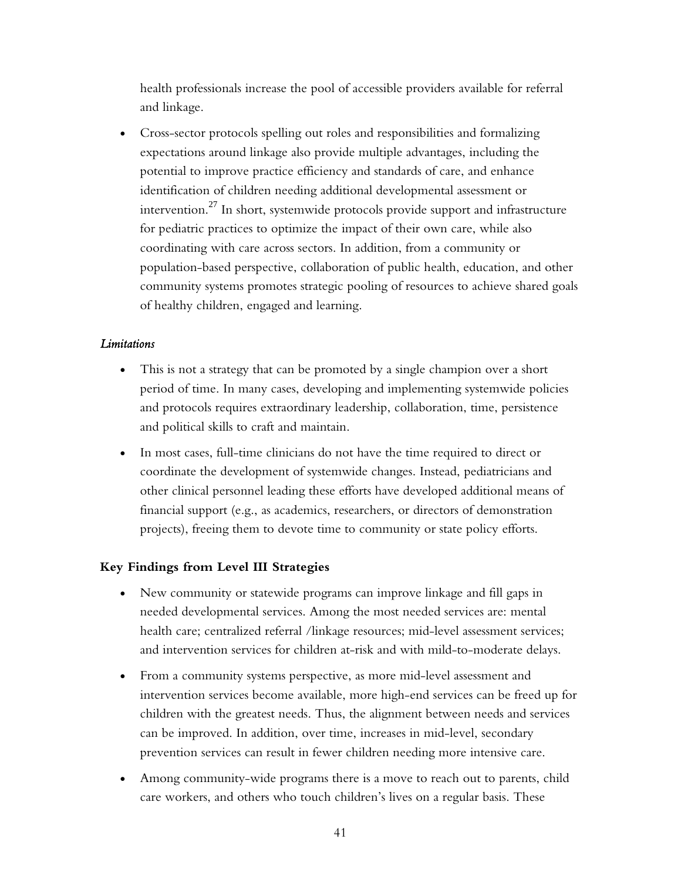health professionals increase the pool of accessible providers available for referral and linkage.

• Cross-sector protocols spelling out roles and responsibilities and formalizing expectations around linkage also provide multiple advantages, including the potential to improve practice efficiency and standards of care, and enhance identification of children needing additional developmental assessment or intervention.<sup>27</sup> In short, systemwide protocols provide support and infrastructure for pediatric practices to optimize the impact of their own care, while also coordinating with care across sectors. In addition, from a community or population-based perspective, collaboration of public health, education, and other community systems promotes strategic pooling of resources to achieve shared goals of healthy children, engaged and learning.

### *Limitations*

- This is not a strategy that can be promoted by a single champion over a short period of time. In many cases, developing and implementing systemwide policies and protocols requires extraordinary leadership, collaboration, time, persistence and political skills to craft and maintain.
- In most cases, full-time clinicians do not have the time required to direct or coordinate the development of systemwide changes. Instead, pediatricians and other clinical personnel leading these efforts have developed additional means of financial support (e.g., as academics, researchers, or directors of demonstration projects), freeing them to devote time to community or state policy efforts.

### **Key Findings from Level III Strategies**

- New community or statewide programs can improve linkage and fill gaps in needed developmental services. Among the most needed services are: mental health care; centralized referral /linkage resources; mid-level assessment services; and intervention services for children at-risk and with mild-to-moderate delays.
- From a community systems perspective, as more mid-level assessment and intervention services become available, more high-end services can be freed up for children with the greatest needs. Thus, the alignment between needs and services can be improved. In addition, over time, increases in mid-level, secondary prevention services can result in fewer children needing more intensive care.
- Among community-wide programs there is a move to reach out to parents, child care workers, and others who touch children's lives on a regular basis. These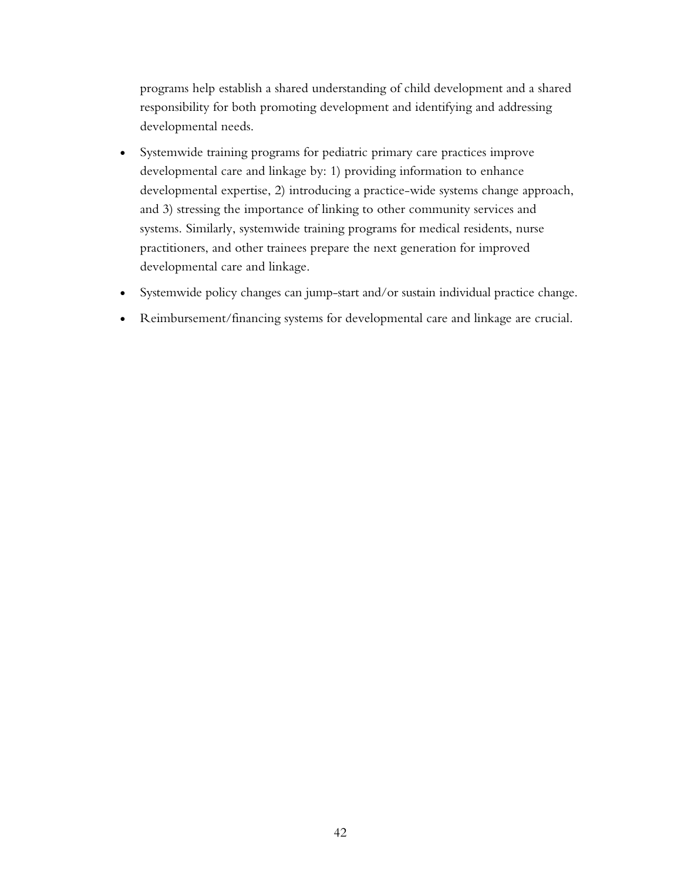programs help establish a shared understanding of child development and a shared responsibility for both promoting development and identifying and addressing developmental needs.

- Systemwide training programs for pediatric primary care practices improve developmental care and linkage by: 1) providing information to enhance developmental expertise, 2) introducing a practice-wide systems change approach, and 3) stressing the importance of linking to other community services and systems. Similarly, systemwide training programs for medical residents, nurse practitioners, and other trainees prepare the next generation for improved developmental care and linkage.
- Systemwide policy changes can jump-start and/or sustain individual practice change.
- Reimbursement/financing systems for developmental care and linkage are crucial.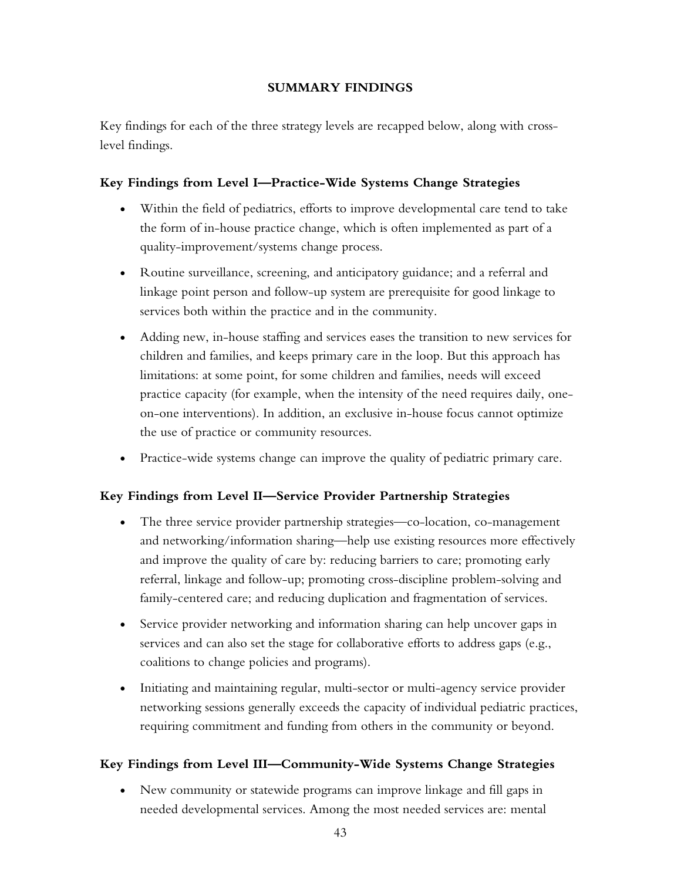### **SUMMARY FINDINGS**

Key findings for each of the three strategy levels are recapped below, along with crosslevel findings.

## **Key Findings from Level I—Practice-Wide Systems Change Strategies**

- Within the field of pediatrics, efforts to improve developmental care tend to take the form of in-house practice change, which is often implemented as part of a quality-improvement/systems change process.
- Routine surveillance, screening, and anticipatory guidance; and a referral and linkage point person and follow-up system are prerequisite for good linkage to services both within the practice and in the community.
- Adding new, in-house staffing and services eases the transition to new services for children and families, and keeps primary care in the loop. But this approach has limitations: at some point, for some children and families, needs will exceed practice capacity (for example, when the intensity of the need requires daily, oneon-one interventions). In addition, an exclusive in-house focus cannot optimize the use of practice or community resources.
- Practice-wide systems change can improve the quality of pediatric primary care.

### **Key Findings from Level II—Service Provider Partnership Strategies**

- The three service provider partnership strategies—co-location, co-management and networking/information sharing—help use existing resources more effectively and improve the quality of care by: reducing barriers to care; promoting early referral, linkage and follow-up; promoting cross-discipline problem-solving and family-centered care; and reducing duplication and fragmentation of services.
- Service provider networking and information sharing can help uncover gaps in services and can also set the stage for collaborative efforts to address gaps (e.g., coalitions to change policies and programs).
- Initiating and maintaining regular, multi-sector or multi-agency service provider networking sessions generally exceeds the capacity of individual pediatric practices, requiring commitment and funding from others in the community or beyond.

### **Key Findings from Level III—Community-Wide Systems Change Strategies**

• New community or statewide programs can improve linkage and fill gaps in needed developmental services. Among the most needed services are: mental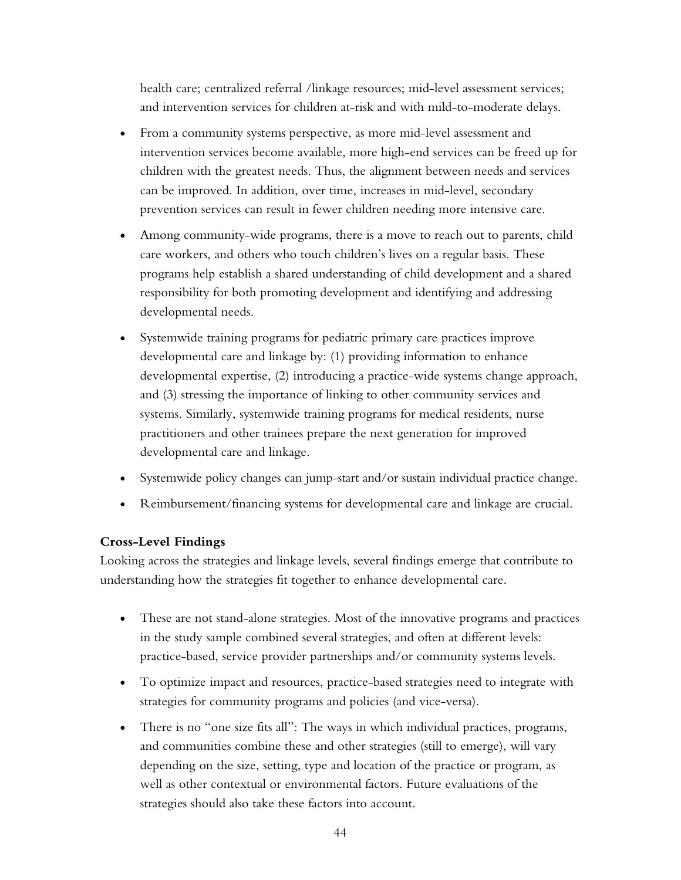health care; centralized referral /linkage resources; mid-level assessment services; and intervention services for children at-risk and with mild-to-moderate delays.

- From a community systems perspective, as more mid-level assessment and intervention services become available, more high-end services can be freed up for children with the greatest needs. Thus, the alignment between needs and services can be improved. In addition, over time, increases in mid-level, secondary prevention services can result in fewer children needing more intensive care.
- Among community-wide programs, there is a move to reach out to parents, child care workers, and others who touch children's lives on a regular basis. These programs help establish a shared understanding of child development and a shared responsibility for both promoting development and identifying and addressing developmental needs.
- Systemwide training programs for pediatric primary care practices improve developmental care and linkage by: (1) providing information to enhance developmental expertise, (2) introducing a practice-wide systems change approach, and (3) stressing the importance of linking to other community services and systems. Similarly, systemwide training programs for medical residents, nurse practitioners and other trainees prepare the next generation for improved developmental care and linkage.
- Systemwide policy changes can jump-start and/or sustain individual practice change.
- Reimbursement/financing systems for developmental care and linkage are crucial.

### **Cross-Level Findings**

Looking across the strategies and linkage levels, several findings emerge that contribute to understanding how the strategies fit together to enhance developmental care.

- These are not stand-alone strategies. Most of the innovative programs and practices in the study sample combined several strategies, and often at different levels: practice-based, service provider partnerships and/or community systems levels.
- To optimize impact and resources, practice-based strategies need to integrate with strategies for community programs and policies (and vice-versa).
- There is no "one size fits all": The ways in which individual practices, programs, and communities combine these and other strategies (still to emerge), will vary depending on the size, setting, type and location of the practice or program, as well as other contextual or environmental factors. Future evaluations of the strategies should also take these factors into account.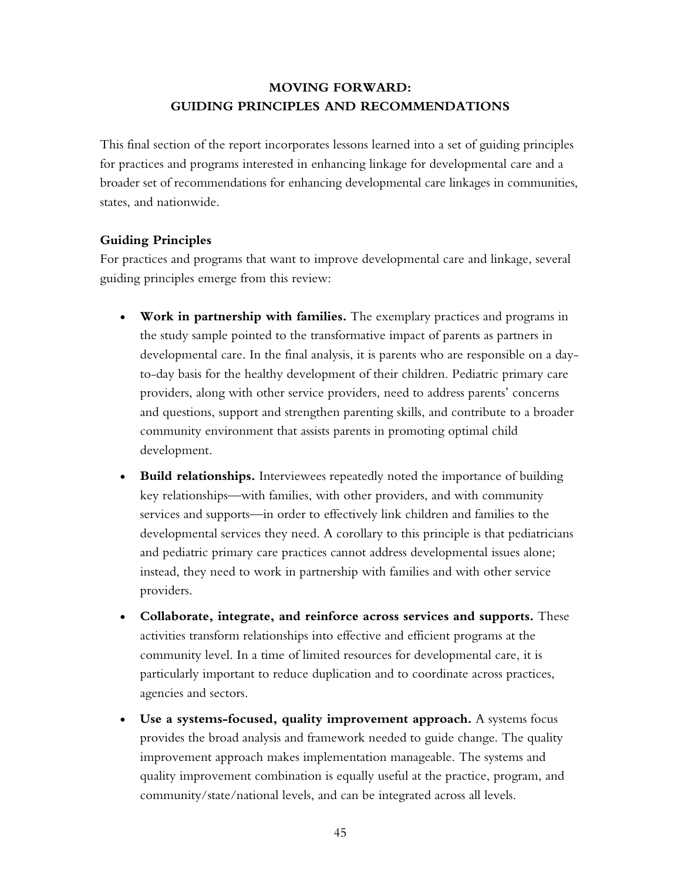# **MOVING FORWARD: GUIDING PRINCIPLES AND RECOMMENDATIONS**

This final section of the report incorporates lessons learned into a set of guiding principles for practices and programs interested in enhancing linkage for developmental care and a broader set of recommendations for enhancing developmental care linkages in communities, states, and nationwide.

### **Guiding Principles**

For practices and programs that want to improve developmental care and linkage, several guiding principles emerge from this review:

- **Work in partnership with families.** The exemplary practices and programs in the study sample pointed to the transformative impact of parents as partners in developmental care. In the final analysis, it is parents who are responsible on a dayto-day basis for the healthy development of their children. Pediatric primary care providers, along with other service providers, need to address parents' concerns and questions, support and strengthen parenting skills, and contribute to a broader community environment that assists parents in promoting optimal child development.
- **Build relationships.** Interviewees repeatedly noted the importance of building key relationships—with families, with other providers, and with community services and supports—in order to effectively link children and families to the developmental services they need. A corollary to this principle is that pediatricians and pediatric primary care practices cannot address developmental issues alone; instead, they need to work in partnership with families and with other service providers.
- **Collaborate, integrate, and reinforce across services and supports.** These activities transform relationships into effective and efficient programs at the community level. In a time of limited resources for developmental care, it is particularly important to reduce duplication and to coordinate across practices, agencies and sectors.
- **Use a systems-focused, quality improvement approach.** A systems focus provides the broad analysis and framework needed to guide change. The quality improvement approach makes implementation manageable. The systems and quality improvement combination is equally useful at the practice, program, and community/state/national levels, and can be integrated across all levels.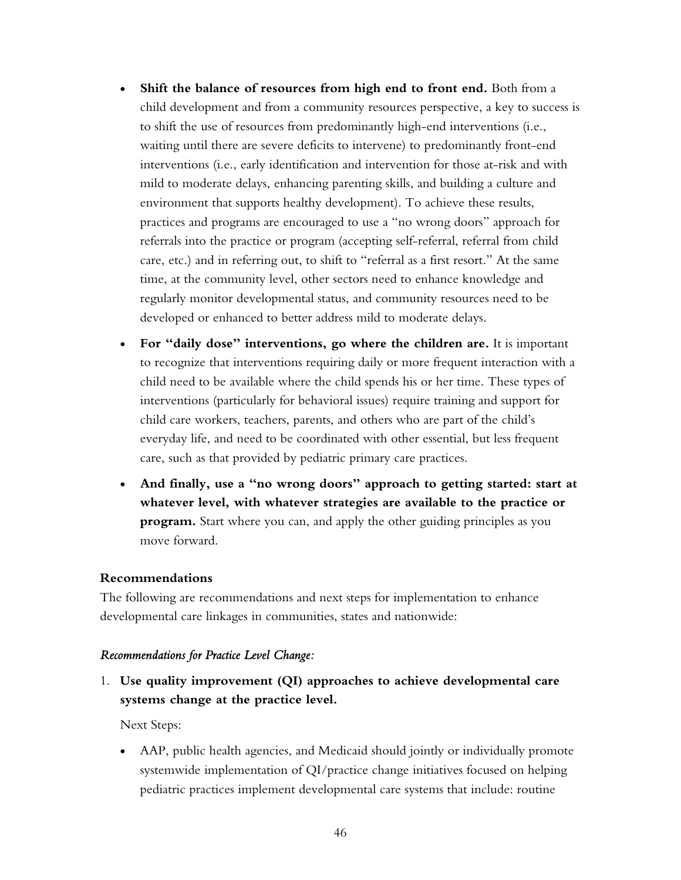- **Shift the balance of resources from high end to front end.** Both from a child development and from a community resources perspective, a key to success is to shift the use of resources from predominantly high-end interventions (i.e., waiting until there are severe deficits to intervene) to predominantly front-end interventions (i.e., early identification and intervention for those at-risk and with mild to moderate delays, enhancing parenting skills, and building a culture and environment that supports healthy development). To achieve these results, practices and programs are encouraged to use a "no wrong doors" approach for referrals into the practice or program (accepting self-referral, referral from child care, etc.) and in referring out, to shift to "referral as a first resort." At the same time, at the community level, other sectors need to enhance knowledge and regularly monitor developmental status, and community resources need to be developed or enhanced to better address mild to moderate delays.
- **For "daily dose" interventions, go where the children are.** It is important to recognize that interventions requiring daily or more frequent interaction with a child need to be available where the child spends his or her time. These types of interventions (particularly for behavioral issues) require training and support for child care workers, teachers, parents, and others who are part of the child's everyday life, and need to be coordinated with other essential, but less frequent care, such as that provided by pediatric primary care practices.
- **And finally, use a "no wrong doors" approach to getting started: start at whatever level, with whatever strategies are available to the practice or program.** Start where you can, and apply the other guiding principles as you move forward.

### **Recommendations**

The following are recommendations and next steps for implementation to enhance developmental care linkages in communities, states and nationwide:

### *Recommendations for Practice Level Change:*

1. **Use quality improvement (QI) approaches to achieve developmental care systems change at the practice level.** 

Next Steps:

• AAP, public health agencies, and Medicaid should jointly or individually promote systemwide implementation of QI/practice change initiatives focused on helping pediatric practices implement developmental care systems that include: routine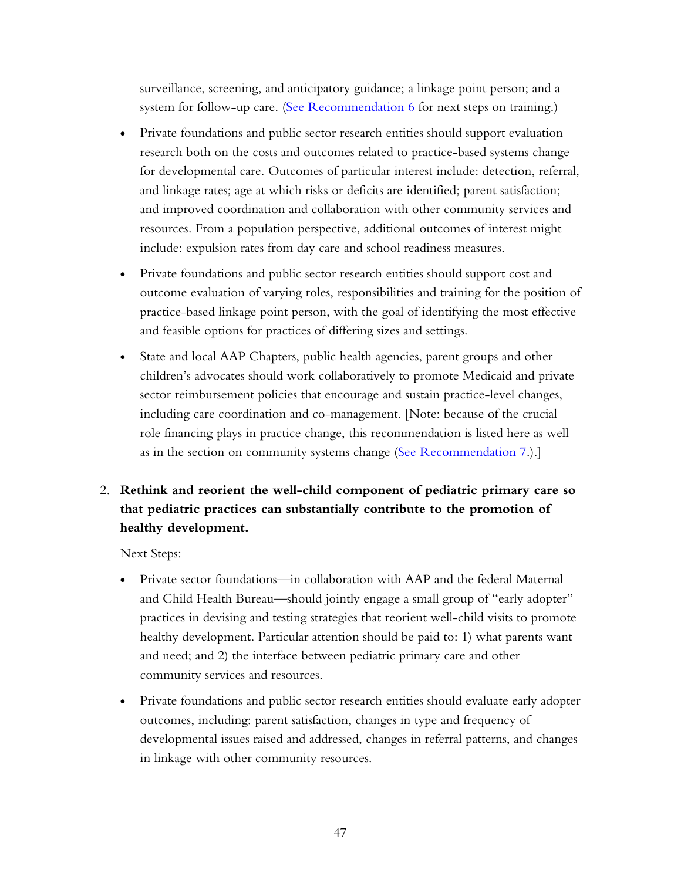surveillance, screening, and anticipatory guidance; a linkage point person; and a system for follow-up care. (See Recommendation  $6$  for next steps on training.)

- Private foundations and public sector research entities should support evaluation research both on the costs and outcomes related to practice-based systems change for developmental care. Outcomes of particular interest include: detection, referral, and linkage rates; age at which risks or deficits are identified; parent satisfaction; and improved coordination and collaboration with other community services and resources. From a population perspective, additional outcomes of interest might include: expulsion rates from day care and school readiness measures.
- Private foundations and public sector research entities should support cost and outcome evaluation of varying roles, responsibilities and training for the position of practice-based linkage point person, with the goal of identifying the most effective and feasible options for practices of differing sizes and settings.
- State and local AAP Chapters, public health agencies, parent groups and other children's advocates should work collaboratively to promote Medicaid and private sector reimbursement policies that encourage and sustain practice-level changes, including care coordination and co-management. [Note: because of the crucial role financing plays in practice change, this recommendation is listed here as well as in the section on community systems change [\(See Recommendation 7.](#page-59-0)).]

# 2. **Rethink and reorient the well-child component of pediatric primary care so that pediatric practices can substantially contribute to the promotion of healthy development.**

Next Steps:

- Private sector foundations—in collaboration with AAP and the federal Maternal and Child Health Bureau—should jointly engage a small group of "early adopter" practices in devising and testing strategies that reorient well-child visits to promote healthy development. Particular attention should be paid to: 1) what parents want and need; and 2) the interface between pediatric primary care and other community services and resources.
- Private foundations and public sector research entities should evaluate early adopter outcomes, including: parent satisfaction, changes in type and frequency of developmental issues raised and addressed, changes in referral patterns, and changes in linkage with other community resources.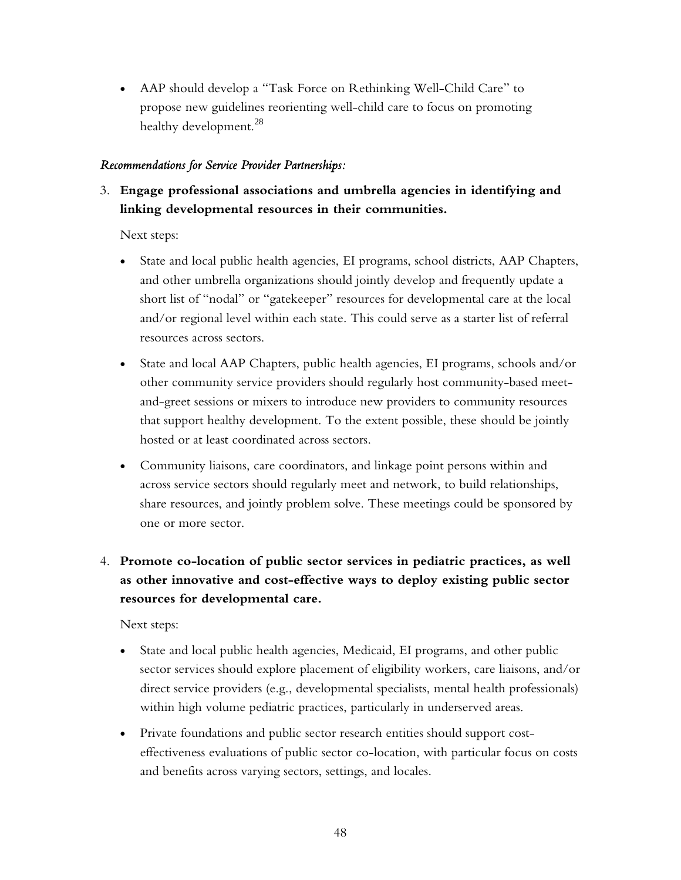• AAP should develop a "Task Force on Rethinking Well-Child Care" to propose new guidelines reorienting well-child care to focus on promoting healthy development.<sup>28</sup>

## *Recommendations for Service Provider Partnerships:*

3. **Engage professional associations and umbrella agencies in identifying and linking developmental resources in their communities.** 

Next steps:

- State and local public health agencies, EI programs, school districts, AAP Chapters, and other umbrella organizations should jointly develop and frequently update a short list of "nodal" or "gatekeeper" resources for developmental care at the local and/or regional level within each state. This could serve as a starter list of referral resources across sectors.
- State and local AAP Chapters, public health agencies, EI programs, schools and/or other community service providers should regularly host community-based meetand-greet sessions or mixers to introduce new providers to community resources that support healthy development. To the extent possible, these should be jointly hosted or at least coordinated across sectors.
- Community liaisons, care coordinators, and linkage point persons within and across service sectors should regularly meet and network, to build relationships, share resources, and jointly problem solve. These meetings could be sponsored by one or more sector.

# 4. **Promote co-location of public sector services in pediatric practices, as well as other innovative and cost-effective ways to deploy existing public sector resources for developmental care.**

Next steps:

- State and local public health agencies, Medicaid, EI programs, and other public sector services should explore placement of eligibility workers, care liaisons, and/or direct service providers (e.g., developmental specialists, mental health professionals) within high volume pediatric practices, particularly in underserved areas.
- Private foundations and public sector research entities should support costeffectiveness evaluations of public sector co-location, with particular focus on costs and benefits across varying sectors, settings, and locales.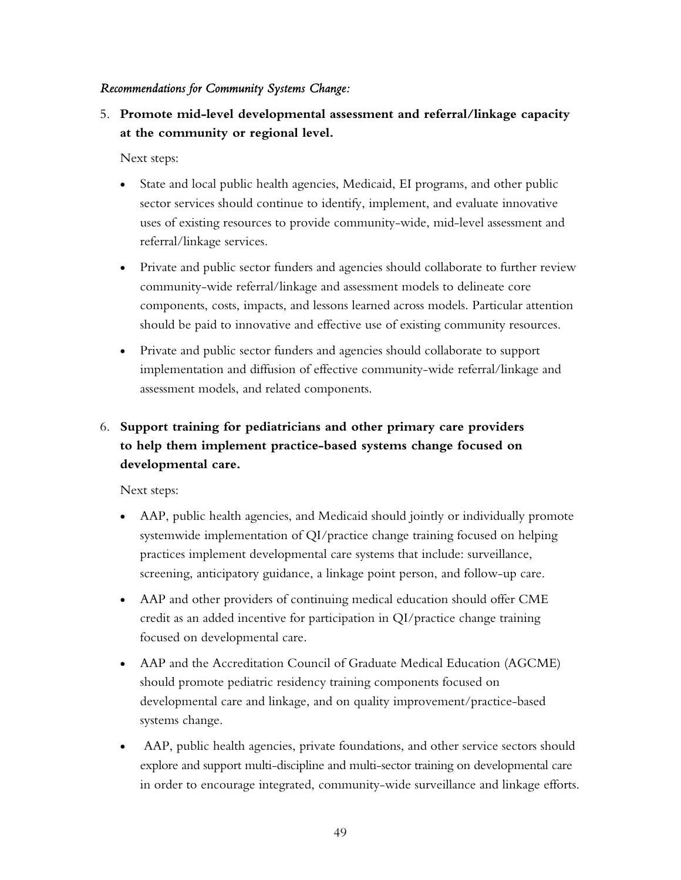### <span id="page-58-0"></span>*Recommendations for Community Systems Change:*

5. **Promote mid-level developmental assessment and referral/linkage capacity at the community or regional level.** 

Next steps:

- State and local public health agencies, Medicaid, EI programs, and other public sector services should continue to identify, implement, and evaluate innovative uses of existing resources to provide community-wide, mid-level assessment and referral/linkage services.
- Private and public sector funders and agencies should collaborate to further review community-wide referral/linkage and assessment models to delineate core components, costs, impacts, and lessons learned across models. Particular attention should be paid to innovative and effective use of existing community resources.
- Private and public sector funders and agencies should collaborate to support implementation and diffusion of effective community-wide referral/linkage and assessment models, and related components.

# 6. **Support training for pediatricians and other primary care providers to help them implement practice-based systems change focused on developmental care.**

Next steps:

- AAP, public health agencies, and Medicaid should jointly or individually promote systemwide implementation of QI/practice change training focused on helping practices implement developmental care systems that include: surveillance, screening, anticipatory guidance, a linkage point person, and follow-up care.
- AAP and other providers of continuing medical education should offer CME credit as an added incentive for participation in QI/practice change training focused on developmental care.
- AAP and the Accreditation Council of Graduate Medical Education (AGCME) should promote pediatric residency training components focused on developmental care and linkage, and on quality improvement/practice-based systems change.
- AAP, public health agencies, private foundations, and other service sectors should explore and support multi-discipline and multi-sector training on developmental care in order to encourage integrated, community-wide surveillance and linkage efforts.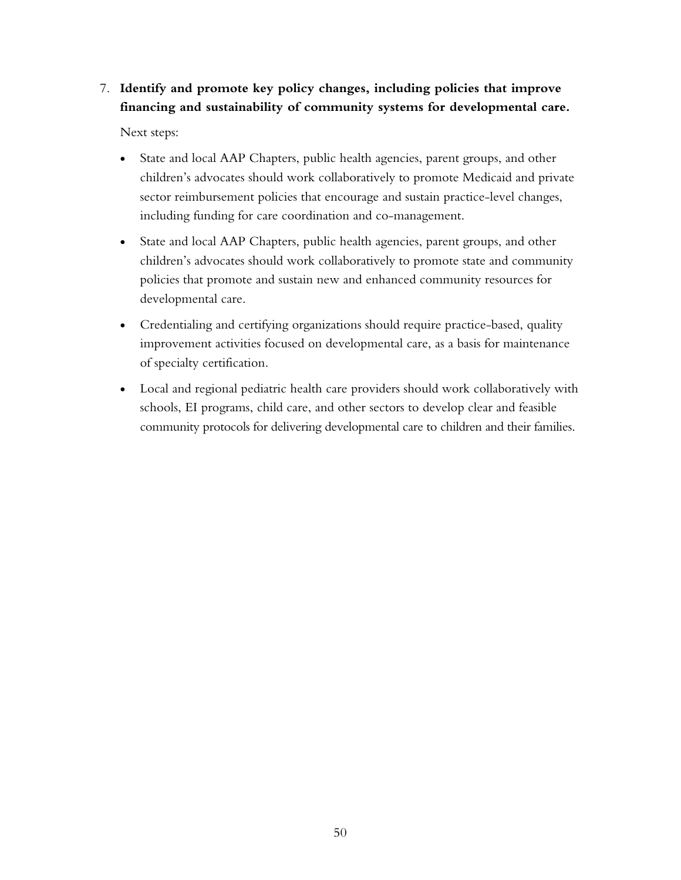# <span id="page-59-0"></span>7. **Identify and promote key policy changes, including policies that improve financing and sustainability of community systems for developmental care.**

Next steps:

- State and local AAP Chapters, public health agencies, parent groups, and other children's advocates should work collaboratively to promote Medicaid and private sector reimbursement policies that encourage and sustain practice-level changes, including funding for care coordination and co-management.
- State and local AAP Chapters, public health agencies, parent groups, and other children's advocates should work collaboratively to promote state and community policies that promote and sustain new and enhanced community resources for developmental care.
- Credentialing and certifying organizations should require practice-based, quality improvement activities focused on developmental care, as a basis for maintenance of specialty certification.
- Local and regional pediatric health care providers should work collaboratively with schools, EI programs, child care, and other sectors to develop clear and feasible community protocols for delivering developmental care to children and their families.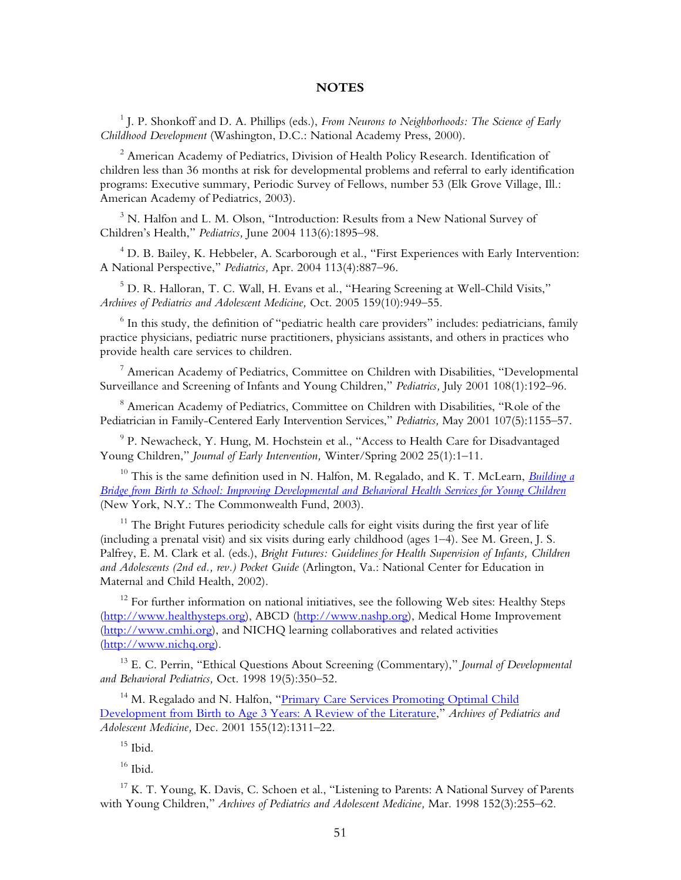#### **NOTES**

<sup>1</sup> J. P. Shonkoff and D. A. Phillips (eds.), *From Neurons to Neighborhoods: The Science of Early Childhood Development* (Washington, D.C.: National Academy Press, 2000).

 $^2$  American Academy of Pediatrics, Division of Health Policy Research. Identification of children less than 36 months at risk for developmental problems and referral to early identification programs: Executive summary, Periodic Survey of Fellows, number 53 (Elk Grove Village, Ill.: American Academy of Pediatrics, 2003).

 $^3$  N. Halfon and L. M. Olson, "Introduction: Results from a New National Survey of Children's Health," *Pediatrics,* June 2004 113(6):1895–98.

 $^4$  D. B. Bailey, K. Hebbeler, A. Scarborough et al., "First Experiences with Early Intervention: A National Perspective," *Pediatrics,* Apr. 2004 113(4):887–96.

 $^5$  D. R. Halloran, T. C. Wall, H. Evans et al., "Hearing Screening at Well-Child Visits," *Archives of Pediatrics and Adolescent Medicine,* Oct. 2005 159(10):949–55.

 $^6$  In this study, the definition of "pediatric health care providers" includes: pediatricians, family practice physicians, pediatric nurse practitioners, physicians assistants, and others in practices who provide health care services to children.

 $^7$  American Academy of Pediatrics, Committee on Children with Disabilities, "Developmental Surveillance and Screening of Infants and Young Children," *Pediatrics,* July 2001 108(1):192–96.

 $^8$  American Academy of Pediatrics, Committee on Children with Disabilities, "Role of the Pediatrician in Family-Centered Early Intervention Services," *Pediatrics,* May 2001 107(5):1155–57.

 $^{9}$  P. Newacheck, Y. Hung, M. Hochstein et al., "Access to Health Care for Disadvantaged Young Children," *Journal of Early Intervention,* Winter/Spring 2002 25(1):1–11.

10 This is the same definition used in N. Halfon, M. Regalado, and K. T. McLearn, *[Building a](http://www.cmwf.org/publications/publications_show.htm?doc_id=221307)  [Bridge from Birth to School: Improving Developmental and Behavioral Health Services for Young Children](http://www.cmwf.org/publications/publications_show.htm?doc_id=221307)* (New York, N.Y.: The Commonwealth Fund, 2003).

 $11$  The Bright Futures periodicity schedule calls for eight visits during the first year of life (including a prenatal visit) and six visits during early childhood (ages 1–4). See M. Green, J. S. Palfrey, E. M. Clark et al. (eds.), *Bright Futures: Guidelines for Health Supervision of Infants, Children and Adolescents (2nd ed., rev.) Pocket Guide* (Arlington, Va.: National Center for Education in Maternal and Child Health, 2002).

 $12$  For further information on national initiatives, see the following Web sites: Healthy Steps [\(http://www.healthysteps.org](http://www.healthysteps.org)), ABCD (<http://www.nashp.org>), Medical Home Improvement [\(http://www.cmhi.org](http://www.cmhi.org)), and NICHQ learning collaboratives and related activities [\(http://www.nichq.org\)](http://www.nichq.org).

13 E. C. Perrin, "Ethical Questions About Screening (Commentary)," *Journal of Developmental and Behavioral Pediatrics,* Oct. 1998 19(5):350–52.

<sup>14</sup> M. Regalado and N. Halfon, "Primary Care Services Promoting Optimal Child [Development from Birth to Age 3 Years: A Review of the Literature,](http://www.cmwf.org/publications/publications_show.htm?doc_id=221268)" *Archives of Pediatrics and Adolescent Medicine,* Dec. 2001 155(12):1311–22.

 $15$  Ibid.

 $16$  Ibid.

 $17 K$ . T. Young, K. Davis, C. Schoen et al., "Listening to Parents: A National Survey of Parents with Young Children," *Archives of Pediatrics and Adolescent Medicine,* Mar. 1998 152(3):255–62.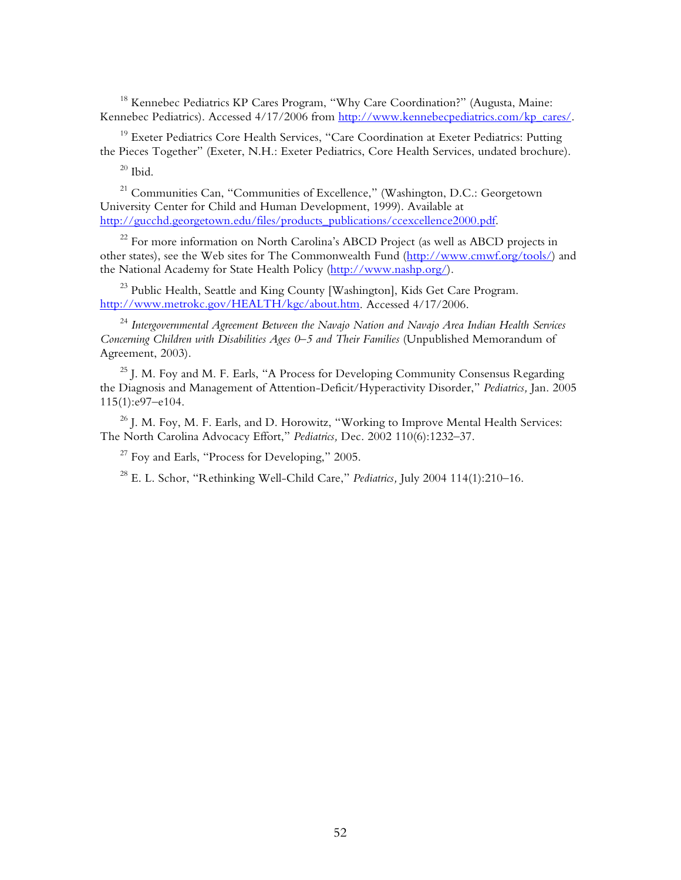<sup>18</sup> Kennebec Pediatrics KP Cares Program, "Why Care Coordination?" (Augusta, Maine: Kennebec Pediatrics). Accessed 4/17/2006 from [http://www.kennebecpediatrics.com/kp\\_cares/.](http://www.kennebecpediatrics.com/kp_cares/) 

<sup>19</sup> Exeter Pediatrics Core Health Services, "Care Coordination at Exeter Pediatrics: Putting the Pieces Together" (Exeter, N.H.: Exeter Pediatrics, Core Health Services, undated brochure).

 $20$  Ibid.

21 Communities Can, "Communities of Excellence," (Washington, D.C.: Georgetown University Center for Child and Human Development, 1999). Available at [http://gucchd.georgetown.edu/files/products\\_publications/ccexcellence2000.pdf.](http://gucchd.georgetown.edu/files/products_publications/ccexcellence2000.pdf)

<sup>22</sup> For more information on North Carolina's ABCD Project (as well as ABCD projects in other states), see the Web sites for The Commonwealth Fund ([http://www.cmwf.org/tools/\)](http://www.cmwf.org/tools/) and the National Academy for State Health Policy [\(http://www.nashp.org/](http://www.nashp.org/)).

<sup>23</sup> Public Health, Seattle and King County [Washington], Kids Get Care Program. [http://www.metrokc.gov/HEALTH/kgc/about.htm.](http://www.metrokc.gov/HEALTH/kgc/about.htm) Accessed 4/17/2006.

<sup>24</sup> *Intergovernmental Agreement Between the Navajo Nation and Navajo Area Indian Health Services Concerning Children with Disabilities Ages 0–5 and Their Families* (Unpublished Memorandum of Agreement, 2003).

<sup>25</sup> J. M. Foy and M. F. Earls, "A Process for Developing Community Consensus Regarding the Diagnosis and Management of Attention-Deficit/Hyperactivity Disorder," *Pediatrics,* Jan. 2005 115(1):e97–e104.

<sup>26</sup> J. M. Foy, M. F. Earls, and D. Horowitz, "Working to Improve Mental Health Services: The North Carolina Advocacy Effort," *Pediatrics,* Dec. 2002 110(6):1232–37.

 $27$  Foy and Earls, "Process for Developing," 2005.

28 E. L. Schor, "Rethinking Well-Child Care," *Pediatrics,* July 2004 114(1):210–16.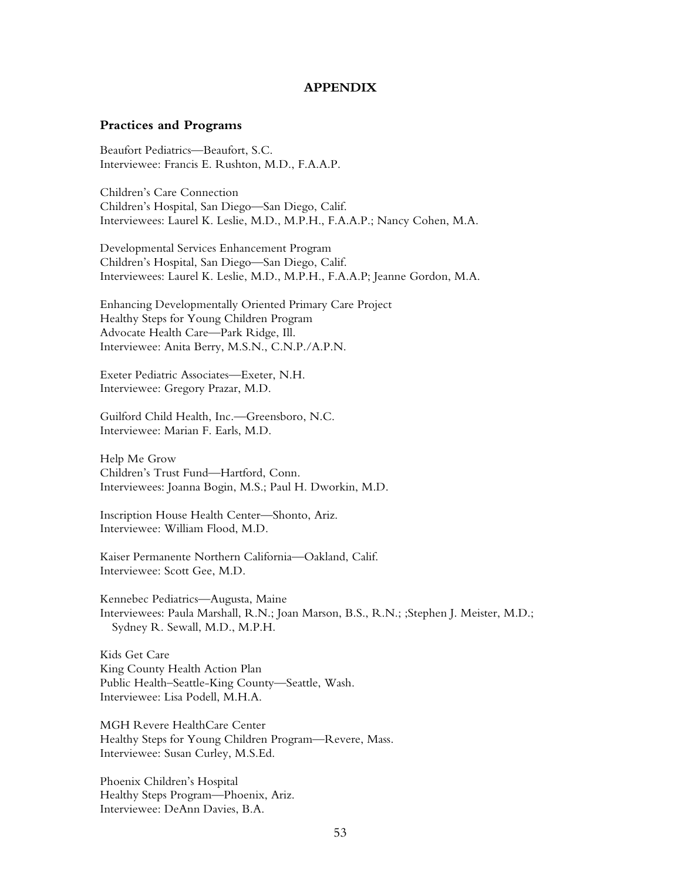#### **APPENDIX**

#### <span id="page-62-0"></span>**Practices and Programs**

Beaufort Pediatrics—Beaufort, S.C. Interviewee: Francis E. Rushton, M.D., F.A.A.P.

Children's Care Connection Children's Hospital, San Diego—San Diego, Calif. Interviewees: Laurel K. Leslie, M.D., M.P.H., F.A.A.P.; Nancy Cohen, M.A.

Developmental Services Enhancement Program Children's Hospital, San Diego—San Diego, Calif. Interviewees: Laurel K. Leslie, M.D., M.P.H., F.A.A.P; Jeanne Gordon, M.A.

Enhancing Developmentally Oriented Primary Care Project Healthy Steps for Young Children Program Advocate Health Care—Park Ridge, Ill. Interviewee: Anita Berry, M.S.N., C.N.P./A.P.N.

Exeter Pediatric Associates—Exeter, N.H. Interviewee: Gregory Prazar, M.D.

Guilford Child Health, Inc.—Greensboro, N.C. Interviewee: Marian F. Earls, M.D.

Help Me Grow Children's Trust Fund—Hartford, Conn. Interviewees: Joanna Bogin, M.S.; Paul H. Dworkin, M.D.

Inscription House Health Center—Shonto, Ariz. Interviewee: William Flood, M.D.

Kaiser Permanente Northern California—Oakland, Calif. Interviewee: Scott Gee, M.D.

Kennebec Pediatrics—Augusta, Maine Interviewees: Paula Marshall, R.N.; Joan Marson, B.S., R.N.; ;Stephen J. Meister, M.D.; Sydney R. Sewall, M.D., M.P.H.

Kids Get Care King County Health Action Plan Public Health–Seattle-King County—Seattle, Wash. Interviewee: Lisa Podell, M.H.A.

MGH Revere HealthCare Center Healthy Steps for Young Children Program—Revere, Mass. Interviewee: Susan Curley, M.S.Ed.

Phoenix Children's Hospital Healthy Steps Program—Phoenix, Ariz. Interviewee: DeAnn Davies, B.A.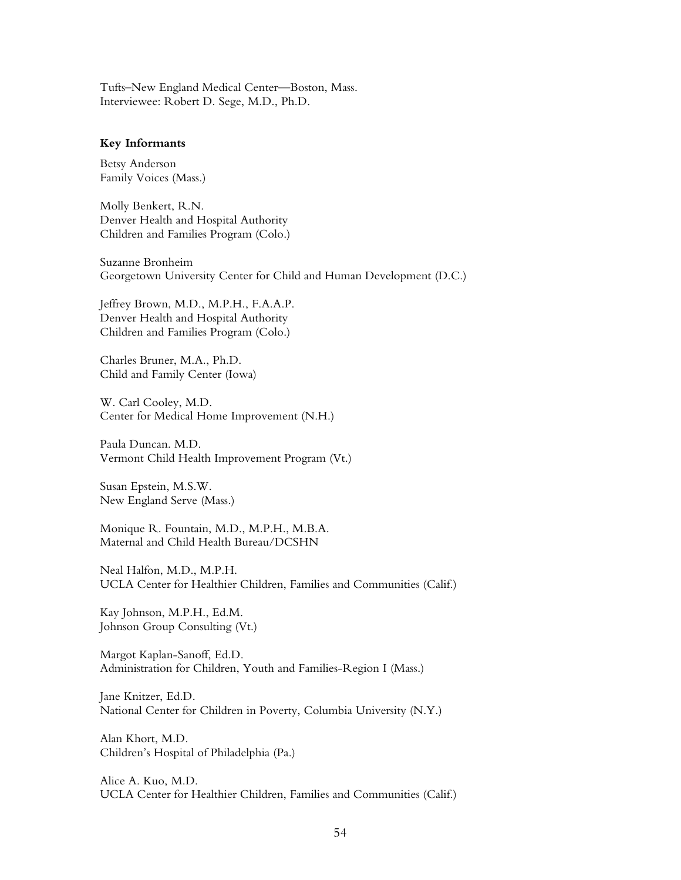Tufts–New England Medical Center—Boston, Mass. Interviewee: Robert D. Sege, M.D., Ph.D.

#### **Key Informants**

Betsy Anderson Family Voices (Mass.)

Molly Benkert, R.N. Denver Health and Hospital Authority Children and Families Program (Colo.)

Suzanne Bronheim Georgetown University Center for Child and Human Development (D.C.)

Jeffrey Brown, M.D., M.P.H., F.A.A.P. Denver Health and Hospital Authority Children and Families Program (Colo.)

Charles Bruner, M.A., Ph.D. Child and Family Center (Iowa)

W. Carl Cooley, M.D. Center for Medical Home Improvement (N.H.)

Paula Duncan. M.D. Vermont Child Health Improvement Program (Vt.)

Susan Epstein, M.S.W. New England Serve (Mass.)

Monique R. Fountain, M.D., M.P.H., M.B.A. Maternal and Child Health Bureau/DCSHN

Neal Halfon, M.D., M.P.H. UCLA Center for Healthier Children, Families and Communities (Calif.)

Kay Johnson, M.P.H., Ed.M. Johnson Group Consulting (Vt.)

Margot Kaplan-Sanoff, Ed.D. Administration for Children, Youth and Families-Region I (Mass.)

Jane Knitzer, Ed.D. National Center for Children in Poverty, Columbia University (N.Y.)

Alan Khort, M.D. Children's Hospital of Philadelphia (Pa.)

Alice A. Kuo, M.D. UCLA Center for Healthier Children, Families and Communities (Calif.)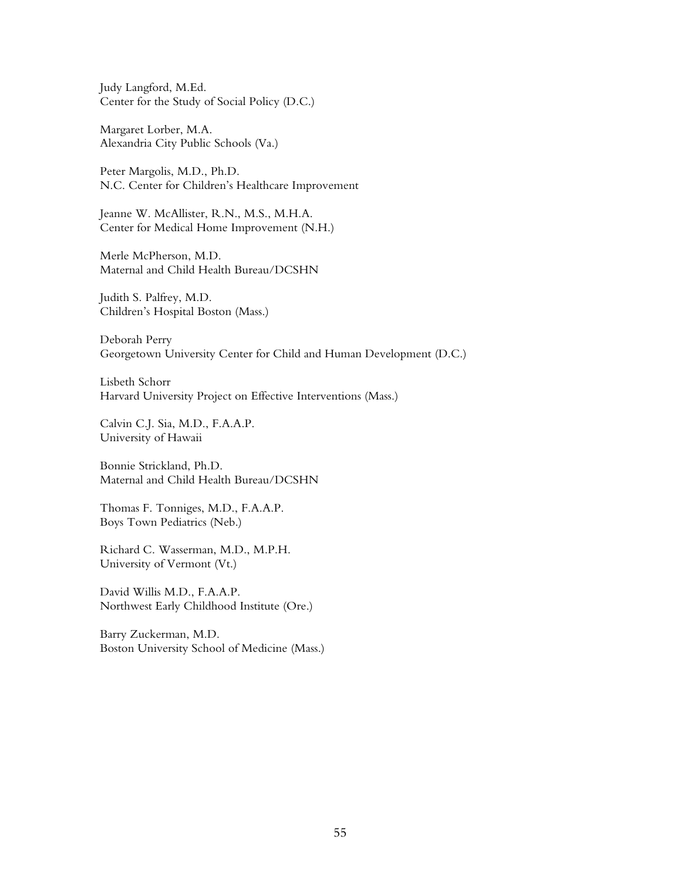Judy Langford, M.Ed. Center for the Study of Social Policy (D.C.)

Margaret Lorber, M.A. Alexandria City Public Schools (Va.)

Peter Margolis, M.D., Ph.D. N.C. Center for Children's Healthcare Improvement

Jeanne W. McAllister, R.N., M.S., M.H.A. Center for Medical Home Improvement (N.H.)

Merle McPherson, M.D. Maternal and Child Health Bureau/DCSHN

Judith S. Palfrey, M.D. Children's Hospital Boston (Mass.)

Deborah Perry Georgetown University Center for Child and Human Development (D.C.)

Lisbeth Schorr Harvard University Project on Effective Interventions (Mass.)

Calvin C.J. Sia, M.D., F.A.A.P. University of Hawaii

Bonnie Strickland, Ph.D. Maternal and Child Health Bureau/DCSHN

Thomas F. Tonniges, M.D., F.A.A.P. Boys Town Pediatrics (Neb.)

Richard C. Wasserman, M.D., M.P.H. University of Vermont (Vt.)

David Willis M.D., F.A.A.P. Northwest Early Childhood Institute (Ore.)

Barry Zuckerman, M.D. Boston University School of Medicine (Mass.)